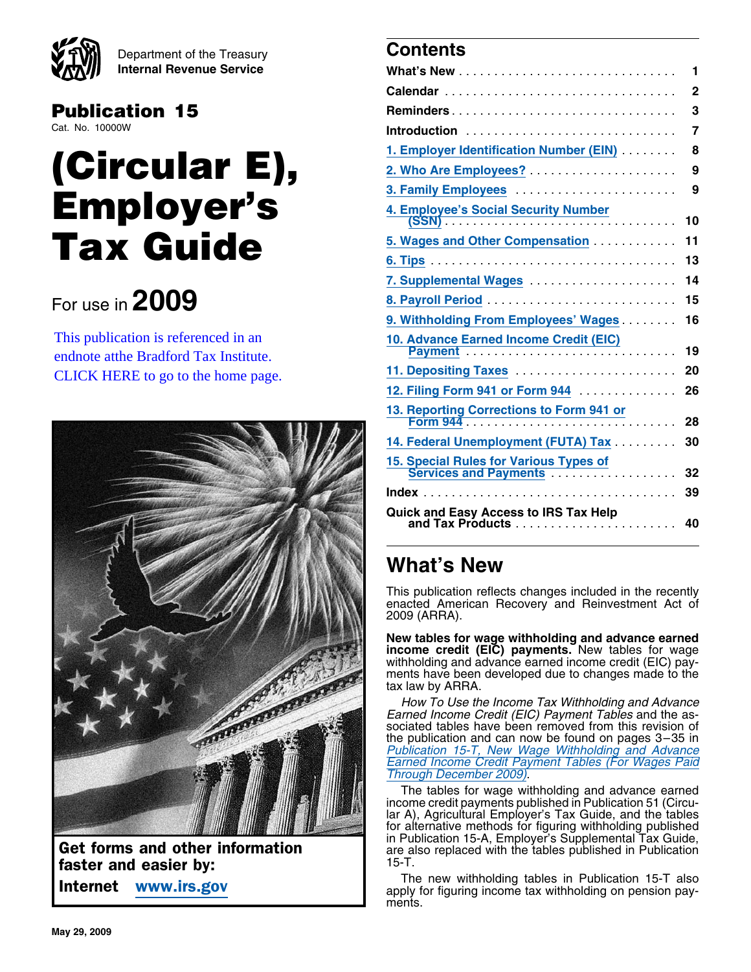

Department of the Treasury **Contents Internal Revenue Service** 

# **Publication 15**

# **(Circular E), 2. Who Are Employees?** ..................... **<sup>9</sup> Employer's Tax Guide**

# **8. Payroll Period** ........................... **<sup>15</sup>** For use in **2009**



**faster and easier by:**<br> **15-The new withholding tables in Publication 15-T also**<br> **15-T** The new withholding tables in Publication 15-T also

| ŸФ<br><b>Internal Revenue Service</b>                                         |                                                                                                               |                         |
|-------------------------------------------------------------------------------|---------------------------------------------------------------------------------------------------------------|-------------------------|
|                                                                               |                                                                                                               |                         |
| <b>Publication 15</b>                                                         |                                                                                                               |                         |
| Cat. No. 10000W                                                               |                                                                                                               | $\overline{7}$          |
|                                                                               | 1. Employer Identification Number (EIN)                                                                       | 8                       |
| (Circular E),                                                                 |                                                                                                               | $\overline{\mathbf{9}}$ |
|                                                                               |                                                                                                               |                         |
| <b>Employer's</b>                                                             |                                                                                                               |                         |
| <b>Tax Guide</b>                                                              | 5. Wages and Other Compensation  11                                                                           |                         |
|                                                                               |                                                                                                               |                         |
|                                                                               | 7. Supplemental Wages  14                                                                                     |                         |
| For use in $2009$                                                             |                                                                                                               |                         |
|                                                                               | 9. Withholding From Employees' Wages  16                                                                      |                         |
| This publication is referenced in an<br>endnote atthe Bradford Tax Institute. | 10. Advance Earned Income Credit (EIC)                                                                        |                         |
| CLICK HERE to go to the home page.                                            |                                                                                                               |                         |
|                                                                               | 12. Filing Form 941 or Form 944 <b>Marshall</b> 26                                                            |                         |
|                                                                               |                                                                                                               |                         |
|                                                                               | 14. Federal Unemployment (FUTA) Tax                                                                           | 30                      |
|                                                                               | 15. Special Rules for Various Types of<br>Services and Payments<br>Communication of the Services and Payments |                         |
|                                                                               |                                                                                                               |                         |
|                                                                               | Quick and Easy Access to IRS Tax Help<br>and Tax Products                                                     | 40                      |

# **What's New**

This publication reflects changes included in the recently enacted American Recovery and Reinvestment Act of 2009 (ARRA).

**New tables for wage withholding and advance earned income credit (EIC) payments.** New tables for wage withholding and advance earned income credit (EIC) payments have been developed due to changes made to the tax law by ARRA.

How To Use the Income Tax Withholding and Advance Earned Income Credit (EIC) Payment Tables and the associated tables have been removed from this revision of the publication and can now be found on pages 3–35 in Publication 15-T, New Wage Withholding and Advance Earned Income Credit Payment Tables (For Wages Paid Through December 2009).

The tables for wage withholding and advance earned income credit payments published in Publication 51 (Circular A), Agricultural Employer's Tax Guide, and the tables for alternative methods for figuring withholding published<br>in Publication 15-A, Employer's Supplemental Tax Guide, Get forms and other information  $\left\{\n\begin{array}{c}\n\text{ar} \\
\text{ar} \\
\text{ar} \\
\text{ar} \\
\text{ar} \\
\text{ar} \\
\text{ar} \\
\text{ar} \\
\text{ar} \\
\text{ar} \\
\text{ar} \\
\text{ar} \\
\text{ar} \\
\text{ar} \\
\text{ar} \\
\text{ar} \\
\text{ar} \\
\text{ar} \\
\text{ar} \\
\text{ar} \\
\text{ar} \\
\text{ar} \\
\text{ar} \\
\text{ar} \\
\text{ar} \\
\text{ar} \\
\text{ar} \\
\text{ar} \\
\text{ar} \\
\$ 

Internet www.irs.gov and Internet www.irs.gov apply for figuring income tax withholding on pension payments.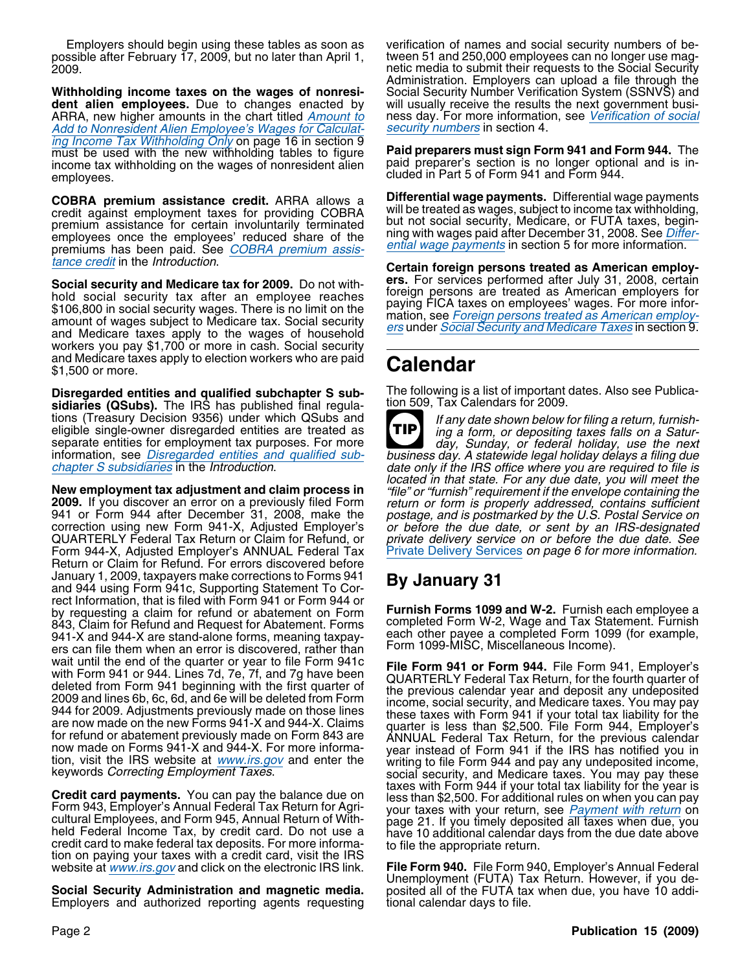Employers should begin using these tables as soon as verification of names and social security numbers of be-2009. netic media to submit their requests to the Social Security

**Withholding income taxes on the wages of nonresi-** Social Security Number Verification System (SSNVS) and **dent alien employees.** Due to changes enacted by will usually receive the results the next government busi-ARRA, new higher amounts in the chart titled Amount to ness day. For more information, see Verification of social Add to Nonresident Alien Employee's Wages for Calculat-<br>
security numbers in section 4. Add to Nonresident Alien Employee's Wages for Calculating Income Tax Withholding Only on page 16 in section 9 must be used with the new withholding tables to figure **Paid preparers must sign Form 941 and Form 944.** The income tax withholding on the wages of nonresident alien paid preparer's section is no longer optional and is inincome tax withholding on the wages of nonresident alien employees. completes and the magnetic methods of the methods of cluded in Part 5 of Form 941 and Form 944.

credit against employment taxes for providing COBRA<br>premium assistance for certain involuntarily terminated<br>employees once the employees' reduced share of the<br>premiums has been paid. See COBRA premium assis-<br>tance credit i

**Social security and Medicare tax for 2009.** Do not with-<br>hold social security tax after an employee reaches<br>\$106,800 in social security wages. There is no limit on the<br>amount of wages subject to Medicare tax. Social secu workers you pay \$1,700 or more in cash. Social security and Medicare taxes apply to election workers who are paid \$1,500 or more. **Calendar**

**Disregarded entities and qualified subchapter S sub-** The following is a list of important dates. Also see Publica-<br>sidiaries (OSubs), The IRS has published final requia- tion 509, Tax Calendars for 2009. sidiaries (QSubs). The IRS has published final regulations (Treasury Decision 9356) under which QSubs and<br>eligible single-owner disregarded entities are treated as<br>separate entities for employment tax purposes. For more<br>day, Sunday, or federal holiday, use the next

**New employment tax adjustment and claim process in** "file" or "furnish" requirement if the envelope containing the **2009.** If you discover an error on a previously filed Form eturn or form is properly addressed, contains Form 944-X, Adjusted Employer's ANNUAL Federal Tax Return or Claim for Refund. For errors discovered before January 1, 2009, taxpayers make corrections to Forms 941 **By January 31** and 944 using Form 941c, Supporting Statement To Correct Information, that is filed with Form 941 or Form 944 or by requesting a claim for refund or abatement on Form **Furnish Forms 1099 and W-2.** Furnish each employee a 843, Claim for Refund and Request for Abatement. Forms each other payee a completed Form 1099 (for example, 941-X and 944-X are stand-alone forms, meaning taxpay-<br>each other payee a completed Form 1099-MISC, Miscellaneous Income). ers can file them when an error is discovered, wait until the end of the quarter or year to file Form 941c<br>with Form 941. File Form 941. File Form 941, Employer's<br>with Form 941 or Potal Lines 7d, 7e, 7f, and 7g have been<br>deleted from Form 341 or Bouring with the first

held Federal Income Tax, by credit card. Do not use a have 10 additional calendar days from the due date above<br>credit card to make federal tax deposits. For more informa-<br>tion on paying your taxes with a credit card, visit website at *www.irs.gov* and click on the electronic IRS link.

**Social Security Administration and magnetic media.** posited all of the FUTA tax when due, you have 10 addi-<br>Employers and authorized reporting agents requesting tional calendar days to file. Employers and authorized reporting agents requesting

tween 51 and 250,000 employees can no longer use mag-Administration. Employers can upload a file through the

**COBRA premium assistance credit.** ARRA allows a **Differential wage payments.** Differential wage payments

**Certain foreign persons treated as American employ-<br>
<b>ers.** For services performed after July 31, 2008, certain

**TIP** information, see Disregarded entities and qualified sub-<br>chapter S subsidiaries in the Introduction. date only if the IRS office where you are required to file is<br>located in that state. For any due date, you will meet the private delivery service on or before the due date. See<br>Private Delivery Services on page 6 for more information.

keywords Correcting Employment Taxes.<br>
Credit card payments. You can pay the balance due on<br>
Form 943, Employer's Annual Federal Tax Return for Agri-<br>
cultural Employees, and Form 945, Annual Return of With-<br>
cultural Empl

Unemployment (FUTA) Tax Return. However, if you de-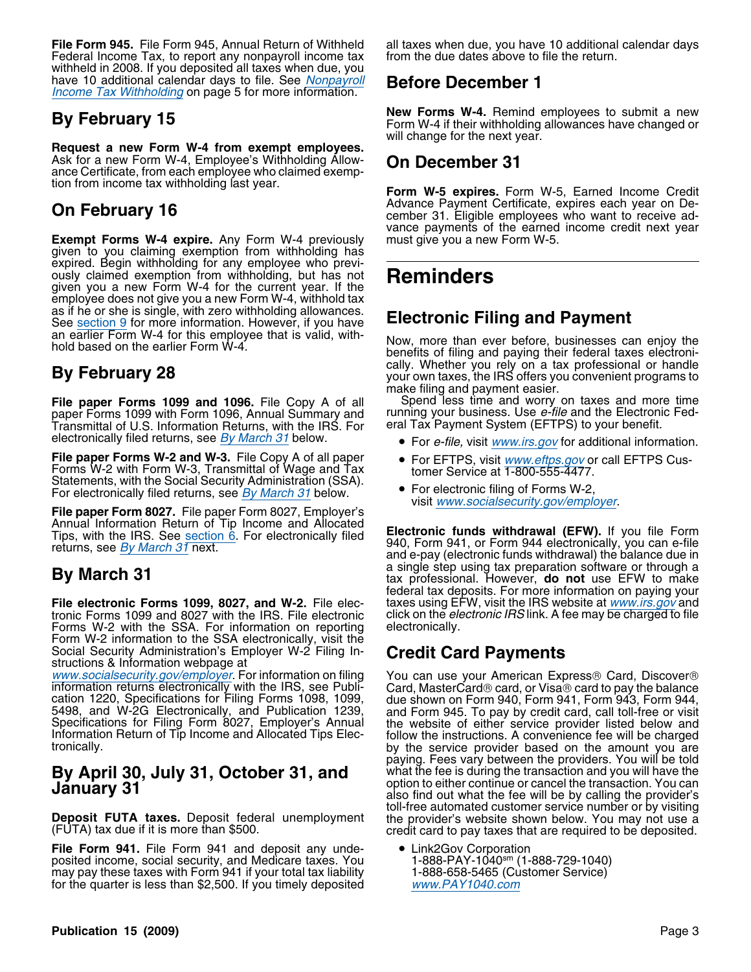**File Form 945.** File Form 945, Annual Return of Withheld all taxes when due, you have 10 additional calendar days Federal Income Tax, to report any nonpayroll income tax from the due dates above to file the return. withheld in 2008. If you deposited all taxes when due, you have 10 additional calendar days to file. See Nonpayroll **Before December 1** Income Tax Withholding on page 5 for more information.

**Request a new Form W-4 from exempt employees.** Ask for a new Form W-4, Employee's Withholding Allow-<br>ance Certificate, from each employee who claimed exemp-<br>tion from income tax withholding last year.

**Exempt Forms W-4 expire.** Any Form W-4 previously must give you a new Form W-5. given to you claiming exemption from withholding has expired. Begin withholding for any employee who previously claimed exemption from withholding, but has not **Reminders** given you a new Form W-4 for the current year. If the employee does not give you a new Form W-4, withhold tax as if he or she is single, with zero withholding allowances. as in the or stile is single, with zero withholding allowances.<br>See section 9 for more information. However, if you have<br>an earlier Form W-4 for this employee that is valid, with-

**File paper Forms 1099 and 1096.** File Copy A of all Spend less time and worry on taxes and more time paper Forms 1099 with Form 1096, Annual Summary and running your business. Use *e-file* and the Electronic Fedpaper Forms 1099 with Form 1096, Annual Summary and running your business. Use *e-file* and the Electroni<br>Transmittal of U.S. Information Returns, with the IRS. For eral Tax Payment System (EFTPS) to your benefit. electronically filed returns, see By March 31 below.

**File paper Forms W-2 and W-3.** File Copy A of all paper • For EFTPS, visit *www.eftps.gov* or call EFTPS Cus-<br>Forms W-2 with Form W-3, Transmittal of Wage and Tax bomer Service at 1-800-555-4477. Forms W-2 with Form W-3, Transmittal of Wage and Tax Statements, with the Social Security Administration (SSA).<br>For electronically filed returns, see *By March 31* below.

Annual Information Return of Tip Income and Allocated Tips, with the IRS. See section 6. For electronically filed **Electronic funds withdrawal (EFW).** If you file Form Tips, with the IRS. See section 6. For electronically filed **Electronic funds withdrawal (EFW).** If you can

**File electronic Forms 1099, 8027, and W-2.** File elec- taxes using EFW, visit the IRS website at *www.irs.gov* and tronic Forms 1099 and 8027 with the IRS. File electronic click on the *electronic IRS* link. A fee may be tronic Forms 1099 and 8027 with the IRS. File electronic click on the electronically.<br>Forms W-2 with the SSA. For information on reporting electronically. Forms W-2 with the SSA. For information on reporting Form W-2 information to the SSA electronically, visit the Social Security Administration's Employer W-2 Filing In- **Credit Card Payments** structions & Information webpage at

www.socialsecurity.gov/employer. For information on filing You can use your American Express® Card, Discover®<br>information returns electronically with the IRS, see Publi- Card, MasterCard® card, or Visa® card to pay the bal cation 1220, Specifications for Filing Forms 1098, 1099, due shown on Form 940, Form 941, Form 943, Form 944, 5498, and W-2G Electronically, and Publication 1239, and Form 945. To pay by credit card, call toll-free or visi

**Deposit FUTA taxes.** Deposit federal unemployment the provider's website shown below. You may not use a (FUTA) tax due if it is more than \$500.

**File Form 941.** File Form 941 and deposit any unde-<br>posited income, social security, and Medicare taxes. You <br>may pay these taxes with Form 941 if your total tax liability 1-888-658-5465 (Customer Service) posited income, social security, and Medicare taxes. You 1-888-PAY-1040sm (1-888-729-1040) may pay these taxes with Form 941 if your total tax liability 1-888-658-5465 (Customer Service) for the quarter is less than \$2,500. If you timely deposited www.PAY1040.com

**By February 15 By February 15 Bullet Commeters** New Forms W-4. Remind employees to submit a new Form W-4 if their withholding allowances have changed or will change for the next year.

Form W-5 expires. Form W-5, Earned Income Credit Advance Payment Certificate, expires each year on De-**On February 16** Certificate, expires each year on De-<br> **On February 16** cember 31. Eligible employees who want to receive advance payments of the earned income credit next year

an earlier Form W-4 for this employee that is valid, with- Now, more than ever before, businesses can enjoy the<br>hold based on the earlier Form W-4. benefits of filing and paying their federal taxes electronically. Whether you rely on a tax professional or handle **By February 28** your own taxes, the IRS offers you convenient programs to make filing and payment easier.

- For *e-file, visit www.irs.gov* for additional information.
- 
- For electronically filed returns, see <u>By March 31</u> below. <br> **File paper Form 8027.** File paper Form 8027, Employer's visit www.socialsecurity.gov/employer.

and e-pay (electronic funds withdrawal) the balance due in a single step using tax preparation software or through a **By March 31** tax professional. However, **do not** use EFW to make federal tax deposits. For more information on paying your taxes using EFW, visit the IRS website at *www.irs.gov* and

paying. Fees vary between the providers. You will be told **By April 30, July 31, October 31, and** what the fee is during the transaction and you will have the **January 31 January 31** also find out what the fee will be by calling the provider's toll-free automated customer service number or by visiting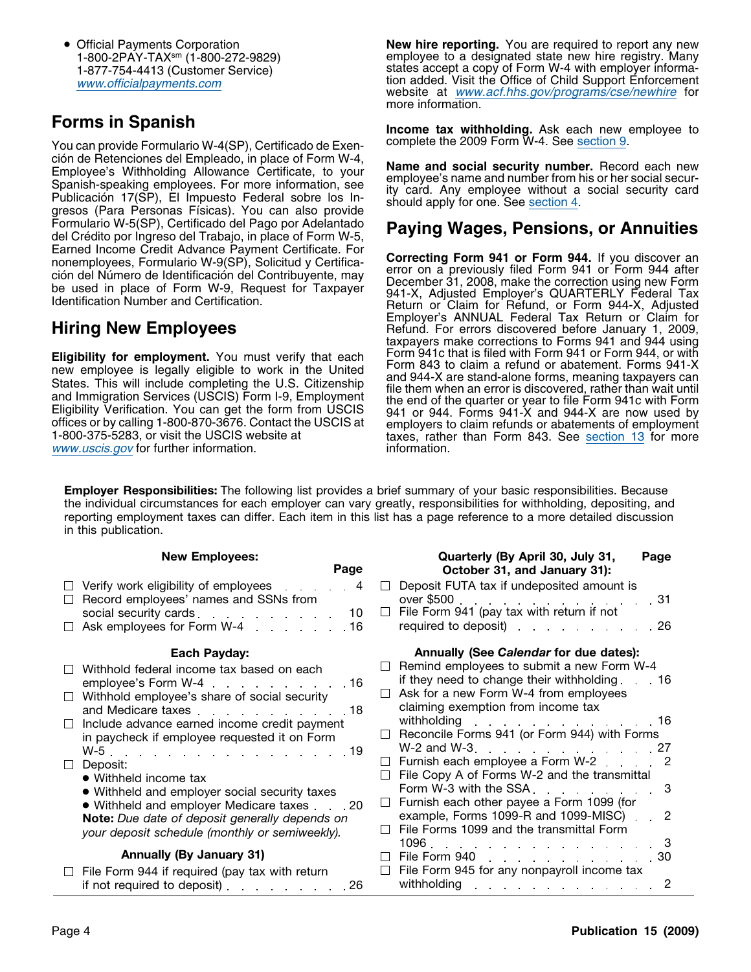• Official Payments Corporation

You can provide Formulario W-4(SP), Certificado de Exención de Retenciones del Empleado, in place of Form W-4,<br>Employee's Withholding Allowance Certificate, to your<br>Spanish-speaking employees. For more information, see<br>Publicación 17(SP), El Impuesto Federal sobre los In-<br>gres Formulario W-5(SP), Certificado del Pago por Adelantado<br>del Crédito por Ingreso del Trabajo, in place of Form W-5,<br>Earned Income Credit Advance Payment Certificate. For a compatter Form 244 or Form 244, if y a diago and

www.uscis.gov for further information. information.

**New hire reporting.** You are required to report any new 1-800-2PAY-TAXsm (1-800-272-9829) employee to a designated state new hire registry. Many 1-877-754-4413 (Customer Service) states accept a copy of Form W-4 with employer informawww.officialpayments.com tion added. Visit the Office of Child Support Enforcement website at www.acf.hhs.gov/programs/cse/newhire for more information.

**Forms in Spanish**<br>You can provide Formulario W-4(SP). Certificado de Exen-<br>Complete the 2009 Form W-4. See section 9.

nonemployees, Formulario W-9(SP), Solicitud y Certifica-<br>
ción del Número de Identificación del Contribuyente, may<br>
be used in place of Form W-9, Request for Taxpayer<br>
letturn or Claim for Refund, or Form 944-X, Adjusted<br> **Hiring New Employees Example Tax Refund. For errors discovered before January 1, 2009,** taxpayers make corrections to Forms 941 and 944 using<br>Form 941c that is filed with Form 941 or Form 944, or with Eligibility for employment. You must verify that each<br>new employee is legally eligible to work in the United<br>States. This will include completing the U.S. Citizenship<br>and 944-X are stand-alone forms, meaning taxpayers can<br>

**Employer Responsibilities:** The following list provides a brief summary of your basic responsibilities. Because the individual circumstances for each employer can vary greatly, responsibilities for withholding, depositing, and reporting employment taxes can differ. Each item in this list has a page reference to a more detailed discussion in this publication.

| Page<br>October 31, and January 31):<br>Deposit FUTA tax if undeposited amount is<br>Verify work eligibility of employees 4<br>Record employees' names and SSNs from<br>over \$500 31<br>File Form 941 (pay tax with return if not<br>social security cards<br>$\Box$<br>10<br>required to deposit) required to deposit<br>Ask employees for Form W-4 16<br>Annually (See Calendar for due dates):<br>Each Payday:<br>Remind employees to submit a new Form W-4<br>$\Box$<br>Withhold federal income tax based on each<br>if they need to change their withholding $\ldots$ 16<br>employee's Form W-4 16<br>Ask for a new Form W-4 from employees<br>$\Box$<br>Withhold employee's share of social security<br>claiming exemption from income tax<br>and Medicare taxes expansion and Medicare taxes<br>withholding 16<br>Include advance earned income credit payment<br>Reconcile Forms 941 (or Form 944) with Forms<br>$\mathsf{L}$<br>in paycheck if employee requested it on Form<br>W-2 and W-3. 27<br>W-5. 19<br>Furnish each employee a Form W-2 2<br>$\mathbf{1}$<br>Deposit:<br>File Copy A of Forms W-2 and the transmittal<br>$\Box$<br>• Withheld income tax<br>Form W-3 with the SSA 3<br>• Withheld and employer social security taxes<br>Furnish each other payee a Form 1099 (for<br>$\perp$<br>• Withheld and employer Medicare taxes 20<br>example, Forms 1099-R and 1099-MISC) . 2<br>Note: Due date of deposit generally depends on<br>File Forms 1099 and the transmittal Form<br>$\perp$<br>your deposit schedule (monthly or semiweekly).<br>$1096.$ and $1096.$<br>Annually (By January 31)<br>File Form 940 30<br>File Form 945 for any nonpayroll income tax<br>$\Box$<br>File Form 944 if required (pay tax with return<br>withholding<br>if not required to deposit) $\ldots$ $\ldots$ $\ldots$ 26<br>. <b>.</b> 2 | <b>New Employees:</b> | Quarterly (By April 30, July 31,<br>Page |
|-------------------------------------------------------------------------------------------------------------------------------------------------------------------------------------------------------------------------------------------------------------------------------------------------------------------------------------------------------------------------------------------------------------------------------------------------------------------------------------------------------------------------------------------------------------------------------------------------------------------------------------------------------------------------------------------------------------------------------------------------------------------------------------------------------------------------------------------------------------------------------------------------------------------------------------------------------------------------------------------------------------------------------------------------------------------------------------------------------------------------------------------------------------------------------------------------------------------------------------------------------------------------------------------------------------------------------------------------------------------------------------------------------------------------------------------------------------------------------------------------------------------------------------------------------------------------------------------------------------------------------------------------------------------------------------------------------------------------------------------------------------------------------------------------------------------------------------------------|-----------------------|------------------------------------------|
|                                                                                                                                                                                                                                                                                                                                                                                                                                                                                                                                                                                                                                                                                                                                                                                                                                                                                                                                                                                                                                                                                                                                                                                                                                                                                                                                                                                                                                                                                                                                                                                                                                                                                                                                                                                                                                                 |                       |                                          |
|                                                                                                                                                                                                                                                                                                                                                                                                                                                                                                                                                                                                                                                                                                                                                                                                                                                                                                                                                                                                                                                                                                                                                                                                                                                                                                                                                                                                                                                                                                                                                                                                                                                                                                                                                                                                                                                 |                       |                                          |
|                                                                                                                                                                                                                                                                                                                                                                                                                                                                                                                                                                                                                                                                                                                                                                                                                                                                                                                                                                                                                                                                                                                                                                                                                                                                                                                                                                                                                                                                                                                                                                                                                                                                                                                                                                                                                                                 |                       |                                          |
|                                                                                                                                                                                                                                                                                                                                                                                                                                                                                                                                                                                                                                                                                                                                                                                                                                                                                                                                                                                                                                                                                                                                                                                                                                                                                                                                                                                                                                                                                                                                                                                                                                                                                                                                                                                                                                                 |                       |                                          |
|                                                                                                                                                                                                                                                                                                                                                                                                                                                                                                                                                                                                                                                                                                                                                                                                                                                                                                                                                                                                                                                                                                                                                                                                                                                                                                                                                                                                                                                                                                                                                                                                                                                                                                                                                                                                                                                 |                       |                                          |
|                                                                                                                                                                                                                                                                                                                                                                                                                                                                                                                                                                                                                                                                                                                                                                                                                                                                                                                                                                                                                                                                                                                                                                                                                                                                                                                                                                                                                                                                                                                                                                                                                                                                                                                                                                                                                                                 |                       |                                          |

 $\Box$ 

 $\Box$  $\Box$ 

 $\Box$ 

 $\Box$ 

 $\Box$ 

 $\Box$ 

 $\Box$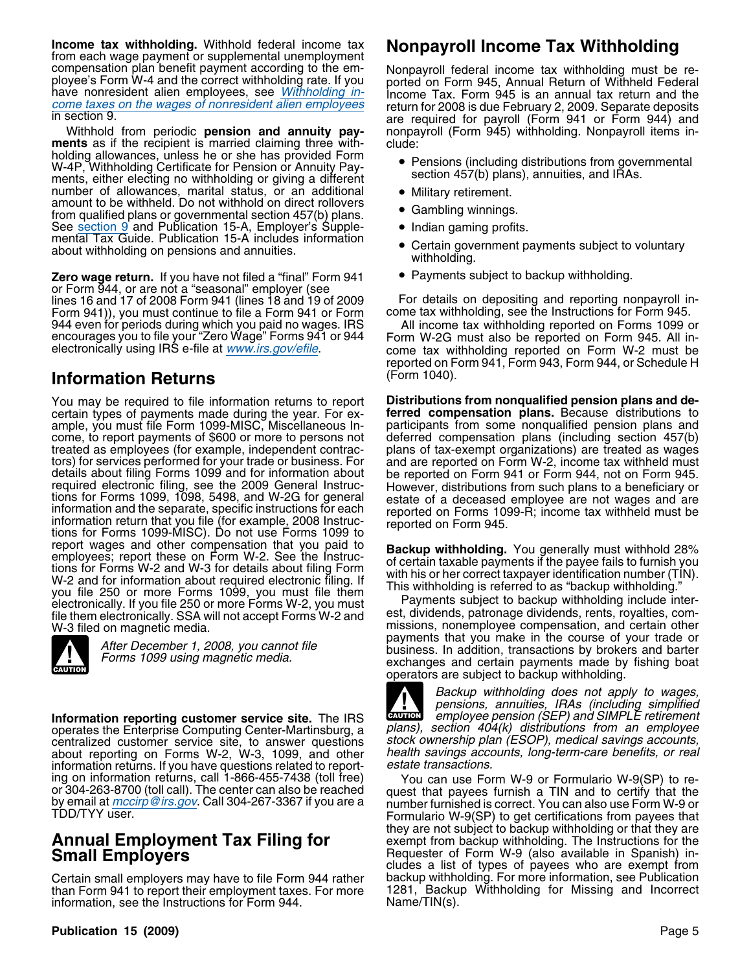**Income tax withholding.** Withhold federal income tax **Nonpayroll Income Tax Withholding** from each wage payment or supplemental unemployment compensation plan benefit payment according to the em-<br>ployee's Form W-4 and the correct withholding rate. If you<br>have nonresident alien employees, see *Withholding in*-<br>come taxes on the wages of nonresident alien employe

**ments** as if the recipient is married claiming three with- clude: holding allowances, unless he or she has provided Form W-4P, Withholding Certificate for Pension or Annuity Pay- • Pensions (including distributions from governmental we introduce to the relation of Allitary and Section 457(b) plans), annuities, and IRAs.<br>ments, either electing no withholding or giving a different section 457(b) plans), annuities, and IRAs.<br>number of allowances, marital amount to be withheld. Do not withhold on direct rollovers • Gambling winnings. from qualified plans or governmental section 457(b) plans. See section 9 and Publication 15-A, Employer's Supple-<br>
mental Tax Guide. Publication 15-A includes information <br>
• Certain government payments subject to voluntary about withholding on pensions and annuities.<br>withholding withholding vital

**Zero wage return.** If you have not filed a "final" Form 941 • Payments subject to backup withholding. or Form 944, or are not a "seasonal" employer (see Form 941)), you must continue to file a Form 941 or Form 944 even for periods during which you paid no wages. IRS<br>encourages you to file your "Zero Wage" Forms 941 or 944<br>electronically using IRS e-file at <u>www.irs.gov/efile</u>. come tax withholding reported on Form 945. All in-<br>c

### (Form 1040). **Information Returns**

You may be required to file information returns to report **Distributions from nonqualified pension plans and de**certain types of payments made during the year. For ex-<br>ample, you must file Form 1099-MISC, Miscellaneous Income, to report payments of \$600 or more to persons not deferred compensation plans (including section 457(b) come treated as wages treated as employees (for example, independent contrac-<br>tors) for services performed for your trade or business. For<br>details about filing Forms 1099 and for information about<br>details about filing Forms 1099 and for informa method intervalses and other compensation that you paid to<br>
employees; report these on Form W-2. See the Instructions for Forms W-2 and W-3 for details about filing Form<br>
W-2 and for information about required electronic f



**Information reporting customer service site.** The IRS **CAUTION** employee pension (SEP) and SIMPLE retirement operates the Enterprise Computing Center-Martinsburg, a plans), section 404(k) distributions from an employee operates the Enterprise Computing Center-Martinsburg, a plans), section 404(k) distributions from an employee<br>centralized customer service site, to answer questions stock ownership plan (ESOP), medical savings accounts, centralized customer service site, to answer questions stock ownership plan (ESOP), medical savings accounts,<br>about reporting on Forms W-2, W-3, 1099, and other health savings accounts, long-term-care benefits, or real about reporting on Forms W-2, W-3, 1099, and other health savings accounts, long-<br>information returns, lf you have questions related to report- estate transactions. information returns. If you have questions related to report-<br>ing on information returns, call 1-866-455-7438 (toll free) You can use Form W-9 or Formulario W-9(SP) to reor 304-263-8700 (toll call). The center can also be reached quest that payees furnish a TIN and to certify that the<br>by email at *mccirp@irs.gov*. Call 304-267-3367 if you are a number furnished is correct. You can also use

Certain small employers may have to file Form 944 rather backup withholding. For more information, see Publication<br>than Form 941 to report their employment taxes. For more 1281, Backup Withholding for Missing and Incorrect than Form 941 to report their employment taxes. For more 1281, Backu<br>information, see the Instructions for Form 944. Name/TIN(s). information, see the Instructions for Form 944.

come taxes on the wages of nonresident alien employees return for 2008 is due February 2, 2009. Separate deposits<br>in section 9.<br>Withhold from periodic **pension and annuity pay-** nonpayroll (Form 945) withholding. Nonpayrol nonpayroll (Form 945) withholding. Nonpayroll items in-

- 
- 
- 
- 
- 
- 

For details on depositing and reporting nonpayroll in-<br>come tax withholding, see the Instructions for Form 945.

reported on Form 941, Form 943, Form 944, or Schedule H

participants from some nonqualified pension plans and deferred compensation plans (including section 457(b)

missions, nonemployee compensation, and certain other payments that you make in the course of your trade or After December 1, 2008, you cannot file<br>business. In addition, transactions by brokers and barter<br>exchanges and certain payments made by fishing boat operators are subject to backup withholding.

> Backup withholding does not apply to wages, pensions, annuities, IRAs (including simplified **CAUTION**

Formulario W-9(SP) to get certifications from payees that they are not subject to backup withholding or that they are **Annual Employment Tax Filing for** exempt from backup withholding. The Instructions for the **Small Employers Requester of Form W-9 (also available in Spanish) in-** Requester of Form W-9 (also available in Spanish) includes a list of types of payees who are exempt from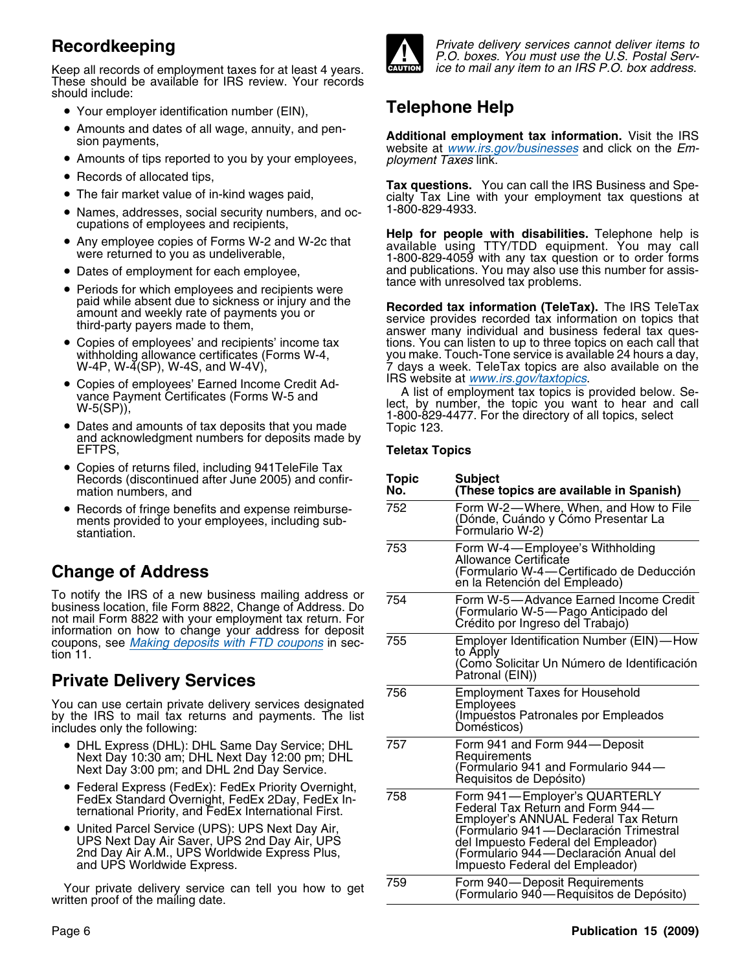Keep all records of employment taxes for at least 4 years. These should be available for IRS review. Your records should include:

- Your employer identification number (EIN), **Telephone Help**
- Amounts and dates of all wage, annuity, and pen-
- $\bullet$  Amounts of tips reported to you by your employees,  $\qquad p$  *loyment Taxes* link.
- Records of allocated tips,
- 
- Names, addresses, social security numbers, and oc- 1-800-829-4933.
- 
- Dates of employment for each employee,
- Periods for which employees and recipients were tance with unresolved tax problems.
- Copies of employees' and recipients' income tax
- Copies of employees' Earned Income Credit Ad-
- Dates and amounts of tax deposits that you made Dates and amounts of tax deposits that you made Topic 123.<br>Topic 123. and acknowledgment numbers for deposits made by<br>EFTPS.
- Copies of returns filed, including 941TeleFile Tax Records (discontinued after June 2005) and confirmation numbers, and **No. (These topics are available in Spanish)**
- ments provided to your employees, including substantiation.

# **Change of Address**

## **Private Delivery Services**

- DHL Express (DHL): DHL Same Day Service; DHL 757 Form 941 and Form 944—Deposit Next Day 10:30 am; DHL Next Day 12:00 pm; DHL Next Day 3:00 pm; and DHL 2nd Day Service.
- Federal Express (FedEx): FedEx Priority Overnight,  $\overline{R}$  Requisitos de Depósito) FedEx Standard Overnight, FedEx 2Day, FedEx International Priority, and FedEx International First.
- UPS Next Day Air Saver, UPS 2nd Day Air, UPS<br>2nd Day Air A.M., UPS Worldwide Express Plus, and UPS Worldwide Express.

Your private delivery service can tell you how to get written proof of the mailing date.



**Recordkeeping Private delivery services cannot deliver items to** P.O. boxes. You must use the U.S. Postal Serv-<br>ice to mail any item to an IRS P.O. box address.

Amounts and dates of all wage, annuity, and pen- **Additional employment tax information.** Visit the IRS sion payments, website at www.irs.gov/businesses and click on the Em-

Tax questions. You can call the IRS Business and Spe-<br>■ The fair market value of in-kind wages paid, and the cialty Tax Line with your employment tax questions at cialty Tax Line with your employment tax questions at

cupations of employees and recipients, **Help for people with disabilities.** Telephone help is •Any employee copies of Forms W-2 and W-2c that available using TTY/TDD equipment. You may call were returned to you as undeliverable, 1-800-829-4059 with any tax question or to order forms and publications. You may also use this number for assis-<br>tance with unresolved tax problems.

paid while absent due to sickness or injury and the **Recorded tax information (TeleTax).** The IRS TeleTax amount and weekly rate of payments you or<br>third-party payers made to them, answer many individual and business feder Copies of employees' and recipients' income tax tions. You can listen to up to three topics on each call that<br>withholding allowance certificates (Forms W-4, you make. Touch-Tone service is available 24 hours a day, withholding allowance certificates (Forms W-4, you make. Touch-Tone service is available 24 hours a day, w-4P, W-4(SP), W-4S, and W-4V), 7 days a week. TeleTax topics are also available on the IRS website at www.irs.gov/taxtopics.

Copies of employees' Earned Income Credit Ad-<br>
vance Payment Certificates (Forms W-5 and<br>
W-5(SP)),<br>  $\frac{1000,000,4477}{200,000,4477}$  For the direct sure following coloring lect, by number, the topic you want to hear and call 1-800-829-4477. For the directory of all topics, select

### **Teletax Topics**

| Opples of returns ined, including 54 Feet he Tax<br>Records (discontinued after June 2005) and confir-<br>mation numbers, and                                                                                                | <b>Topic</b><br>No. | <b>Subject</b><br>(These topics are available in Spanish)                                                                                                   |
|------------------------------------------------------------------------------------------------------------------------------------------------------------------------------------------------------------------------------|---------------------|-------------------------------------------------------------------------------------------------------------------------------------------------------------|
| • Records of fringe benefits and expense reimburse-<br>ments provided to your employees, including sub-<br>stantiation.                                                                                                      | 752                 | Form W-2—Where, When, and How to File<br>(Dónde, Cuándo y Cómo Presentar La<br>Formulario W-2)                                                              |
| hange of Address                                                                                                                                                                                                             | 753                 | Form W-4-Employee's Withholding<br>Allowance Certificate<br>(Formulario W-4-Certificado de Deducción<br>en la Retención del Empleado)                       |
| notify the IRS of a new business mailing address or<br>siness location, file Form 8822, Change of Address. Do<br>t mail Form 8822 with your employment tax return. For<br>ormation on how to change your address for deposit | 754                 | Form W-5-Advance Earned Income Credit<br>(Formulario W-5-Pago Anticipado del<br>Crédito por Ingreso del Trabajo)                                            |
| upons, see Making deposits with FTD coupons in sec-<br>n 11.<br>rivate Delivery Services                                                                                                                                     | 755                 | Employer Identification Number (EIN)—How<br>to Apply<br>(Como Solicitar Un Número de Identificación<br>Patronal (EIN))                                      |
| u can use certain private delivery services designated<br>the IRS to mail tax returns and payments. The list<br>cludes only the following:                                                                                   | 756                 | <b>Employment Taxes for Household</b><br>Employees<br>(Impuestos Patronales por Empleados<br>Domésticos)                                                    |
| • DHL Express (DHL): DHL Same Day Service; DHL<br>Next Day 10:30 am; DHL Next Day 12:00 pm; DHL<br>Next Day 3:00 pm; and DHL 2nd Day Service.                                                                                | 757                 | Form 941 and Form 944-Deposit<br>Requirements<br>(Formulario 941 and Formulario 944—<br>Reguisitos de Depósito)                                             |
| ● Federal Express (FedEx): FedEx Priority Overnight,<br>FedEx Standard Overnight, FedEx 2Day, FedEx In-<br>ternational Priority, and FedEx International First.                                                              | 758                 | Form 941-Employer's QUARTERLY<br>Federal Tax Return and Form 944-<br>Employer's ANNUAL Federal Tax Return                                                   |
| United Parcel Service (UPS): UPS Next Day Air,<br>UPS Next Day Air Saver, UPS 2nd Day Air, UPS<br>2nd Day Air A.M., UPS Worldwide Express Plus,<br>and UPS Worldwide Express.                                                |                     | (Formulario 941 - Declaración Trimestral<br>del Impuesto Federal del Empleador)<br>(Formulario 944—Declaración Anual del<br>Impuesto Federal del Empleador) |
| Your private delivery service can tell you how to get<br>ittan nroof of tha mailing data.                                                                                                                                    | 759                 | Form 940-Deposit Requirements<br>(Formulario 940 — Requisitos de Depósito)                                                                                  |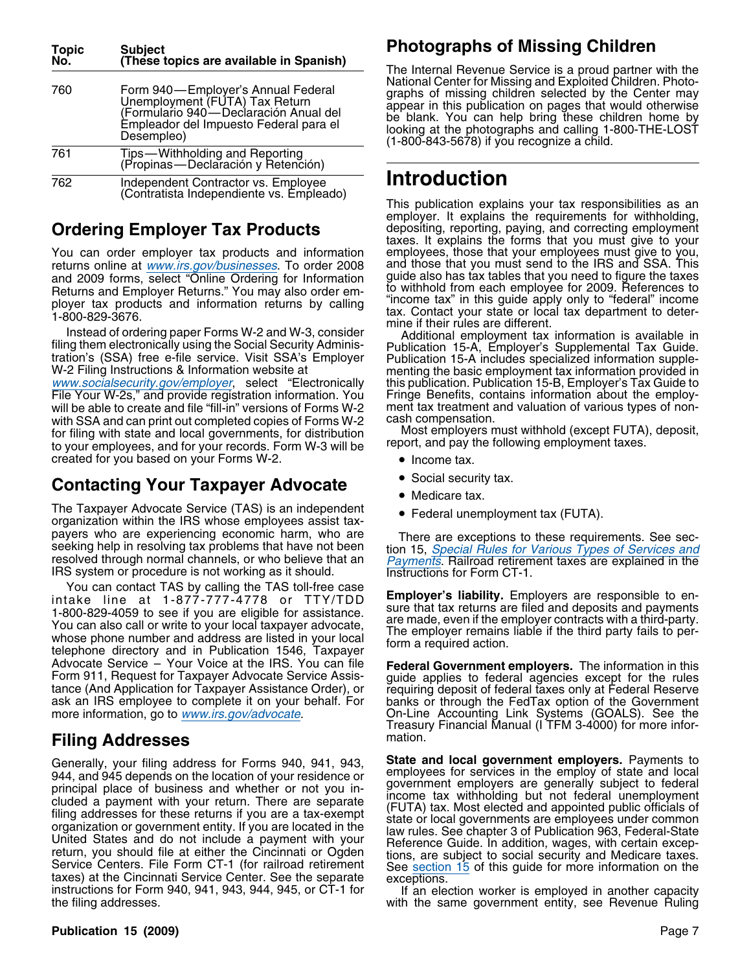| <b>Topic</b><br>No. | <b>Subject</b><br>(These topics are available in Spanish)                                                                                                             |
|---------------------|-----------------------------------------------------------------------------------------------------------------------------------------------------------------------|
| 760                 | Form 940—Employer's Annual Federal<br>Unemployment (FUTA) Tax Return<br>(Formulario 940—Declaración Anual del<br>Empleador del Impuesto Federal para el<br>Desempleo) |
| 761                 | Tips—Withholding and Reporting<br>(Propinas—Declaración y Retención)                                                                                                  |
| 762                 | Independent Contractor vs. Employee<br>(Contratista Independiente vs. Empleado)                                                                                       |

returns online at www.irs.gov/businesses. To order 2008 and those that you must send to the IRS and SSA. This<br>and 2009 forms, select "Online Ordering for Information guide also has tax tables that you need to figure the ta and 2009 forms, select "Online Ordering for Information guide also has tax tables that you need to figure the taxes<br>Beturns and Employer Beturns," You may also order em. to withhold from each employee for 2009. References Returns and Employer Returns." You may also order em-<br>ployer tax, products, and information returns, by calling. "income tax" in this guide apply only to "federal" income

Ployer tax products and information returns by calling<br>1-800-829-3676.<br>Instead of ordering paper Forms W-2 and W-3, consider<br>Instead of ordering paper Forms W-2 and W-3, consider<br>Instead of ordering paper Forms W-2 and W-3

www.socialsecurity.gov/employer, select "Electronically this publication. Publication 15-B, Employer's Tax Guide to<br>File Your W-2s," and provide registration information. You Fringe Benefits, contains information about the will be able to create and file "fill-in" versions of Forms W-2 with SSA and can print out completed copies of Forms W-2 cash compensation.<br>for filing with state and local governments, for distribution Most employers must withhold (except FUTA), deposit, for filing with state and local governments, for distribution Most employers must withhold (except FUTA) to your employees, and for your records. Form W-3 will be report, and pay the following employment taxes. created for you based on your Forms W-2. • Income tax.

## **Contacting Your Taxpayer Advocate**

The Taxpayer Advocate Service (TAS) is an independent • Federal unemployment tax (FUTA). organization within the IRS whose employees assist taxpayers who are experiencing economic harm, who are<br>seeking help in resolving tax problems that have not been<br>resolved through normal channels, or who believe that an<br>IRS system or procedure is not working as it should.<br>IRS

You can contact TAS by calling the TAS toll-free case<br>intake line at 1-877-777-4778 or TTY/TDD<br>1-800-829-4059 to see if you are eligible for assistance.<br>You can also call or write to your local taxpayer advocate,<br>whose pho Advocate Service – Your Voice at the IRS. You can file **Federal Government employers.** The information in this Form 911, Request for Taxpayer Advocate Service Assis- guide applies to federal agencies except for the rules tance (And Application for Taxpayer Assistance Order), or requiring deposit of federal taxes only at Federal Reserve<br>ask an IRS employee to complete it on your behalf. For banks or through the FedTax option of the Governme

## **Filing Addresses** mation.

944, and 945 depends on the location of your residence or<br>principal place of business and whether or not you in-<br>principal place of business and whether or not you in-<br>cluded a payment with your return. There are separate<br>

# **Photographs of Missing Children**

The Internal Revenue Service is a proud partner with the National Center for Missing and Exploited Children. Photo-Form 940—Employer's Annual Federal Mational Center for Missing and Exploited Children. Photo-<br>
Unemployment (FUTA) Tax Return<br>
(Formulario 940—Declaración Anual del<br>
Empleador del Impuesto Federal para el<br>
Desempleo) (1-80

# **Introduction**

This publication explains your tax responsibilities as an employer. It explains the requirements for withholding, **Ordering Employer Tax Products** and the positing, reporting, paying, and correcting employment date of the texplains the forms that you must give to your You can order employer tax products and information employees, those that your employees must give to you,<br>returns online at www.irs.gov/businesses. To order 2008 and those that you must send to the IRS and SSA. This

Fringe Benefits, contains information about the employ-<br>ment tax treatment and valuation of various types of non-

- 
- Social security tax.
- Medicare tax.
- 

On-Line Accounting Link Systems (GOALS). See the Treasury Financial Manual (I TFM 3-4000) for more infor-

Generally, your filing address for Forms 940, 941, 943, **State and local government employers.** Payments to General State and local state and local General of the employ of state and local

with the same government entity, see Revenue Ruling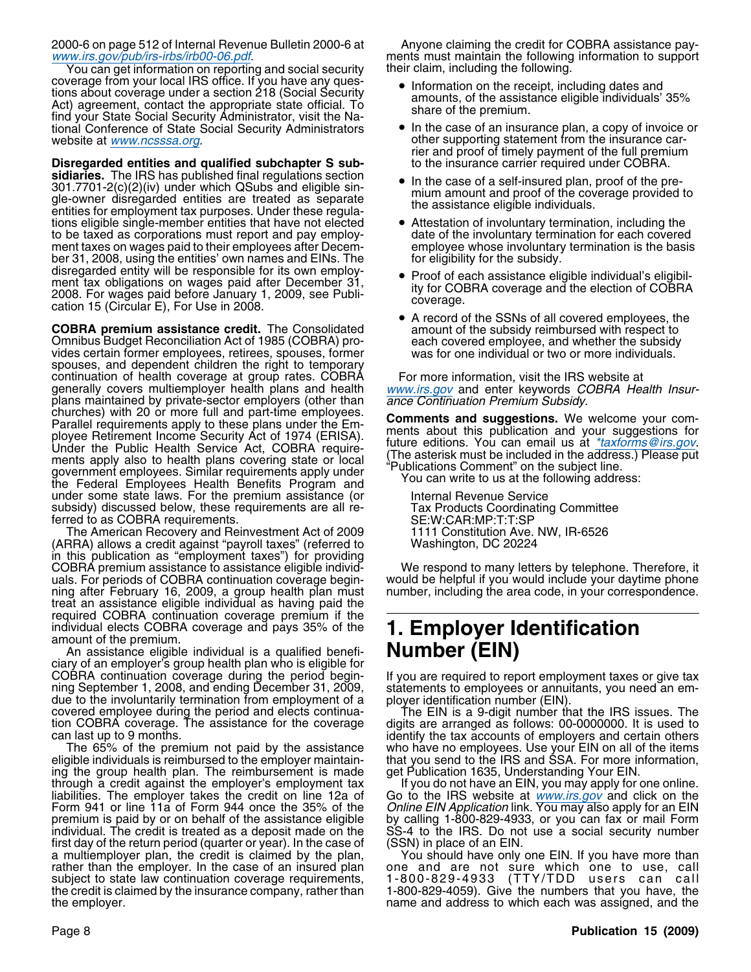2000-6 on page 512 of Internal Revenue Bulletin 2000-6 at Anyone claiming the credit for COBRA assistance paywww.irs.gov/pub/irs-irbs/irb00-06.pdf. ments must maintain the following information to support

You can get information on reporting and social security their claim, including the following. coverage from your local IRS office. If you have any ques-<br>tions about coverage under a section 218 (Social Security, entirely approach on the receipt, including dates and The term of the receipt, moltoning tales and<br>
Act) agreement, contact the appropriate state official. To<br>
find your State Social Security Administrator, visit the Na-<br>
tional Conference of State Social Security Administrat tional Conference of State Social Security Administrators website at *www.ncsssa.org*.

**Disregarded entities and qualified subchapter S sub-** to the insurance carrier required under COBRA. sidiaries. The IRS has published final regulations section<br>2014 7701 0(a)(a)(i)) under which OSube and eligible sin 301.7701-2(c)(2)(iv) under which QSubs and eligible sin-<br>gle-owner disregarded entities are treated as separate entities for employment tax purposes. Under these regula-<br>entities for employment tax purposes. Under these re tions eligible single-member entities that have not elected • Attestation of involuntary termination, including the to be taxed as corporations must report and pay employ- date of the involuntary termination for each covered ment taxes on wages paid to their employees after Decem- employee whose involuntary termination is the basis ber 31, 2008, using the entities' own names and EINs. The forecally for the subsidy. ber 31, 2008, using the entities' own names and EINs. The disregarded entity will be responsible for its own employ-<br>ment tax obligations on wages paid after December 31 • Proof of each assistance eligible individual's eligibilment tax obligations on wages paid after December 31,<br>2008. For wages paid before January 1, 2009, see Publi-<br>cation 15 (Circular E), For Use in 2008.

**COBRA premium assistance credit.** The Consolidated amount of the subsidy reimbursed with respect to Omnibus Budget Reconciliation Act of 1985 (COBRA) pro-<br>vides certain former employees, retirees, spouses, former was for spouses, and dependent children the right to temporary continuation of health coverage at group rates. COBRA For more information, visit the IRS website at generally covers multiemployer health plans and health www.irs.gov and enter keywords COBRA Health Insurgenerally covers multiemployer health plans and health www.irs.gov and enter keywords C<br>plans maintained by private-sector employers (other than ance Continuation Premium Subsidy. plans maintained by private-sector employers (other than<br>churches) with 20 or more full and part-time employees.<br>Parallel requirements apply to these plans under the Em-<br>ployee Retirement Income Security Act of 1974 (ERISA under some state laws. For the premium assistance (or Internal Revenue Service<br>
subsidy) discussed below, these requirements are all re-<br>
Tax Products Coordinating Committee subsidy) discussed below, these requirements are all re- Tax Products Coordinating Committe<br>ferred to as COBRA requirements.<br>The American Recovery and Reinvestment Act of 2009 1111 Constitution Ave. NW, IR-6526

The American Recovery and Reinvestment Act of 2009 1111 Constitution Ave. I<br>RRA) allows a credit against "payroll taxes" (referred to Saman Mashington, DC 20224 (ARRA) allows a credit against "payroll taxes" (referred to in this publication as "employment taxes") for providing COBRA premium assistance to assistance eligible individ-<br>uals. For periods of COBRA continuation coverage begin-<br>would be helpful if you would include your daytime phone ning after February 16, 2009, a group health plan must treat an assistance eligible individual as having paid the required COBRA continuation coverage premium if the individual elects COBRA coverage and pays 35% of the

An assistance eligible individual is a qualified benefi- **Number (EIN)** ciary of an employer's group health plan who is eligible for COBRA continuation coverage during the period begin-<br>ning September 1, 2008, and ending December 31, 2009,<br>due to the involuntarily termination from employment of a<br>covered employee during the period and elects continua-<br>t

eligible individuals is reimbursed to the employer maintain- that you send to the IRS and SSA. For more information, ing the group health plan. The reimbursement is made get Publication 1635, Understanding Your EIN.<br>through a credit against the employer's employment tax If you do not have an EIN, you may apply for one online. through a credit against the employer's employment tax liabilities. The employer takes the credit on line 12a of Go to the IRS website at www.irs.gov and click on the Form 941 or line 11a of Form 944 once the 35% of the *Online EIN Application* link. You may also apply for an EIN premium is paid by or on behalf of the assistance eligible by calling 1-800-829-4933, or you can fax or mail Form individual. The credit is treated as a deposit made on the SS-4 to the IRS. Do not use a social security number<br>first day of the return period (quarter or year). In the case of (SSN) in place of an EIN. first day of the return period (quarter or year). In the case of (SSN) in place of an EIN.<br>The multiemployer plan, the credit is claimed by the plan, You should have only one EIN. If you have more than a multiemployer plan, the credit is claimed by the plan, rather than the employer. In the case of an insured plan rather than the employer. In the case of an insured plan one and are not sure which one to use, call subject to state law continuation coverage requirements, 1-800-829-4933 (TTY/TDD users can call the credit is claimed by the insurance company, rather than 1-800-829-4059). Give the numbers that you have, the the employer.

- 
- other supporting statement from the insurance carrier and proof of timely payment of the full premium
- 
- 
- 
- A record of the SSNs of all covered employees, the

would be helpful if you would include your daytime phone number, including the area code, in your correspondence.

# individual elects COBRA coverage and pays 35% of the **1. Employer Identification** amount of the premium.

who have no employees. Use your EIN on all of the items

hame and address to which each was assigned, and the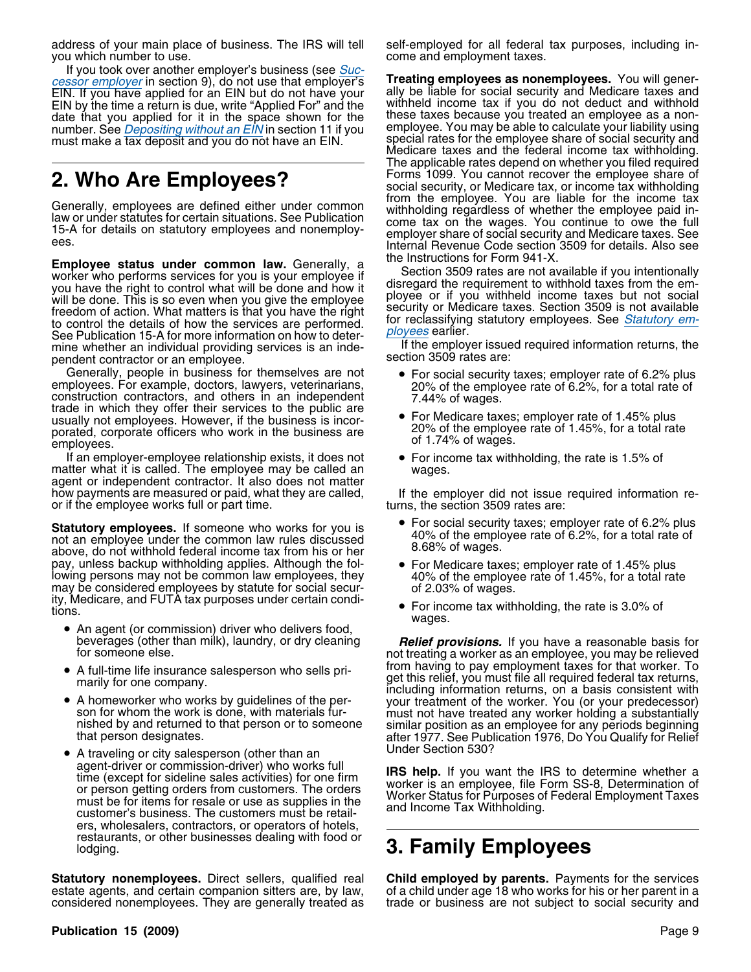address of your main place of business. The IRS will tell self-employed for all federal tax purposes, including inyou which number to use. The same come and employment taxes.

If you took over another employer's business (see Successor employer in section 9), do not use that employer's **Treating employees as nonemployees.** You will gener-<br>EIN, If you have applied for an EIN but do not have your ally be liable for social security and Medicare taxes EIN. If you have applied for an EIN but do not have your ally be liable for social security and Medicare taxes and<br>EIN by the time a return is due, write "Applied For" and the withheld income tax if you do not deduct and w date that you applied for it in the space shown for the number. See *Depositing without an EIN* in section 11 if you must make a tax deposit and you do not have an EIN.

**Employee status under common law.** Generally, a<br>worker who performs services for you is your employee if<br>you have the right to control what will be done and how it<br>will be done. This is so even when you give the employee See Publication 15-A for more information on how to deter-<br>mine whether an individual providing services is an inde-<br>nendent contractor or an employee<br>section 3509 rates are:

pendent contractor or an employee.<br>Generally, people in business for themselves are not Generally, people in business for themselves are not<br>employees. For example, doctors, lawyers, veterinarians,<br>construction contractors, and others in an independent<br>trade in which they offer their services to the public ar porated, corporate officers who work in the business are business and the employee rate of 1.45%, for a total rate<br>employees.

If an employer-employee relationship exists, it does not **•** For income tax withholding, the rate is 1.5% of matter what it is called. The employee may be called an agent or independent contractor. It also does not matter how payments are measured or paid, what they are called, If the employer did not issue required information re- or if the employee works full or part time.

Statutory employees. If someone who works for you is  $\begin{array}{r} \bullet \quad$  For social security taxes; employer rate of 6.2% plus<br>not an employee under the common law rules discussed above, do not withhold federal income tax from h pay, unless backup withholding applies. Although the fol-<br>
lowing persons may not be common law employees, they<br>
may be considered employees by statute for social secur-<br>
ity, Medicare, and FUTA tax purposes under certain

- An agent (or commission) driver who delivers food,
- A full-time life insurance salesperson who sells pri-
- A homeworker who works by guidelines of the per-
- Under Section 530? A traveling or city salesperson (other than an agent-driver or commission-driver) who works full<br>time (except for sideline sales activities) for one firm<br>or person getting orders from customers. The orders<br>must be for items for resale or use as supplies in the<br>customer ers, wholesalers, contractors, or operators of hotels, restaurants, or other businesses dealing with food or lodging. **3. Family Employees**

**Statutory nonemployees.** Direct sellers, qualified real **Child employed by parents.** Payments for the services estate agents, and certain companion sitters are, by law, of a child under age 18 who works for his or her par estate agents, and certain companion sitters are, by law, of a child under age 18 who works for his or her parent in a<br>considered nonemployees. They are generally treated as trade or business are not subject to social secu

withheld income tax if you do not deduct and withhold these taxes because you treated an employee as a nonemployee. You may be able to calculate your liability using special rates for the employee share of social security and Medicare taxes and the federal income tax withholding. The applicable rates depend on whether you filed required Forms 1099. You cannot recover the employee share of **2. Who Are Employees?** Forms 1099. You cannot recover the employee share of social security, or Medicare tax, or income tax withholding from the employee. You are liable for the income tax Generally, employees are defined either under common<br>law or under statutes for certain situations. See Publication<br>15-A for details on statutory employees and nonemploy-<br>ees.<br>Internal Revenue Code section 3509 for details.

- 
- 
- 

- 
- 
- $\bullet$  For income tax withholding, the rate is 3.0% of wages.

beverages (other than milk), laundry, or dry cleaning **Relief provisions.** If you have a reasonable basis for someone else. not treating a worker as an employee, you may be relieved from having to pay employment taxes for that worker. To •marily for one company.<br>marily for one company. including information returns, on a basis consistent with A homeworker who works by guidelines of the per-<br>son for whom the work is done, with materials fur-<br>nished by and returned to that person or to someone<br>that person is smilar position as an employee for any periods beginnin

trade or business are not subject to social security and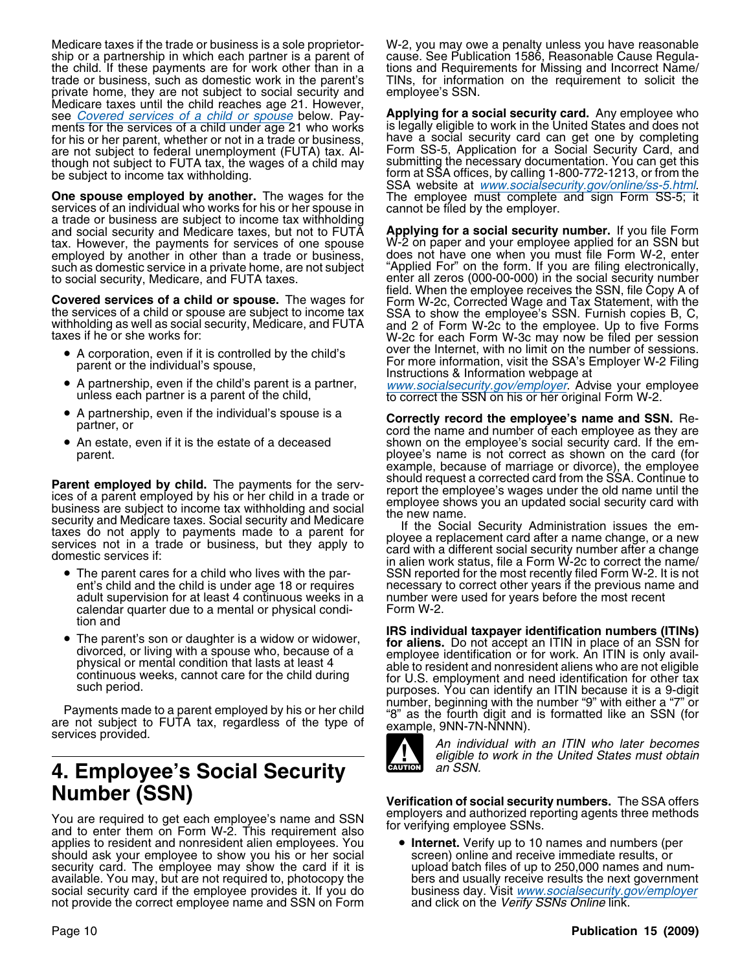Medicare taxes if the trade or business is a sole proprietor- W-2, you may owe a penalty unless you have reasonable ship or a partnership in which each partner is a parent of cause. See Publication 1586, Reasonable Cause Regulathe child. If these payments are for work other than in a tions and Requirements for Missing and Incorrect Name/<br>trade or business, such as domestic work in the parent's TINs, for information on the requirement to solicit trade or business, such as domestic work in the parent's private home, they are not subject to social security and employee's SSN. Medicare taxes until the child reaches age 21. However, see *Covered services of a child or spouse* below. Pay-<br>ments for the services of a child under age 21 who works is legally eligible to work in the United States and does not ments for the services of a child under age 21 who works is legally eligible to work in the United States and does not<br>for his or her parent, whether or not in a trade or business. have a social security card can get one b for his or her parent, whether or not in a trade or business, are not subject to federal unemployment (FUTA) tax. Alare not subject to federal unemployment (FUTA) tax. Al-<br>though not subject to FUTA tax, the wages of a child may submitting the necessary documentation. You can get this though not subject to FUTA tax, the wages of a child may submitting the necessary documentation. You can get this be subject to income tax withholding. form at SSA offices, by calling 1-800-772-1213, or from the

**One spouse employed by another.** The wages for the<br>services of an individual who works for his or her spouse in<br>a trade or business are subject to income tax withholding and social security and Medicare taxes, but not to FUTA **Applying for a social security number.** If you file Form tax. However, the payments for services of one spouse employed by another in other than a trade or business, employed by another in other than a trade or business, does not have one when you must file Form W-2, enter such as domestic service in a private home, are not subject "Applied For" on the form. If you are filing electroni such as domestic service in a private home, are not subject "Applied For" on the form. If you are filing electronically,<br>to social security, Medicare, and FUTA taxes.<br>enter all zeros (000-00-000) in the social security num

- 
- A partnership, even if the child's parent is a partner,
- A partnership, even if the individual's spouse is a
- An estate, even if it is the estate of a deceased

**Parent employed by child.** The payments for the services of a parent employed by his or her child in a trade or<br>lices of a parent employed by his or her child in a trade or<br>business are subject to income tax withholding a

- The parent cares for a child who lives with the paradult supervision for at least 4 continuous weeks in a number were used for years before the most recent calen<br>calendar quarter due to a mental or physical condi-<br>calendar quarter due to a mental or physical condicalendar quarter due to a mental or physical condition and
- 

Payments made to a parent employed by his or her child<br>are not subject to FUTA tax, regardless of the type of<br>services provided.<br>An individual with an ITIN who later becomes

# **4. Employee's Social Security**

You are required to get each employee's name and SSN for verifying employee SSNs.<br>and to enter them on Form W-2. This requirement also for verifying employee SSNs. applies to resident and nonresident alien employees. You • **Internet.** Verify up to 10 names and numbers (per should ask your employee to show you his or her social security card. The employee may show the card if it is upload batch files of up to 250,000 names and num-<br>available. You may, but are not required to, photocopy the bers and usually receive results the next governmen available. You may, but are not required to, photocopy the bers and usually receive results the next government<br>social security card if the employee provides it. If you do business day. Visit www.socialsecurity.gov/employe not provide the correct employee name and SSN on Form

form at SSA offices, by calling 1-800-772-1213, or from the

enter all zeros (000-00-000) in the social security number<br>field. When the employee receives the SSN, file Copy A of **Covered services of a child or spouse.** The wages for Form W-2c, Corrected Wage and Tax Statement, with the the services of a child or spouse are subject to income tax SSA to show the employee's SSN. Furnish copies B, C, • A corporation, even if it is controlled by the child's over the Internet, with no limit on the number of sessions. A corporation, even in the controlled by the child's  $\frac{1}{2}$  For more information, visit the SSA's Employer W-2 Filing parent or the individual's spouse,

A partnership, even if the child's parent is a partner, www.socialsecurity.gov/employer. Advise your employee unless each partner is a parent of the child, to correct the SSN on his or her original Form W-2.

A partnership, even if the individual's spouse is a **Correctly record the employee's name and SSN.** Re-<br>cord the name and number of each employee as they are shown on the employee's social security card. If the emparent. ployee's name is not correct as shown on the card (for example, because of marriage or divorce), the employee should request a corrected card from the SSA. Continue to

The parent cares for a child who lives with the par-<br>
ent's child and the child is under age 18 or requires encessary to correct other years if the previous name and necessary to correct other years if the previous name and

**IRS individual taxpayer identification numbers (ITINs)**<br>**IRS individual taxpayer identification numbers (ITINs) for aliens.** Do not accept an ITIN in place of an SSN for divorced, or living with a spouse who, because of a<br>physical or mental condition that lasts at least 4<br>continuous weeks, cannot care for the child during<br>such period.<br>physical or mental condition that lasts at least 4<br>cont



eligible to work in the United States must obtain an SSN.

**Number (SSN) Verification of social security numbers.** The SSA offers

business day. Visit www.socialsecurity.gov/employer and click on the Verify SSNs Online link.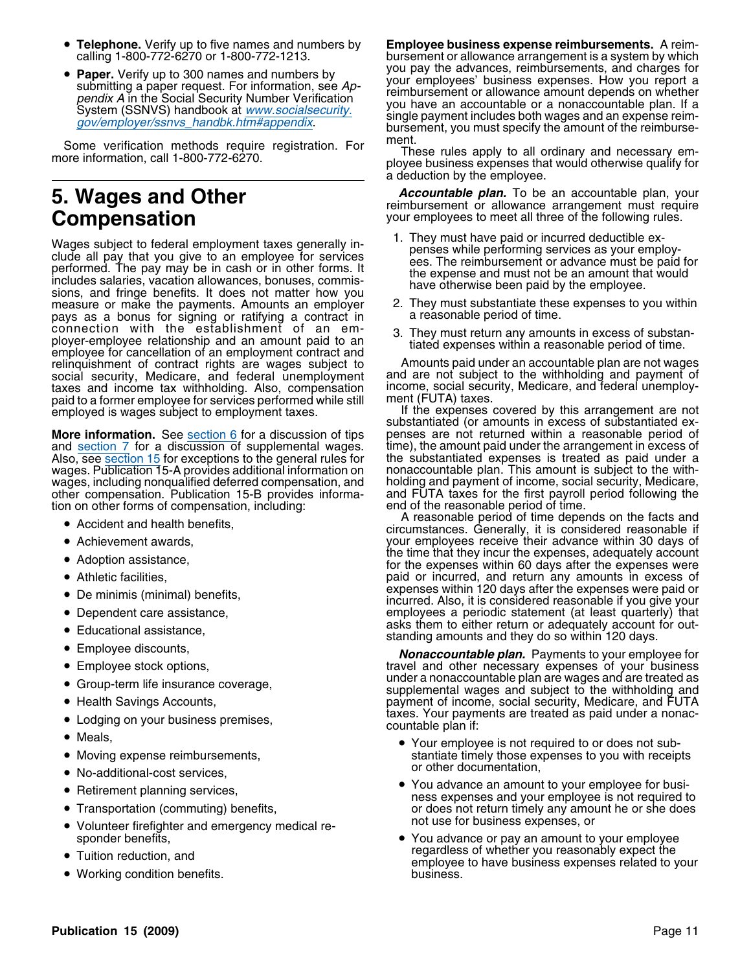- Telephone. Verify up to five names and numbers by
- 

Some verification methods require registration. For These rules apply to all ordinary and necessary em-<br>more information, call 1-800-772-6270. ployee business expenses that would otherwise qualify for

Wages subject to federal employment taxes generally in-<br>clude all pay that you give to an employee for services<br>performing services as your employ-<br>ees. The reimbursement or advance must be paid for<br>includes salaries, vaca measure or make the payments. Amounts an employer 2. They must substantiate these pays as a bonus for signing or ratifying a contract in pays as a bonus for signing or ratifying a contract in connection with the establishment of an emconnection with the establishment of an emi-<br>ployer-employee relationship and an amount paid to an<br>employee for cancellation of an employment contract and<br>relinquishment of contract rights are wages subject to Amounts paid social security, Medicare, and federal unemployment and are not subject to the withholding and payment of taxes<br>taxes and income tax withholding. Also, compensation income, social security, Medicare, and federal unemploytaxes and income tax withholding. Also, compensation income, social security, Medicare, and federal unemploypaid to a former employee for services performed while still and ment (FUTA) taxes. employed is wages subject to employment taxes. If the expenses covered by this arrangement are not

**More information.** See section 6 for a discussion of tips penses are not returned within a reasonable period of and<br>and section 7 for a discussion of supplemental wages. time), the amount paid under the arrangement in exc and section 7 for a discussion of supplemental wages.<br>Also, see section 15 for exceptions to the general rules for wages. Publication 15-A provides additional information on nonaccountable plan. This amount is subject to the with-<br>wages, including nongualified deferred compensation, and holding and payment of income, social security, M wages, including nonqualified deferred compensation, and tion on other forms of compensation, including:

- 
- Achievement awards,
- 
- Athletic facilities,
- 
- Dependent care assistance,
- 
- Employee discounts,
- Employee stock options,
- 
- Health Savings Accounts,
- Lodging on your business premises,
- Meals.  $\bullet$  Meals,  $\bullet$
- Moving expense reimbursements,
- or other documentation, No-additional-cost services,
- 
- Transportation (commuting) benefits,
- not use for business expenses, or Volunteer firefighter and emergency medical re-
- 
- Working condition benefits. **business**.

 **Telephone.** Verify up to five names and numbers by **Employee business expense reimbursements.** A reimbursement or allowance arrangement is a system by which you pay the advances, reimbursements, and charges for •submitting a paper request. For information, see  $Ap$ -<br>pendix A in the Social Security Number Verification<br>System (SSNVS) handbook at <u>www.socialsecurity.</u><br> $gov/employer/ssnvs\_handbk.htm#appendix$ .<br> $gov/employer/ssnvs\_handbk.htm#appendix$ .

a deduction by the employee.

**5. Wages and Other** *Accountable plan.* **To be an accountable plan, your reimbursement or allowance arrangement must require<br>Compensation <b>Compensation** *your employees to meet all three of the following rules.* your employees to meet all three of the following rules.

- 
- 
- 

Amounts paid under an accountable plan are not wages and are not subject to the withholding and payment of

substantiated (or amounts in excess of substantiated expenses are not returned within a reasonable period of the substantiated expenses is treated as paid under a nonaccountable plan. This amount is subject to the withother compensation. Publication 15-B provides informa- and FUTA taxes for the first payroll period following the

A reasonable period of time depends on the facts and<br>circumstances. Generally, it is considered reasonable if it is considered reasonable if Achievement awards, your employees receive their advance within 30 days of • Adoption assistance,  $\begin{array}{c} \text{the time that they incur the expenses, adequately account} \\ \text{for the expenses with in 60 days, after the expenses were.} \end{array}$ for the expenses within 60 days after the expenses were paid or incurred, and return any amounts in excess of expenses within 120 days after the expenses were paid or •incurred. Also, it is considered reasonable if you give your employees a periodic statement (at least quarterly) that • Educational assistance, example asks them to either return or adequately account for outstanding amounts and they do so within 120 days.

Nonaccountable plan. Payments to your employee for travel and other necessary expenses of your business ● Group-term life insurance coverage, example a nonaccountable plan are wages and are treated as • Croup-term life insurance coverage, supplemental wages and subject to the withholding and payment of income, social security, Medicare, and FUTA taxes. Your payments are treated as paid under a nonac-<br>countable plan if:

- Your employee is not required to or does not sub stantiate timely those expenses to you with receipts or other documentation,
- Retirement planning services example and the You advance an amount to your employee for busi-• Retirement planning services, ness expenses and your employee is not required to  $\overline{a}$ or does not return timely any amount he or she does not use for business expenses, or
- sponder benefits,  $\bullet$  You advance or pay an amount to your employee • Tuition reduction, and **• Tuition reduction, and • Tuition reduction**, and **• Tuition reduction**, and **• Tuition** reduction and **• Tuition** reduction and **• Puiss** employee to have business expenses related to your<br>business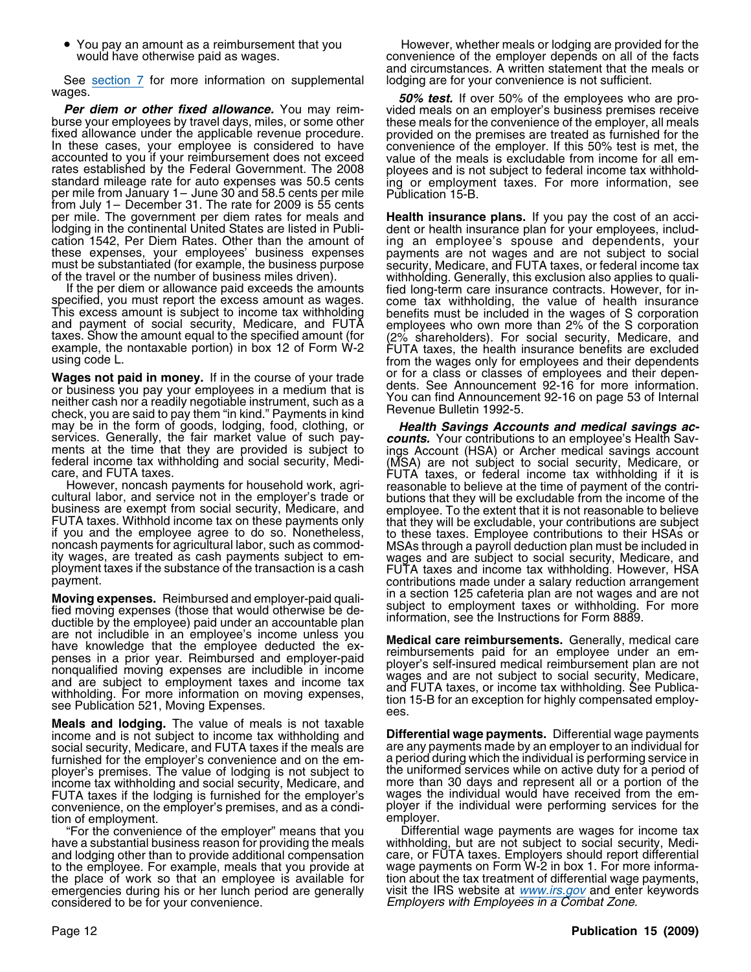• You pay an amount as a reimbursement that you

See section 7 for more information on supplemental lodging are for your convenience is not sufficient.<br>Wages.<br>Fox test if over 50% of the employees who

accounted to you if your reimbursement does not exceed value of the meals is excludable from income for all em-<br>rates established by the Federal Government. The 2008 ployees and is not subject to federal income tax withhol from July 1– December 31. The rate for 2009 is 55 cents per mile. The government per diem rates for meals and

Wages not paid in money. If in the course of your trade<br>or business you pay your employees in a medium that is<br>neither cash nor a readily negotiable instrument, such as a<br>check, you are said to pay them "in kind." Payments

**Moving expenses.** Reimbursed and employer-paid quali-<br>fied moving expenses (those that would otherwise be de-<br>ductible by the employee) paid under an accountable plan<br>information, see the Instructions for Form 8889. are not includible in an employee's income unless you<br>have knowledge that the employee deducted the ex-<br>penses in a prior year. Reimbursed and employer-paid<br>nonqualified moving expenses are includible in income<br>and are sub

**Meals and lodging.** The value of meals is not taxable income and is not subject to income tax withholding and **Differential wage payments.** Differential wage payments social security, Medicare, and FUTA taxes if the meals are are any payments made by an employer to an individual for<br>furnished for the employer's convenience and on the em-a period during which the individual is performing furnished for the employer's convenience and on the em- a period during which the individual is performing service in ployer's premises. The value of lodging is not subject to income tax withholding and social security, Medicare, and more than 30 days and represent all or a portion of the<br>FUTA taxes if the lodging is furnished for the employer's wages the individual would have received from the FUTA taxes if the lodging is furnished for the employer's wages the individual would have received from the emconvenience, on the employer's premises, and as a condi- ployer if the individual were performing services for<br>employer. tion of employment.

have a substantial business reason for providing the meals withholding, but are not subject to social security, Mediand lodging other than to provide additional compensation care, or FUTA taxes. Employers should report dif and lodging other than to provide additional compensation care, or FUTA taxes. Employers should report differential to the employee. For example, meals that you provide at wage payments on Form W-2 in box 1. For more informathe place of work so that an employee is available for tion about the tax treatment of differential wage payments, emergencies during his or her lunch period are generally visit the IRS website at *www.irs.gov* and enter k emergencies during his or her lunch period are generally visit the IRS website at www.irs.gov and enter keywords<br>
Employers with Employees in a Combat Zone.

However, whether meals or lodging are provided for the would have otherwise paid as wages. convenience of the employer depends on all of the facts and circumstances. A written statement that the meals or

**For diem or other fixed allowance.** You may reim-<br> **For diem or other fixed allowance.** You may reim-<br>
burse your employees by travel days, miles, or some other<br>
fixed allowance under the applicable revenue procedure.<br>
In

per mile. The government per diem rates for meals and **Health insurance plans.** If you pay the cost of an acci-<br>lodging in the continental United States are listed in Publi- dent or health insurance plan for your employees

may be in the form of goods, lodging, food, clothing, or<br>services. Generally, the fair market value of such pay<br>ments at the time that they are provided is subject to<br>ments at the time that they are provided is subject to<br>

"For the convenience of the employer" means that you Differential wage payments are wages for income tax Employers with Employees in a Combat Zone.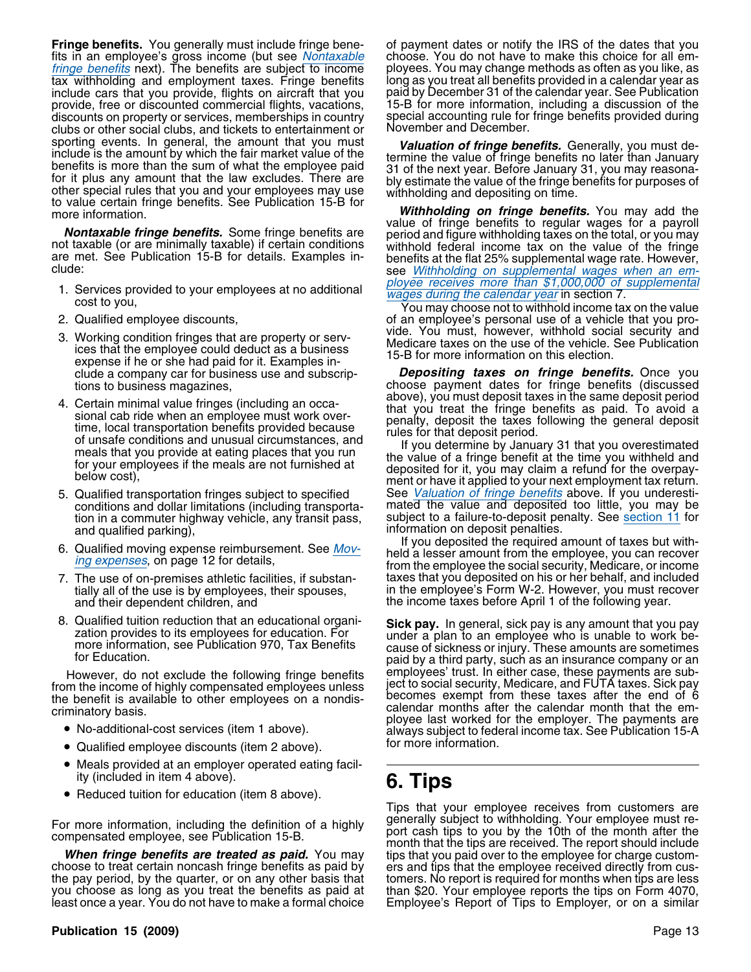**Fringe benefits.** You generally must include fringe bene- of payment dates or notify the IRS of the dates that you fits in an employee's gross income (but see *Nontaxable* choose. You do not have to make this choice for all emfringe benefits next). The benefits are subject to income ployees. You may change methods as often as you like, as tax withholding and employment taxes. Fringe benefits long as you treat all benefits provided in a calendar year as include cars that you provide, flights on aircraft that you provide, free or discounted commercial flights, vacations, 15-B for more information, including a discussion of the discounts on property or services, memberships in country special accounting rule for fringe benefits provided during<br>clubs or other social clubs, and tickets to entertainment or November and December. clubs or other social clubs, and tickets to entertainment or sporting events. In general, the amount that you must<br>include is the amount by which the fair market value of the<br>benefits is more than the sum of what the employee paid<br>for it plus any amount that the law excludes. There

- 
- 
- 3. Working condition fringes that are property or serv-<br>ices that the employee could deduct as a business<br>expense if he or she had paid for it. Examples in-<br>a 15-B for more information on this election.
- 4. Certain minimal value fringes (including an occa-<br>sional cab ride when an employee must work over-<br>time, local transportation benefits provided because<br>of unsafe conditions and unusual circumstances, and<br>meals that you
- tion in a commuter highway vehicle, any transit pass, and qualified parking),
- 
- and their dependent children, and the income taxes before April 1 of the following year.
- 

- No-additional-cost services (item 1 above).
- for more information. Qualified employee discounts (item 2 above).
- Meals provided at an employer operated eating facil-
- ity (included in item 4 above). **6. Tips** Reduced tuition for education (item 8 above).

the pay period, by the quarter, or on any other basis that tomers. No report is required for months when tips are less<br>you choose as long as you treat the benefits as paid at than \$20. Your employee reports the tips on For you choose as long as you treat the benefits as paid at least once a year. You do not have to make a formal choice

to value certain fringe benefits. See Publication 15-B for<br>more information.<br>and the value of fringe benefits to regular wages for a payroll **Nontaxable fringe benefits.** Some fringe benefits are period and figure withholding taxes on the total, or you may<br>not taxable (or are minimally taxable) if certain conditions withhold federal income tax on the value of

2. Qualified employee discounts, of an employee's personal use of a vehicle that you pro-

clude a company car for business use and subscrip- *Depositing taxes on fringe benefits.* Once you tions to business magazines,<br>Cortain minimal value fringes (including an occa-<br>Cortain minimal value fringes (including an occa-<br>Cortain minimal value fringes (including an occa-

5. Qualified transportation fringes subject to specified See Valuation of fringe benefits above. If you underesticonditions and dollar limitations (including transporta- mated the value and deposited too little, you may be mated the value and deposited too little, you may be subject to a failure-to-deposit penalty. See section 11 for

information on deposit penalties.<br>If you deposited the required amount of taxes but with-6. Qualified moving expense reimbursement. See Mov-<br>ing expenses, on page 12 for details,<br>from the employee the social security, Medicare, or income 7. The use of on-premises athletic facilities, if substan- taxes that you deposited on his or her behalf, and included tially all of the use is by employees, their spouses, in the employee's Form W-2. However, you must recover

8. Qualified tuition reduction that an educational organi-<br>zation provides to its employees for education. For<br>more information, see Publication 970, Tax Benefits<br>for Education. These amounts are sometimes<br>for Education. However, do not exclude the following fringe benefits employees' trust. In either case, these payments are sub-<br>In the income of highly compensated employees unless ject to social security, Medicare, and FUTA taxes. Sick p from the income of highly compensated employees unless<br>the benefit is available to other employees on a nondis-<br>criminatory basis.<br>criminatory basis.<br>pecomes exempt from these taxes after the end of 6<br>calendar months after always subject to federal income tax. See Publication 15-A

Tips that your employee receives from customers are generally subject to withholding. Your employee must re-For more information, including the definition of a highly<br>compensated employee, see Publication 15-B.<br>**When fringe benefits are treated as paid.** You may<br>choose to treat certain noncash fringe benefits as paid by<br>the pay Employee's Report of Tips to Employer, or on a similar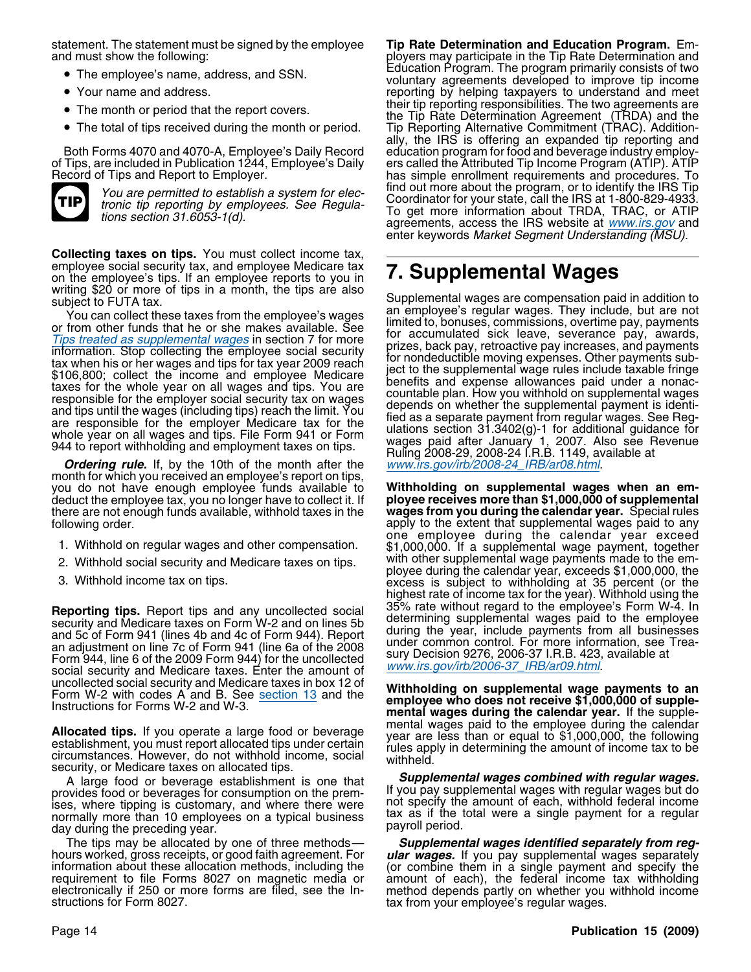statement. The statement must be signed by the employee **Tip Rate Determination and Education Program.** Emand must show the following: example and must show the following: ployers may participate in the Tip Rate Determination and

- 
- Your name and address.
- 
- The total of tips received during the month or period.



**Collecting taxes on tips.** You must collect income tax, employee social security tax, and employee Medicare tax on the employee's tips. If an employee reports to you in employee social security tax, and employee Medicare tax<br>on the employee's tips. If an employee reports to you in **7. Supplemental Wages**<br>writing \$20 or more of tips in a month, the tips are also

you do not have enough employee funds available to **Withholding on supplemental wages when an em**deduct the employee tax, you no longer have to collect it. If **ployee receives more than \$1,000,000 of supplemental**<br>there are not enough funds available, withhold taxes in the **wages from you during the calendar year.** Sp there are not enough funds available, withhold taxes in the following order.

- 
- 
- 

**Reporting tips.** Report tips and any uncollected social<br>security and Medicare taxes on Form W-2 and on lines 5b<br>and 5c of Form 941 (lines 4b and 4c of Form 944). Report<br>an adjustment on line 7c of Form 941 (line 6a of th

Allocated tips. If you operate a large food or beverage<br>establishment, you must report allocated tips under certain<br>establishment, you must report allocated tips under certain<br>circumstances. However, do not withhold income

A large food or beverage establishment is one that *Supplemental wages combined with regular wages.* ises, where tipping is customary, and where there were not specify the amount of each, withhold federal income<br>normally more than 10 employees on a typical business tax as if the total were a single payment for a regular<br>d

The tips may be allocated by one of three methods—<br>hours worked, gross receipts, or good faith agreement. For<br>information about these allocation methods, including the<br>requirement to file Forms 8027 on magnetic media or<br>el

• The employee's name, address, and SSN. Education Program. The program primarily consists of two • Education Program. The program primarily consists of two • The employee's name, address, and SSN. voluntary agreements developed to improve tip income reporting by helping taxpayers to understand and meet • The month or period that the report covers.<br>
the Tip Pete Determination Agreement (TDDA) and the • The month or period that the report covers.<br>the Tip Rate Determination Agreement (TRDA) and the The total of tips received during the month or period. Tip Reporting Alternative Commitment (TRAC). Additionally, the IRS is offering an expanded tip reporting and Both Forms 4070 and 4070-A, Employee's Daily Record education program for food and beverage industry employ-<br>of Tips, are included in Publication 1244, Employee's Daily ers called the Attributed Tip Income Program (ATIP). of Tips, are included in Publication 1244, Employee's Daily ers called the Attributed Tip Income Program (ATIP). ATIP has simple enrollment requirements and procedures. To find out more about the program, or to identify the IRS Tip You are permitted to establish a system for election of the dividend the program, or to definity the more tronic tip reporting by employees. See Regula-<br>To get more information about TRDA, TRDAC, or ATIP<br>To get more inform agreements, access the IRS website at www.irs.gov and enter keywords Market Segment Understanding (MSU).

subject to FUTA tax.<br>
Subject to FUTA tax.<br>
The metalline and the employee's wages<br>
or from other funds that he or she makes available. See<br>
or from other funds that he or she makes available. See<br>
or from other funds that

apply to the extent that supplemental wages paid to any<br>one employee during the calendar year exceed 1. Withhold on regular wages and other compensation. \$1,000,000. If a supplemental wage payment, together -2. Withhold social security and Medicare taxes on tips. with other supplemental wage payments made to the em<br>ployee during the calendar year, exceeds \$1,000,000, the<br>excess is subject to withholding at 35 percent (or the highest rate of income tax for the year). Withhold using the

Form W-2 with codes A and B. See <u>section 13</u> and the **Withholding on supplemental wage payments to an**<br>Instructions for Forms W-2 and W-3.<br>Allegabed time, if you are section to a level for the supplemental wages paid to t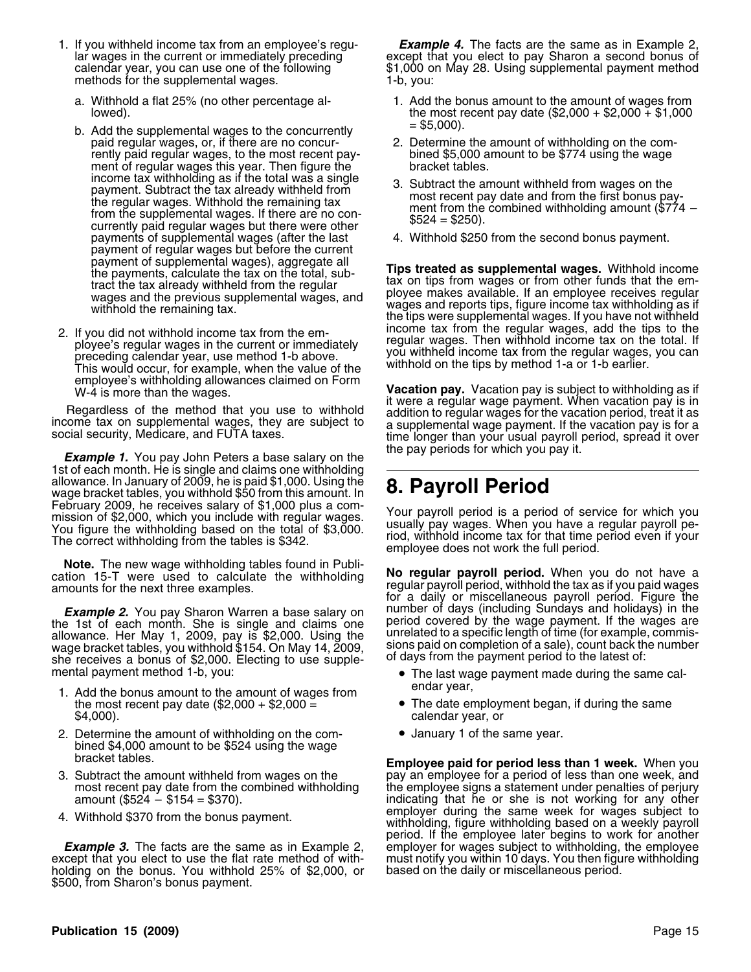- methods for the supplemental wages. 1-b, you:
	-
	- lowed).<br>b. Add the supplemental wages to the concurrently  $t = 5,000$ .<br>paid regular wages, or, if there are no concur-<br>2. Determine the amount of withholding on the comrently paid regular wages, to the most recent pay-<br>ment of regular wages this year. Then figure the bracket tables. ment of regular wages this year. Then figure the<br>income tax withholding as if the total was a single payment of regular wages but before the current
- employee's withholding allowances claimed on Form<br>W-4 is more than the wages.

the pay periods for which you pay it. *Example 1.* You pay John Peters a base salary on the 1st of each month. He is single and claims one withholding allowance. In January of 2009, he is paid \$1,000. Using the wage bracket tables, you withhold \$50 from this amount. In **8. Payroll Period** February 2009, he receives salary of \$1,000 plus a com-<br>mission of \$2,000, which you include with regular wages.

the 1st of each month. She is single and claims one period covered by the wage payment. If the wages are allowance. Her May 1, 2009, pay is \$2,000. Using the unrelated to a specific length of time (for example, commis-<br>wag allowance. Her May 1, 2009, pay is \$2,000. Using the unrelated to a specific length of time (for example wage bracket tables, you withhold \$154. On May 14, 2009, sions paid on completion of a sale), count back the number o she receives a bonus of \$2,000. Electing to use supple-<br>mental payment method 1-b, you:

- 1. Add the bonus amount to the amount of wages from endar year,<br>the most recent pay date (\$2,000 + \$2,000 = • The date employment began, if during the same \$4,000). calendar year, or
- 2. Determine the amount of withholding on the com-<br>  $\bullet$  January 1 of the same year. bined \$4,000 amount to be \$524 using the wage
- 
- 

holding on the bonus. You withhold 25% of \$2,000, or based on the daily or miscellaneous period. \$500, from Sharon's bonus payment.

1. If you withheld income tax from an employee's regu- *Example 4.* The facts are the same as in Example 2, lar wages in the current or immediately preceding except that you elect to pay Sharon a second bonus of calendar year, you can use one of the following  $\frac{1}{1,000}$  on May 28. Using supplemental payment method

- a. Withhold a flat 25% (no other percentage al-<br>lowed). In a lowed the most recent pay date (\$2,000 + \$2,000 + \$1,000
	- 2. Determine the amount of withholding on the com-<br>bined \$5,000 amount to be \$774 using the wage
	- meand with held from wages on the<br>the regular wages. Withhold the remaining tax<br>from the supplemental wages. If there are no con-<br>currently paid regular wages but there were other  $$524 = $250$ .
	- payments of supplemental wages (after the last 4. Withhold \$250 from the second bonus payment.

payment of supplemental wages), aggregate all<br>the payments, calculate the tax on the total, sub-<br>tract the tax already withheld from the regular<br>wages and the previous supplemental wages, and<br>withhold the remaining tax.<br>wi 2. If you did not withhold income tax from the em-<br>ployee's regular wages in the current or immediately<br>preceding calendar year, use method 1-b above.<br>This would occur, for example, when the value of the withhold on the ti

**Vacation pay.** Vacation pay is subject to withholding as if it were a reqular wage payment. When vacation pay is in Regardless of the method that you use to withhold<br>income tax on supplemental wages, they are subject to<br>social security, Medicare, and FUTA taxes.<br>social security, Medicare, and FUTA taxes.<br>time longer than your usual payr

Your payroll period is a period of service for which you usually pay wages. When you have a regular payroll pe-You figure the withholding based on the total of \$3,000. Usually pay wages. When you have a regular payroll pe-<br>The correct withholding from the tables is \$342. employee does not work the full period.

**Note.** The new wage withholding tables found in Publi-<br>cation 15-T were used to calculate the withholding<br>amounts for the next three examples.<br>**Example 2.** You pay Sharon Warren a base salary on number of days (including **Example 2.** You pay Sharon Warren a base salary on a number of days (including Sundays and holidays) in the incl<br>a 1st of each month. She is single and claims one a period covered by the wage payment. If the wages are

- The last wage payment made during the same cal-
- 
- 

bracket tables. **Employee paid for period less than 1 week.** When you Subtract the amount withheld from wages on the pay an employee for a period of less than one week, and<br>most recent pay date from the combined withholding the employee signs a statement under penalties of perjury most recent pay date from the combined withholding the employee signs a statement under penalties of perjury<br>amount (\$524 – \$154 = \$370). indicating that he or she is not working for any other 4. Withhold \$370 from the bonus payment. employer during the same week for wages subject to 4. Withhold 4. Withholding, figure withholding based on a weekly payroll period. If the employee later begins to work for another **Example 3.** The facts are the same as in Example 2, employer for wages subject to withholding, the employee except that you elect to use the flat rate method of with- must notify you within 10 days. You then figure withho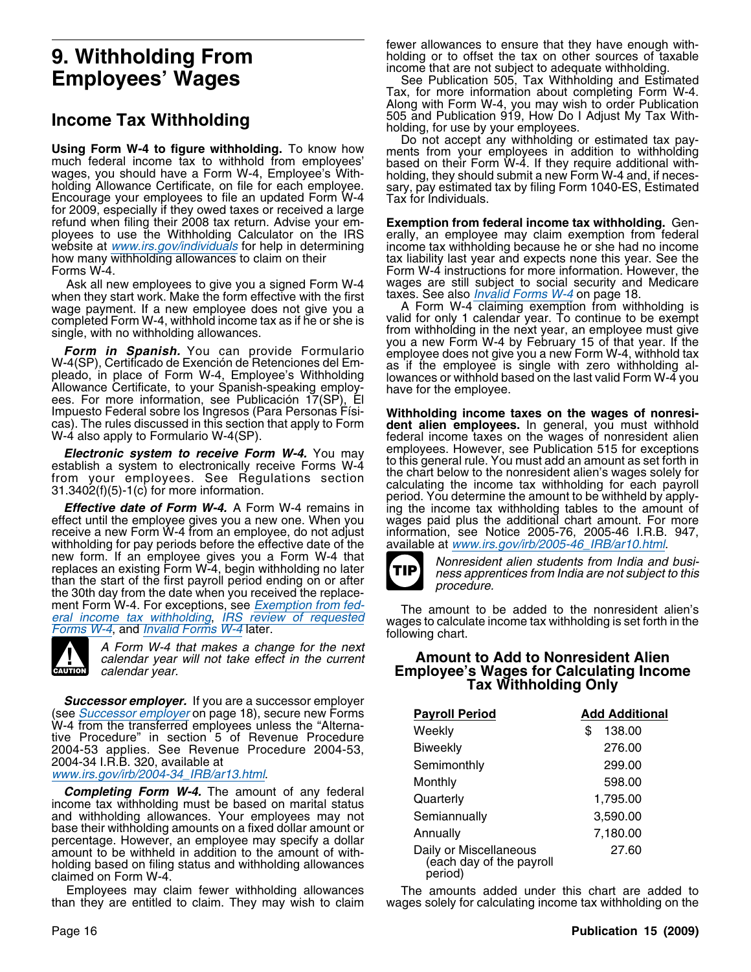**Using Form W-4 to figure withholding.** To know how ments from your employees in addition to withholding much federal income tax to withhold from employees' based on their Form W-4. If they require additional with-<br>wages, for 2009, especially if they owed taxes or received a large refund when filing their 2008 tax return. Advise your em- **Exemption from federal income tax withholding.** Genployees to use the Withholding Calculator on the IRS erally, an employee may claim exemption from federal website at www.irs.gov/individuals for help in determining income tax withholding because he or she had no income how many withholding allowances to claim on their the stax liability last year and expects none this year. See the Forms W-4. Form W-4 instructions for more information. However, the

when they start work. Make the form effective with the first taxes. See also *Invalid Forms W-4* on page 18.<br>wage payment. If a new employee does not give you a commit A Form W-4 claiming exemption from withholding is wage payment. If a new employee does not give you a A Form W-4 claiming exemption from withholding is<br>completed Form W-4, withhold income tax as if he or she is yalid for only 1 calendar year. To continue to be exempt completed Form W-4, withhold income tax as if he or she is single, with no withholding allowances. from withholding in the next year, an employee must give

Form in Spanish. You can provide Formulario<br>W-4(SP), Certificado de Exención de Retenciones del Em-<br>pleado, in place of Form W-4, Employee's Withholding<br>Allowance Certificate, to your Spanish-speaking employ-<br>have for the Impuesto Federal sobre los Ingresos (Para Personas Físi-<br>
cas). The rules discussed in this section that apply to Form<br>
We also apply to Formulario W-4(SP).<br>
We also apply to Formulario W-4(SP).<br>
federal income taxes on th

effect until the employee gives you a new one. When you wages paid plus the additional chart amount. For more<br>receive a new Form W-4 from an employee, do not adjust information, see Notice 2005-76, 2005-46 I.R.B. 947, receive a new Form W-4 from an employee, do not adjust information, see Notice 2005-76, 2005-46 I.R.B. withholding for pay periods before the effective date of the available at www.irs.gov/irb/2005-46\_IRB/ar10.html. withholding for pay periods before the effective date of the new form. If an employee gives you a Form W-4 that<br>replaces an existing Form W-4, begin withholding no later<br>than the start of the first payroll period ending on or after<br>than the start of the first payroll period ending o the 30th day from the date when you received the replace-<br>ment Form W-4. For exceptions, see Exemption from fed-



A Form W-4 that makes a change for the next

*Successor employer.* If you are a successor employer (see *Successor employer* on page 18), secure new Forms<br>W-4 from the transferred employees unless the "Alternative Procedure" in section 5 of Revenue Procedure 2004-53, 2004-54 I.R.B. 320, available at

www.irs.gov/irb/2004-34\_IRB/ar13.html.<br>Completing Form W-4. The amount of any federal<br>income tax withholding must be based on marital status and withholding allowances. Your employees may not base their withholding amounts on a fixed dollar amount or percentage. However, an employee may specify a dollar amount to be withheld in addition to the amount of withholding based on filing status and withholding allowances claimed on Form W-4.

than they are entitled to claim. They may wish to claim wages solely for calculating income tax withholding on the

fewer allowances to ensure that they have enough with-**9. Withholding From** holding or to offset the tax on other sources of taxable income that are not subject to adequate withholding.

income that are not subject to adequate withholding. **Employees' Wages** See Publication 505, Tax Withholding and Estimated Tax, for more information about completing Form W-4. Along with Form W-4, you may wish to order Publication **Income Tax Withholding**<br>1995 and Publication 919, How Do I Adjust My Tax With-<br>20 not accept any withholding or estimated tax pay-<br>20 not accept any withholding or estimated tax pay-

income tax withholding because he or she had no income Ask all new employees to give you a signed Form W-4 wages are still subject to social security and Medicare Ask all new start work Make the form effective with the first taxes. See also *Invalid Forms W-4* on page 18.

**Electronic system to receive Form W-4.** You may<br>employees. However, see Publication 515 for exceptions<br>establish a system to electronically receive Forms W-4<br>from your employees. See Regulations section<br>31.3402(f)(5)-1(c



ment Form w-4. For exceptions, see *Exemption from lea*.<br>
The amount to be added to the nonresident alien's<br>
Forms W-4, and *Invalid Forms W-4* later.<br>
Forms W-4, and *Invalid Forms W-4* later.

### calendar year will not take effect in the current **Amount to Add to Nonresident Alien CAUTER CAUTER CAUTER CAUTER CALCULATE CALCULATING INCOME** Employee's Wages for Calculating Income **Tax Withholding Only**

| <b>Payroll Period</b>                                          | <b>Add Additional</b> |
|----------------------------------------------------------------|-----------------------|
| Weekly                                                         | \$<br>138.00          |
| <b>Biweekly</b>                                                | 276.00                |
| Semimonthly                                                    | 299.00                |
| Monthly                                                        | 598.00                |
| Quarterly                                                      | 1,795.00              |
| Semiannually                                                   | 3,590.00              |
| Annually                                                       | 7,180.00              |
| Daily or Miscellaneous<br>(each day of the payroll)<br>period) | 27.60                 |

Employees may claim fewer withholding allowances The amounts added under this chart are added to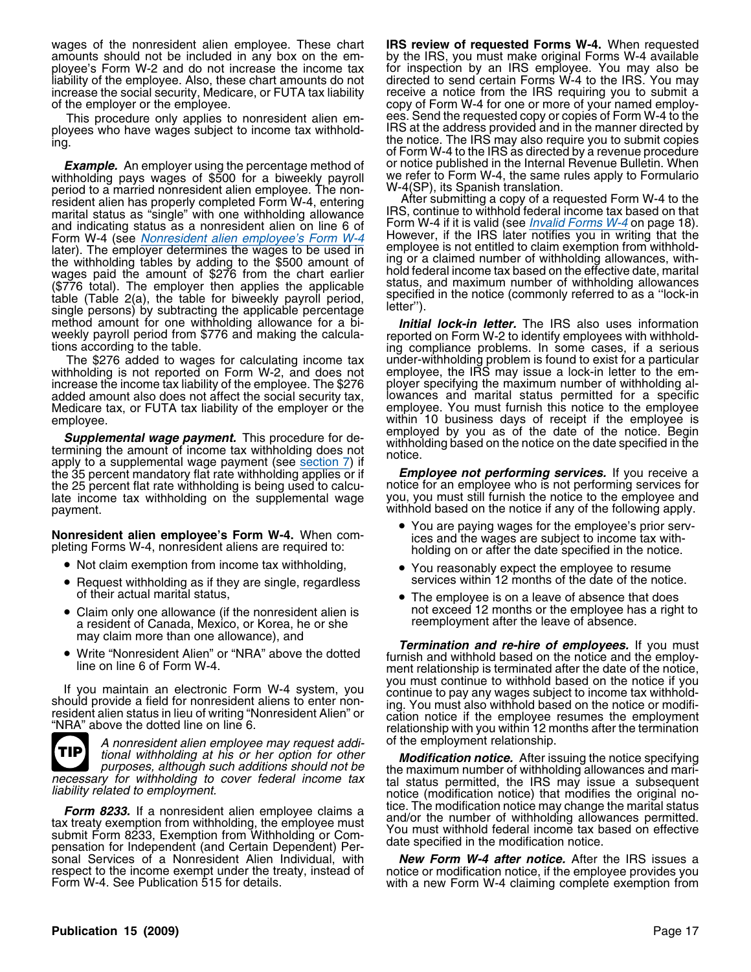wages of the nonresident alien employee. These chart **IRS review of requested Forms W-4.** When requested amounts should not be included in any box on the em- by the IRS, you must make original Forms W-4 available ployee's Form W-2 and do not increase the income tax for inspection by an IRS employee. You may also be is inditived income tax for inspection by an IRS employee. Also, these chart amounts do not directed to send certain F liability of the employee. Also, these chart amounts do not increase the social security, Medicare, or FUTA tax liability receive a notice from the IRS requiring you to submit a

ployees who have wages subject to income tax withhold-<br>ing.

withholding pays wages of \$500 for a biweekly payroll we refer to Form W-4, the same rules apply to Formularion. period to a married nonresident alien employee. The non-<br>resident alien has properly completed Form W-4, entering and alter submitting a copy of a requested Form W-4 to the resident alien has properly completed Form W-4, entering After submitting a copy of a requested Form W-4 to the<br>marital status as "single" with one withholding allowance RS, continue to withhold federal income tax based on marital status as "single" with one withholding allowance IRS, continue to withhold federal income tax based on that<br>And indicating status as a nonresident alien on line 6 of Form W-4 if it is valid (see *Invalid Forms W-4* and indicating status as a nonresident alien on line 6 of Form W-4 (see *Nonresident alien employee's Form W-4* Form W-4 (see Nonresident alien employee's Form W-4 However, if the IRS later notifies you in writing that the later). The employer determines the wages to be used in employee is not entitled to claim exemption from withho the withholding tables by adding to the \$500 amount of ing or a claimed number of withholding allowances, with-<br>wages paid the amount of \$276 from the chart earlier hold federal income tax based on the effective date, mari wages paid the amount of \$276 from the chart earlier hold federal income tax based on the effective date, marital<br>(\$776 total). The employer then applies the applicable status, and maximum number of withholding allowances (\$776 total). The employer then applies the applicable<br>table (Table 2(a), the table for biweekly payroll period,<br>single persons) by subtracting the applicable percentage<br>letter"). method amount for one withholding allowance for a bi-<br>weekly payroll period from \$776 and making the calcula-<br>reported on Form W-2 to identify employees with withhold-

withholding is not reported on Form W-2, and does not employee, the IRS may issue a lock-in letter to the emincrease the income tax liability of the employee. The \$276 ployer specifying the maximum number of withholding aladded amount also does not affect the social security tax, lowances and marital status permitted for a specific Medicare tax, or FUTA tax liability of the employer or the employee.

**Supplemental wage payment.** This procedure for de-<br>termining the amount of income tax withholding does not<br>apply to a supplemental wage payment (see <u>section 7</u>) if<br>the 35 percent mandatory flat rate withholding applies o the 35 percent mandatory flat rate withholding applies or if *Employee not performing services.* If you receive a the 25 percent flat rate withholding is being used to calcu-<br>late income tax withholding on the supplemental wage you, you must still furnish the notice to the employee and late income tax withholding on the supplemental wage payment. **Example 2** and the notice if any of the following apply.

- Not claim exemption from income tax withholding, •
- Request withholding as if they are single, regardless services within 12 months of the date of the notice. of their actual marital status, •
- a resident of Canada, Mexico, or Korea, he or she reemployment after the leave of absence.
- 



A nonresident alien employee may request addi-<br>tional withholding at his or her option for other **Modification notice**. After is

Form 8233. If a nonresident alien employee claims a<br>tax treaty exemption from withholding, the employee must<br>submit Form 8233, Exemption from Withholding or Com-<br>pensation for Independent (and Certain Dependent) Per-<br>sonal sonal Services of a Nonresident Alien Individual, with respect to the income exempt under the treaty, instead of notice or modification notice, if the employee provides you<br>Form W-4. See Publication 515 for details. with a new Form W-4 claiming complete exemption from

of the employer or the employee. copy of Form W-4 for one or more of your named employ-This procedure only applies to nonresident alien em-<br>wees who have wages subject to income tax withhold- IRS at the address provided and in the manner directed by the notice. The IRS may also require you to submit copies of Form W-4 to the IRS as directed by a revenue procedure *Example.* An employer using the percentage method of or notice published in the Internal Revenue Bulletin. When<br>thholding pays wages of \$500 for a biweekly payroll we refer to Form W-4, the same rules apply to Formulario

weekly payroll period from \$776 and making the calcula- reported on Form W-2 to identify employees with withhold- tions according to the table. ing compliance problems. In some cases, if a serious The \$276 added to wages for calculating income tax under-withholding problem is found to exist for a particular within 10 business days of receipt if the employee is employed by you as of the date of the notice. Begin

- You are paying wages for the employee's prior serv-**Nonresident alien employee's Form W-4.** When com-<br>pleting Forms W-4, nonresident aliens are required to:<br>holding on or after the date specified in the notice.
	- You reasonably expect the employee to resume services within 12 months of the date of the notice.
	- The employee is on a leave of absence that does • Claim only one allowance (if the nonresident alien is not exceed 12 months or the employee has a right to

may claim more than one allowance), and<br>Write "Nonresident Alien" or "NRA" above the dotted *furnish and withhold based on the notice and the employ*-• Write "Nonresident Alien" or "NRA" above the dotted<br>line on line 6 of Form W-4.<br>line on line 6 of Form W-4.<br>ment relationship is terminated after the date of the notice,<br>you must continue to withhold based on the notice If you maintain an electronic Form W-4 system, you<br>should provide a field for nonresident aliens to enter non-<br>resident alien status in lieu of writing "Nonresident Alien" or<br>"NRA" above the dotted line on line 6.<br>"NRA" ab

tional withholding at his or her option for other **Modification notice.** After issuing the notice specifying purposes, although such additions should not be the maximum number of withholding allowances and mari-<br>necessary necessary for withholding to cover federal income tax tal status permitted, the IRS may issue a subsequent liability related to employment.<br>Intice (modification notice) that modifies the original notice income original not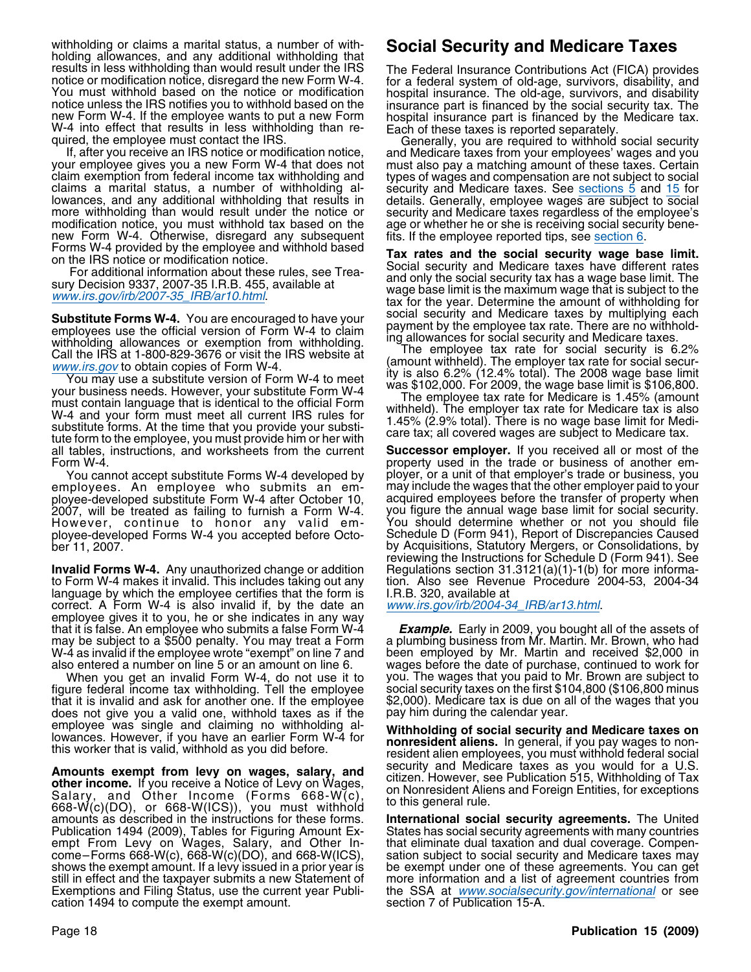withholding or claims a marital status, a number of with-<br>holding allowances, and any additional withholding that<br>results in less withholding than would result under the IRS<br>The Federal Insurance Contributions Act (FICA) p results in less withholding than would result under the IRS The Federal Insurance Contributions Act (FICA) provides<br>notice or modification notice, disregard the new Form W-4. for a federal system of old-age, survivors, dis

claims a marital status, a number of withholding alsecurity and Medicare taxes. See <u>sections 5</u> and 15 for<br>lowances, and any additional withholding that results in details. Generally, employee wages are subject to social<br>

**Substitute Forms W-4.** You are encouraged to have your<br>employees use the official version of Form W-4 to claim<br>withholding allowances or exemption from withholding. In allowances for social security and Medicare taxes.<br>wi With Didition of all owarices of exemploid from withholding.<br>Call the IRS at 1-800-829-3676 or visit the IRS website at (amount withheld). The employer tax rate for social secur-<br>Www.irs gov to obtain copies of Form W-4

Wither the time is the time website the the section of Form W-4 (amount withheld). The employer tax rate for social secur-<br>
You may use a substitute version of Form W-4 to meet<br>
your business needs. However, your substitu all tables, instructions, and worksheets from the current **Successor employer.** If you received all or most of the

employees. An employee who submits an em- may include the wages that the other employer paid to your<br>ployee-developed substitute Form W-4 after October 10, acquired employees before the transfer of property when 2007, will be treated as failing to furnish a Form W-4. you figure the annual wage base limit for social security. However, continue to honor any valid em- You should determine whether or not you should file ployee-developed Forms W-4 you accepted before Octo-<br>by Acquisitions, Statutory Mergers, or Consolidations, by<br>by Acquisitions, Statutory Mergers, or Consolidations, by

**Invalid Forms W-4.** Any unauthorized change or addition Regulations section 31.3121(a)(1)-1(b) for more informa-<br>to Form W-4 makes it invalid. This includes taking out any tion. Also see Revenue Procedure 2004-53, 2004-34 to Form W-4 makes it invalid. This includes taking out any tion. Also see Reven<br>language by which the employee certifies that the form is I.R.B. 320, available at language by which the employee certifies that the form is I.R.B. 320, available at correct. A Form W-4 is also invalid if, by the date an *www.irs.gov/irb/2004-34 IRB/ar13.html.* correct. A Form W-4 is also invalid if, by the date an employee gives it to you, he or she indicates in any way that it is false. An employee who submits a false Form W-4 **Example.** Early in 2009, you bought all of the assets of<br>may be subject to a \$500 penalty. You may treat a Form a plumbing business from Mr. Martin. Mr. Brown, wh W-4 as invalid if the employee wrote "exempt" on line 7 and been employed by Mr. Martin and received \$2,000 in

When you get an invalid Form W-4, do not use it to figure federal income tax withholding. Tell the employee that it is invalid and ask for another one. If the employee \$2,000). Medicare tax is due on all of the wages that you<br>does not give you a valid one, withhold taxes as if the pay him during the calendar year. does not give you a valid one, withhold taxes as if the

**Amounts exempt from levy on wages, salary, and** security and Medicare taxes as you would for a U.S.<br> **other income.** If you receive a Notice of Levy on Wages,<br>
Salary, and Other Income (Forms  $668-W(c)$ ,<br>  $668-W(c)(DO)$ , or  $6$ amounts as described in the instructions for these forms. **International social security agreements.** The United Publication 1494 (2009), Tables for Figuring Amount Ex- States has social security agreements with many countries empt From Levy on Wages, Salary, and Other In-<br>come–Forms 668-W(c), 668-W(c)(DO), and 668-W(ICS), sation subject to social security and Medicare taxes may shows the exempt amount. If a levy issued in a prior year is be exempt under one of these agreements. You can get<br>still in effect and the taxpayer submits a new Statement of more information and a list of agreement countri still in effect and the taxpayer submits a new Statement of Exemptions and Filing Status, use the current year Publication 1494 to compute the exempt amount.

property used in the trade or business of another em-You cannot accept substitute Forms W-4 developed by ployer, or a unit of that employer's trade or business, you acquired employees before the transfer of property when<br>you figure the annual wage base limit for social security. by Acquisitions, Statutory Mergers, or Consolidations, by reviewing the Instructions for Schedule D (Form 941). See

also entered a number on line 5 or an amount on line 6. wages before the date of purchase, continued to work for social security taxes on the first \$104,800 (\$106,800 minus

employee was single and claiming no withholding al-<br>lowances. However, if you have an earlier Form W-4 for<br>this worker that is valid, withhold as you did before.<br>resident alien employees, you must withhold federal social

sation subject to social security and Medicare taxes may the SSA at www.socialsecurity.gov/international or see section 7 of Publication 15-A.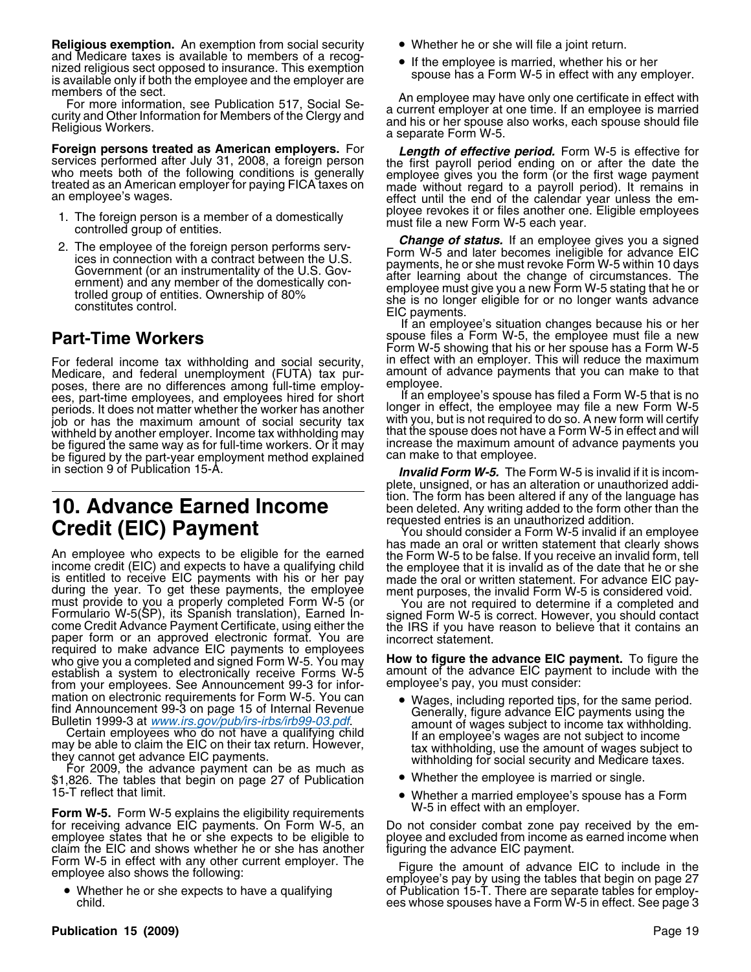**Religious exemption.** An exemption from social security **•** Whether he or she will file a joint return. and Medicare taxes is available to members of a recog-<br>interfering in the employee is married, whether his or her nized religious sect opposed to insurance. This exemption<br>is available only if both the employee and the employer are<br>in spouse has a Form W-5 in effect with any employer.

**Foreign persons treated as American employers.** For **Length of effective period.** Form W-5 is effective for services performed after July 31, 2008, a foreign person the first payroll period ending on or after the date the

- 
- 

For federal income tax withholding and social security, contriect with an employer. This will reduce the maximum Medicare, and federal unemployment (FUTA) tax pur- amount of advance payments that you can make to that poses, there are no differences among full-time employ-<br>ees, part-time employees, and employees hired for short list an employee's spouse has filed a Form W-5 that is no ees, part-time employees, and employees hired for short If an employee's spouse has filed a Form W-5 that is no<br>periods It does not matter whether the worker has another Ionger in effect, the employee may file a new Form W periods. It does not matter whether the worker has another longer in effect, the employee may file a new Form W-5<br>job or has the maximum amount of social security tax with you, but is not required to do so. A new form will job or has the maximum amount of social security tax with you, but is not required to do so. A new form will certify<br>withheld by another employer, Income tax withholding may that the spouse does not have a Form W-5 in effe withheld by another employer. Income tax withholding may that the spouse does not have a Form W-5 in effect and will<br>be figured the same way as for full-time workers. Or it may hincrease the maximum amount of advance payme be figured the same way as for full-time workers. Or it may increase the maximum amount of a figure payment of a<br>be figured by the part-year employment method explained can make to that employee. be figured by the part-year employment method explained in section 9 of Publication 15-A.

An employee who expects to be eligible for the earned<br>income credit (EIC) and expects to have a qualifying child<br>income credit (EIC) and expects to have a qualifying child<br>is the employee that it is invalid as of the date required to make advance EIC payments to employees who give you a completed and signed Form W-5. You may **How to figure the advance EIC payment.** To figure the establish a system to electronically receive Forms W-5 amount of the advance EIC payment to include with the establish a system to electronically receive Forms W-5 amount of the advance EIC payment from vour emplovees. See Announcement 99-3 for inforfrom your employees. See Announcement 99-3 for information on electronic requirements for Form W-5. You can <br>find Announcement 99-3 on page 15 of Internal Revenue<br>Generally figure advance FIC payments using the

15-T reflect that limit. •

Form W-5. Form W-5 explains the eligibility requirements<br>for receiving advance EIC payments. On Form W-5, an bo not consider combat zone pay received by the emfor receiving advance EIC payments. On Form W-5, an employee states that he or she expects to be eligible to claim the EIC and shows whether he or she has another Form W-5 in effect with any other current employer. The

• Whether he or she expects to have a qualifying

- 
- 

members of the sect.<br>For more information, see Publication 517, Social Se-<br>curity and Other Information for Members of the Clergy and<br>Religious Workers.<br>Religious Workers.<br>a separate Form W-5.

services performed after July 31, 2008, a foreign person<br>who meets both of the following conditions is generally<br>treated as an American employer for paying FICA taxes on<br>an employee gives you the form (or the first wage pa

1. The foreign person is a member of a domestically<br>
controlled group of entities.<br>
2. The employee of the foreign person performs serv-<br>
ices in connection with a contract between the U.S.<br>
Government (or an instrumental

If an employee's situation changes because his or her **Part-Time Workers** spouse files a Form W-5, the employee must file a new Form W-5 showing that his or her spouse has a Form W-5

**Invalid Form W-5.** The Form W-5 is invalid if it is incomplete, unsigned, or has an alteration or unauthorized addition. The form has been altered if any of the language has **10. Advance Earned Income** been deleted. Any writing added to the form other than the

**Credit (EIC) Payment**<br>
You should consider a Form W-5 invalid if an employee<br>
has made an oral or written statement that clearly shows

- mation on electronic requirements for Form W-5. You can<br>
find Announcement 99-3 on page 15 of Internal Revenue<br>
Bulletin 1999-3 at *www.irs.gov/pub/irs-irbs/irb99-3 at with begand* amount of wages subject to income tax wit
	-
	- Whether a married employee's spouse has a Form<br>W-5 in effect with an employer.

ployee and excluded from income as earned income when<br>figuring the advance EIC payment.

Figure the amount of advance EIC to include in the employee also shows the following:<br>Eigure the amount of advance EIC to include in the employee's pay by using the tables that begin on page 27 Whether he or she expects to have a qualifying of Publication 15-T. There are separate tables for employ-<br>6 ees whose spouses have a Form W-5 in effect. See page ees whose spouses have a Form W-5 in effect. See page 3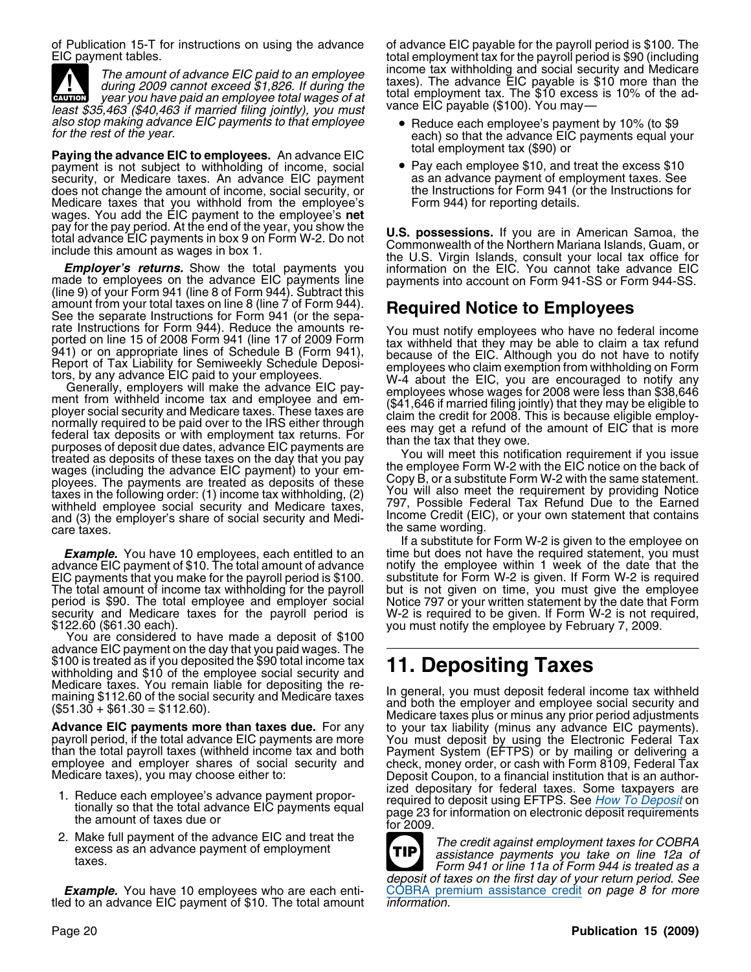of Publication 15-T for instructions on using the advance of advance EIC payable for the payroll period is \$100. The

**EAUTION** least \$35,463 (\$40,463 if married filing jointly), you must also stop making advance EIC payments to that employee • Reduce each employee's payment by 10% (to \$9 for the rest of the year.

**Paying the advance EIC to employees.** An advance EIC **the end advance to the excess \$10**<br>payment is not subject to withholding of income, social **P** Pay each employee \$10, and treat the excess \$10 payment is not subject to withholding of income, social • Pay each employee \$10, and treat the excess \$10<br>security, or Medicare taxes. An advance EIC payment as an advance payment of employment taxes. See security, or Medicare taxes. An advance EIC payment as an advance payment of employment taxes. See<br>does not change the amount of income, social security, or the Instructions for Form 941 (or the Instructions for does not change the amount of income, social security, or the Instructions for Form 941 (correlations for Form 941 (correlations for Form 941 (correlations for the Instructions for Form 941 (correlations for the Instructio Medicare taxes that you withhold from the employee's. wages. You add the EIC payment to the employee's **net** pay for the pay period. At the end of the year, you show the

made to employees on the advance EIC payments line payments into account on Form 941-SS or Form 944-SS. (line 9) of your Form 941 (line 8 of Form 944). Subtract this<br>amount from your total taxes on line 8 (line 7 of Form 9 amount from your total taxes on line 8 (line 7 of Form 944). **Required Notice to Employees**<br>See the separate Instructions for Form 941 (or the sepa-<br>rate Instructions for Form 944). Reduce the amounts re-<br>You must notify e

treated as deposits of these taxes on the day that you pay<br>wages (including the advance EIC payment) to your em-<br>ployee Form W-2 with the EIC notice on the back of<br>ployees. The payments are treated as deposits of these. Co ployees. The payments are treated as deposits of these Copy B, or a substitute Form W-2 with the same statement.<br>taxes in the following order: (1) income tax withholding, (2) You will also meet the requirement by providing withheld employee social security and Medicare taxes,<br>and (3) the employee social security and Medicare taxes,<br>and (3) the employer's share of social security and Medi-<br>Income Credit (EIC), or your own statement that conta and (3) the employer's share of social security and Medi-<br>care taxes.

**Example.** You have 10 employees, each entitled to an time but does not have the required statement, you must advance advance and if you must advance EIC payment of \$10. The total amount of advance notify the employee with advance EIC payment of \$10. The total amount of advance notify the employee within 1 week of the date that the<br>EIC payments that you make for the payroll period is \$100. substitute for Form W-2 is given. If Form W-2 is req EIC payments that you make for the payroll period is \$100. substitute for Form W-2 is given. If Form W-2 is required<br>The total amount of income tax withholding for the payroll but is not given on time, you must give the em period is \$90. The total employee and employer social security and Medicare taxes for the payroll period is

advance EIC payment on the day that you paid wages. The \$100 is treated as if you deposited the \$90 total income tax \$100 is treated as if you deposited the \$90 total income tax **11. Depositing Taxes**<br>withholding and \$10 of the employee social security and **11. Depositing Taxes**<br>Medicare taxes. You remain liable for depositing the re-

- 
- 2. Make full payment of the advance EIC and treat the<br>excess as an advance payment of employment<br>taxes.<br>Form 941 or line 11a of Form 944 is treated as a

**Example.** You have 10 employees who are each enti-<br>tled to an advance EIC payment of \$10. The total amount *information.* 

total employment tax for the payroll period is \$90 (including The amount of advance EIC paid to an employee income tax withholding and social security and Medicare<br>during 2009 cannot exceed \$1,826. If during the taxes). The advance EIC payable is \$10 more than the<br>year you have paid

- 
- 

pay for the pay period. At the end of the year, you show the<br>total advance EIC payments in box 9 on Form W-2. Do not<br>include this amount as wages in box 1.<br>**Employer's returns.** Show the total payments you information on t

rate Instructions for Form 944). Reduce the amounts re-<br>
ported on line 15 of 2008 Form 1941 (line 17 of 2009 Form 1941), the 17 of 2009 Form 1941,<br>
galf in or appropriate lines of Schedule B (Form 941),<br>
Report of Tax Lia

the same wording.

If a substitute for Form W-2 is given to the employee on but is not given on time, you must give the employee Notice 797 or your written statement by the date that Form security and Medicare taxes for the payroll period is W-2 is required to be given. If Form W-2 is not required,<br>\$122.60 (\$61.30 each). you must notify the employee by February 7, 2009.<br>You are considered to have made a dep

medical section in the social security and Medicare taxes<br>
(\$51.30 + \$61.30 = \$112.60).<br>
Medicare taxes and both the employer and employee social security and<br>
Medicare taxes plus or minus any prior period adjustments **Advance EIC payments more than taxes due.** For any to your tax liability (minus any advance EIC payments).<br>
payroll period, if the total advance EIC payments are more You must deposit by using the Electronic Federal Tax<br> 1. Reduce each employee's advance payment propor-<br>tionally so that the total advance EIC payments equal<br>the amount of taxes due or<br>for 2009.



deposit of taxes on the first day of your return period. See<br>COBRA premium assistance credit on page 8 for more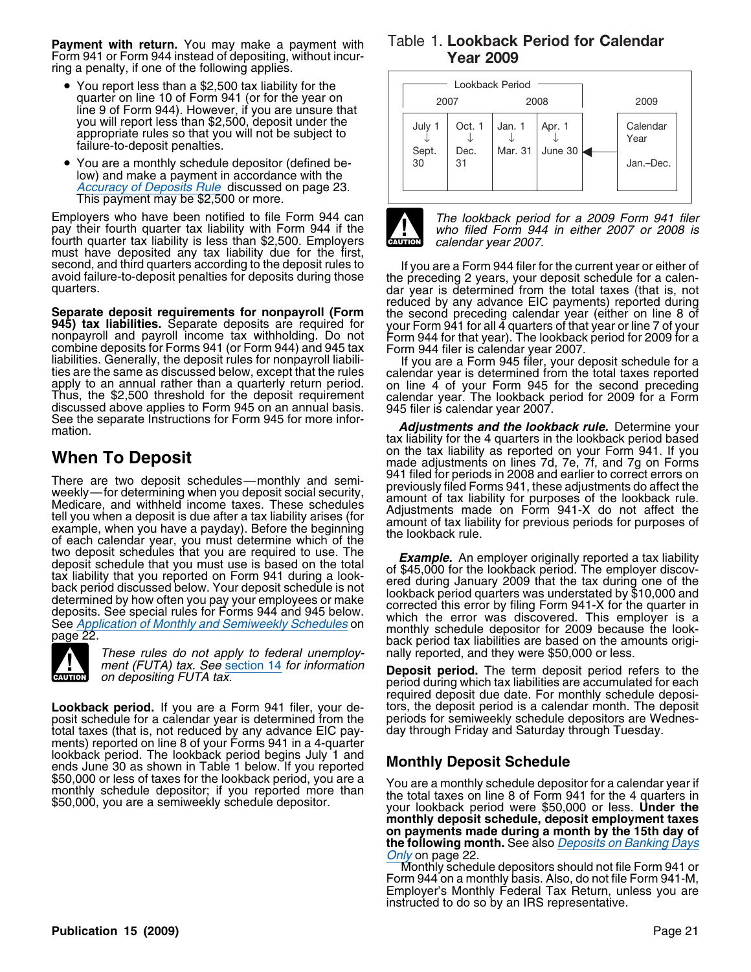**Payment with return.** You may make a payment with Form 941 or Form 944 instead of depositing, without incurring a penalty, if one of the following applies.

- You report less than a \$2,500 tax liability for the quarter on line 10 of Form 941 (or for the year on line 9 of Form 944). However, if you are unsure that you will report less than \$2,500, deposit under the appropriate rules so that you will not be subject to failure-to-deposit penalties.
- You are a monthly schedule depositor (defined below) and make a payment in accordance with the Accuracy of Deposits Rule discussed on page 23.<br>This payment may be \$2,500 or more.

Employers who have been notified to file Form 944 can<br>
pay their fourth quarter tax liability with Form 944 if the who filed Form 944 in either 2007 or 2008 is fourth quarter tax liability is less than \$2,500. Employers **CAUTION** calendar year 2007. must have deposited any tax liability due for the first,

**Separate deposit requirements for nonpayroll (Form** the second preceding calendar year (either on line 8 of 945) tax liabilities. Separate deposits are required for your Form 941 for all 4 quarters of that year or line 7 mation. *Adjustments and the lookback rule.* Determine your

There are two deposit schedules—monthly and semi-<br>weekly—for determining when you deposit social security,<br>Medicare, and withheld income taxes. These schedules<br>tell you when a deposit is due after a tax liability arises (f



These rules do not apply to federal unemploy- nally reported, and they were \$50,000 or less.<br>ment (FUTA) tax. See section 14 for information **perposit period.** The term depect period re

**Lookback period.** If you are a Form 941 filer, your de-<br>posit schedule for a calendar year is determined from the periods for semiweekly schedule depositors are Wednesposit schedule for a calendar year is determined from the periods for semiweekly schedule depositors are We<br>total taxes (that is, not reduced by any advance EIC pay- day through Friday and Saturday through Tuesday. total taxes (that is, not reduced by any advance EIC pay- day through Friday and Saturday through Tuesday. ments) reported on line 8 of your Forms 941 in a 4-quarter lookback period. The lookback period begins July 1 and **Monthly Deposit Schedule** ends June 30 as shown in Table 1 below. If you reported **Monthly Deposit Schedule** 

### Table 1. **Lookback Period for Calendar Year 2009**





second, and third quarters according to the deposit rules to<br>avoid failure-to-deposit penalties for deposits during those<br>quarters.<br>and the preceding 2 years, your deposit schedule for a calen-<br>quarters.<br>and year is determ

tax liability for the 4 quarters in the lookback period based **When To Deposit**<br>made adjustments on lines 7d, 7e, 7f, and 7g on Forms<br>There are two deposit eshadules monthly and somi 941 filed for periods in 2008 and earlier to correct errors on

two deposit schedules that you are required to use. The<br>deposit schedule that you must use is based on the total<br>tax liability that you reported on Form 941 during a look-<br>back period discussed below. Your deposit schedule

ment (FUTA) tax. See section 14 for information **Deposit period.** The term deposit period refers to the on depositing FUTA tax. period during which tax liabilities are accumulated for each required deposit due date. For monthly schedule depositions, the deposit period is a calendar month. The deposit

\$50,000 or less of taxes for the lookback period, you are a<br>monthly schedule depositor; if you reported more than<br>\$50,000, you are a semiweekly schedule depositor.<br>your lookback period were \$50,000 or less. Under the **monthly deposit schedule, deposit employment taxes on payments made during a month by the 15th day of the following month.** See also *Deposits on Banking Days* Only on page 22

Monthly schedule depositors should not file Form 941 or Form 944 on a monthly basis. Also, do not file Form 941-M, Employer's Monthly Federal Tax Return, unless you are instructed to do so by an IRS representative.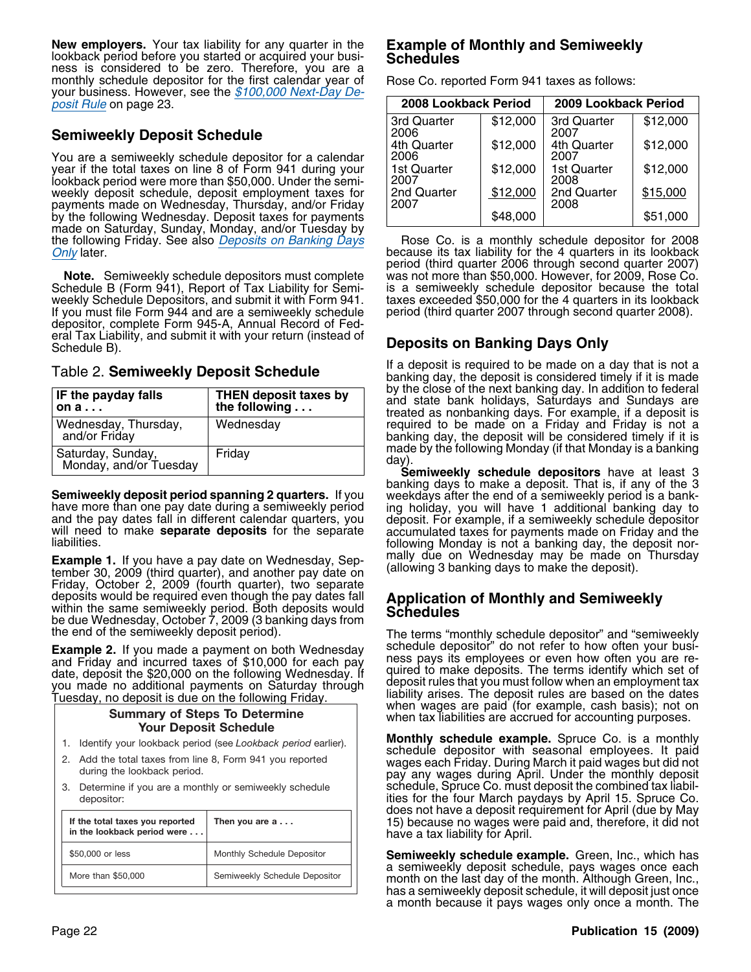**New employers.** Your tax liability for any quarter in the **Example of Monthly and Semiweekly**<br>lookback period before you started or acquired your busi-<br>ness is considered to be zero. Therefore, you are a<br>monthly schedule monthly schedule depositor for the first calendar year of your business. However, see the \$100,000 Next-Day Deposit Rule on page 23. **2008 Lookback Period 2009 Lookback Period**

### **Semiweekly Deposit Schedule**

You are a semiweekly schedule depositor for a calendar year if the total taxes on line 8 of Form 941 during your lookback period were more than \$50,000. Under the semiweekly deposit schedule, deposit employment taxes for payments made on Wednesday, Thursday, and/or Friday by the following Wednesday. Deposit taxes for payments made on Saturday, Sunday, Monday, and/or Tuesday by the following Friday. See also *Deposits on Banking Days* the following Friday. See also *Deposits on Banking Days* Rose Co. is a monthly schedule depositor for 2008<br>Only later. Completers in its lookback Only later. **because its tax liability for the 4 quarters in its lookback**  $\overline{O}$  because its tax liability for the 4 quarters in its lookback

Schedule B (Form 941), Report of Tax Liability for Semiweekly Schedule Depositors, and submit it with Form 941. taxes exceeded \$50,000 for the 4 quarters in its lookback<br>If you must file Form 944 and are a semiweekly schedule period (third quarter 2007 through second quarter 2 If you must file Form 944 and are a semiweekly schedule depositor, complete Form 945-A, Annual Record of Federal Tax Liability, and submit it with your return (instead of<br>Schedule B).

| <b>IF the payday falls</b><br>i on a        | <b>THEN deposit taxes by</b><br>the following |
|---------------------------------------------|-----------------------------------------------|
| Wednesday, Thursday,<br>and/or Friday       | Wednesday                                     |
| Saturday, Sunday,<br>Monday, and/or Tuesday | Friday                                        |

Friday, October 2, 2009 (fourth quarter), two separate deposits would be required even though the pay dates fall deposits would be required even though the pay dates fall **Application of Monthly and Semiweekly**<br>within the same semiweekly period. Both deposits would<br>be due Wednesday, October 7, 2009 (3 banking days from the end of the

### **Summary of Steps To Determine Your Deposit Schedule**

- 1. Identify your lookback period (see *Lookback period* earlier).
- 2. Add the total taxes from line 8, Form 941 you reported during the lookback period.
- 3. Determine if you are a monthly or semiweekly schedule depositor:

| If the total taxes you reported<br>in the lookback period were | Then you are $a \ldots$       |
|----------------------------------------------------------------|-------------------------------|
| \$50,000 or less                                               | Monthly Schedule Depositor    |
| More than \$50,000                                             | Semiweekly Schedule Depositor |

| 2008 Lookback Period |          | 2009 Lookback Period |          |  |
|----------------------|----------|----------------------|----------|--|
| 3rd Quarter<br>2006  | \$12,000 | 3rd Quarter<br>2007  | \$12,000 |  |
| 4th Quarter<br>2006  | \$12,000 | 4th Quarter<br>2007  | \$12,000 |  |
| 1st Quarter<br>2007  | \$12,000 | 1st Quarter<br>2008  | \$12,000 |  |
| 2nd Quarter<br>2007  | \$12,000 | 2nd Quarter<br>2008  | \$15,000 |  |
|                      | \$48,000 |                      | \$51,000 |  |

period (third quarter 2006 through second quarter 2007) **Note.** Semiweekly schedule depositors must complete was not more than \$50,000. However, for 2009, Rose Co. **Note**<br>chedule B (Form 941), Report of Tax Liability for Semi- is a semiweekly schedule depositor because the tota

### **Deposits on Banking Days Only**

If a deposit is required to be made on a day that is not a<br>banking day, the deposit is considered timely if it is made<br>by the close of the next banking day. In addition to federal and state bank holidays, Saturdays and Sundays are treated as nonbanking days. For example, if a deposit is required to be made on a Friday and Friday is not a banking day, the deposit will be considered timely if it is made by the following Monday (if that Monday is a banking<br>day).

**Semiweekly schedule depositors** have at least 3 banking days to make a deposit. That is, if any of the 3 banking days to make a deposit. That is, if any of the 3<br>have more than one pay date during a semiweekly period<br>have more than one pay date during a semiweekly period<br>and the pay dates fall in different calendar quarters, **Example 1.** If you have a pay date on Wednesday, Sep- mally due on Wednesday may be made on Thursday tember 30, 2009 (third quarter), and another pay date on (allowing 3 banking days to make the deposit).

The terms "monthly schedule depositor" and "semiweekly schedule depositor" do not refer to how often your busi-**Example 2.** If you made a payment on both Wednesday<br>and Friday and incurred taxes of \$10,000 for each pay<br>date, deposit the \$20,000 on the following Wednesday. If<br>you made no additional payments on Saturday through<br>rules when tax liabilities are accrued for accounting purposes.

> **Monthly schedule example.** Spruce Co. is a monthly schedule depositor with seasonal employees. It paid wages each Friday. During March it paid wages but did not pay any wages during April. Under the monthly deposit schedule, Spruce Co. must deposit the combined tax liabilities for the four March paydays by April 15. Spruce Co. does not have a deposit requirement for April (due by May 15) because no wages were paid and, therefore, it did not have a tax liability for April.

> **Semiweekly schedule example.** Green, Inc., which has a semiweekly deposit schedule, pays wages once each month on the last day of the month. Although Green, Inc., has a semiweekly deposit schedule, it will deposit just once a month because it pays wages only once a month. The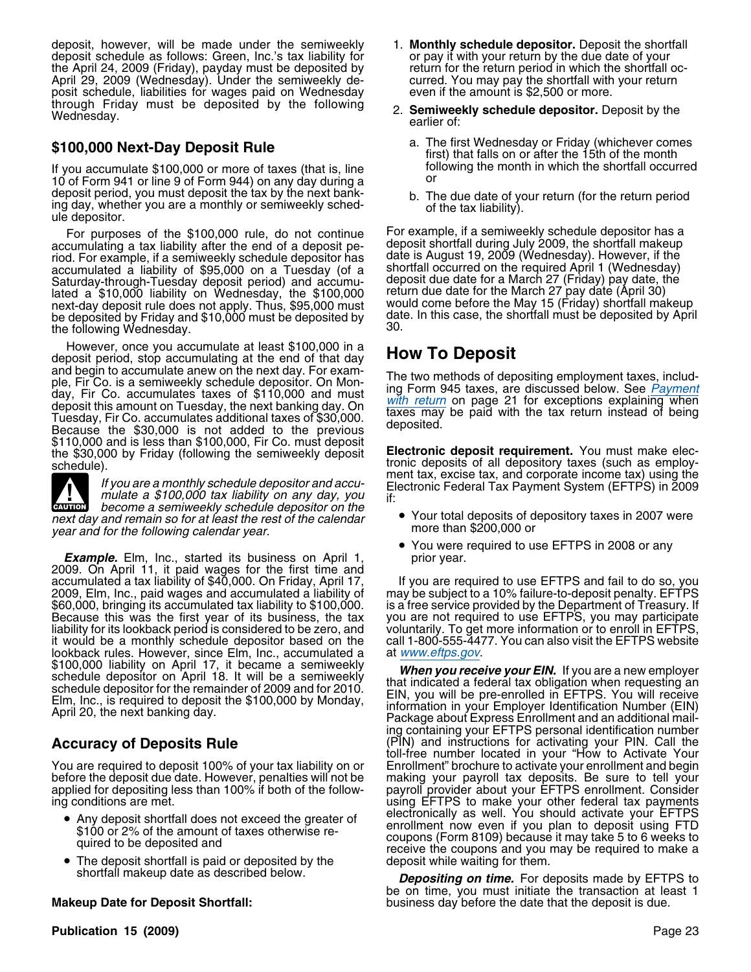deposit, however, will be made under the semiweekly 1. **Monthly schedule depositor.** Deposit the shortfall deposit schedule as follows: Green, Inc.'s tax liability for or pay it with your return by the due date of your<br>the April 24, 2009 (Friday), payday must be deposited by return for the return period in which the shortfall o the April 24, 2009 (Friday), payday must be deposited by return for the return period in which the shortfall oc<br>April 29, 2009 (Wednesday). Under the semiweekly de-<br>curred. You may pay the shortfall with your return April 29, 2009 (Wednesday). Under the semiweekly deposit schedule, liabilities for wages paid on Wednesday even if the amount is \$2,500 or more. through Friday must be deposited by the following 2. **Semiweekly schedule depositor.** Deposit by the earlier of:

If you accumulate \$100,000 or more of taxes (that is, line form in the month in  $\frac{10}{10}$  the shortfall or shortfall or shortfall or shortfall or shortfall or shortfall or shortfall or shortfall or shortfall or shortfal 10 of Form 941 or line 9 of Form 944) on any day during a deposit period, you must deposit the tax by the next bankdeposit period, you must deposit the tax by the next bank-<br>ing day, whether you are a monthly or semiweekly sched-<br>ule depositor.

accumulating a tax liability after the end of a deposit pe-<br>riod. For example, if a semiweekly schedule depositor has date is August 19, 2009 (Wednesday). However, if the riod. For example, if a semiweekly schedule depositor has date is August 19, 2009 (Wednesday). However, if the<br>accumulated a liability of \$95,000 on a Tuesday (of a shortfall occurred on the required April 1 (Wednesday) accumulated a liability of \$95,000 on a Tuesday (of a shortfall occurred on the required April 1 (Wednesday)<br>Saturday-through-Tuesday deposit period) and accumu-<br>geposit deposit de date for a March 27 (Friday) pay date, th Saturday-through-Tuesday deposit period) and accumulated a \$10,000 liability on Wednesday, the \$100,000 creturn due date for the March 27 pay date (April 30) next-day deposit rule does not apply. Thus, \$95,000 must would come before the May 15 (Friday) shortfall makeup next-day deposit rule does not apply. Thus, \$95,000 must would come before the May 15 (Friday) shortfall makeup<br>be deposited by Friday and \$10,000 must be deposited by date. In this case, the shortfall must be deposited by the following Wednesday.

However, once you accumulate at least \$100,000 in a<br>deposit period, stop accumulating at the end of that day<br>and begin to accumulate anew on the next day. For examand begin to accumulate allew off the HeAt day. The two methods of depositing employment taxes, includ-<br>day, Fir Co. is a semiweekly schedule deposition. On Mon-<br>day, Fir Co. accumulates taxes of \$110,000 and must<br>deposit \$110,000 and is less than \$100,000, Fir Co. must deposit **Electronic deposit requirement**. You must make electronic deposits of all depository taxes (such as employ-<br>schedule).

become a semiweekly schedule depositor on the **CAUTION** next day and remain so for at least the rest of the calendar  $\bullet$  Your total deposits of depository taxes in 2007 were more than \$200,000 or year and for the following calendar year.

**Example.** Elm, Inc., started its business on April 1, exprior year. 2009. On April 11, it paid wages for the first time and accumulated a tax liability of \$40,000. On Friday, April 17, accumulated a tax liability of \$40,000. On Friday, April 17, If you are required to use EFTPS and fail to do so, you<br>2009, Elm, Inc., paid wages and accumulated a liability of may be subject to a 10% failure-to-deposit pen \$60,000, bringing its accumulated tax liability to \$100,000. is a free service provided by the Department of Treasury. If<br>Because this was the first year of its business, the tax you are not required to use EFTPS, you may Because this was the first year of its business, the tax you are not required to use EFTPS, you may participate<br>Iiability for its lookback period is considered to be zero, and voluntarily. To get more information or to enr it would be a monthly schedule depositor based on the lookback rules. However, since Elm, Inc., accumulated a lookback rules. However, since Elm, Inc., accumulated a<br>
\$100,000 liability on April 17, it became a semiweekly<br>
schedule depositor on April 18. It will be a semiweekly<br>
schedule depositor for the remainder of 2009 and for

You are required to deposit 100% of your tax liability on or Enrollment" brochure to activate your enrollment and begin<br>before the deposit due date. However, penalties will not be making your payroll tax deposits. Be sure before the deposit due date. However, penalties will not be making your payroll tax deposits. Be sure to tell your applied for depositing less than 100% if both of the follow- payroll provider about your EFTPS enrollment. Consider

- 
- The deposit shortfall is paid or deposited by the deposit while waiting for them.

- 
- **\$100,000 Next-Day Deposit Rule** a. The first Wednesday or Friday (whichever comes first) that falls on or after the 15th of the month if you accumulate \$100,000 or more of taxes (that is line following the month in which
	-

For purposes of the \$100,000 rule, do not continue For example, if a semiweekly schedule depositor has a<br>cumulating a tax liability after the end of a deposit pe-<br>geposit shortfall during July 2009, the shortfall makeup

tronic deposits of all depository taxes (such as employ-<br>ment tax, excise tax, and corporate income tax) using the If you are a monthly schedule depositor and accu-<br>
mulate a \$100,000 tax liability on any day, you if:<br>
if:

- 
- You were required to use EFTPS in 2008 or any

voluntarily. To get more information or to enroll in EFTPS, call 1-800-555-4477. You can also visit the EFTPS website

ing containing your EFTPS personal identification number **Accuracy of Deposits Rule** (PIN) and instructions for activating your PIN. Call the toll-free number located in your "How to Activate Your ing conditions are met. using EFTPS to make your other federal tax payments  $\bullet$  Any deposit shortfall does not exceed the greater of  $\qquad$  electronically as well. You should activate your EFTPS • Any deposit shortfall does not exceed the greater of<br>
\$100 or 2% of the amount of taxes otherwise re-<br>
quired to be deposited and<br>
and the coupons (Form 8109) because it may take 5 to 6 weeks to<br>
receive the coupons and

shortfall makeup date as described below. *Depositing on time.* For deposits made by EFTPS to be on time, you must initiate the transaction at least 1 **Makeup Date for Deposit Shortfall:** business day before the date that the deposit is due.

**Publication 15 (2009)** Page 23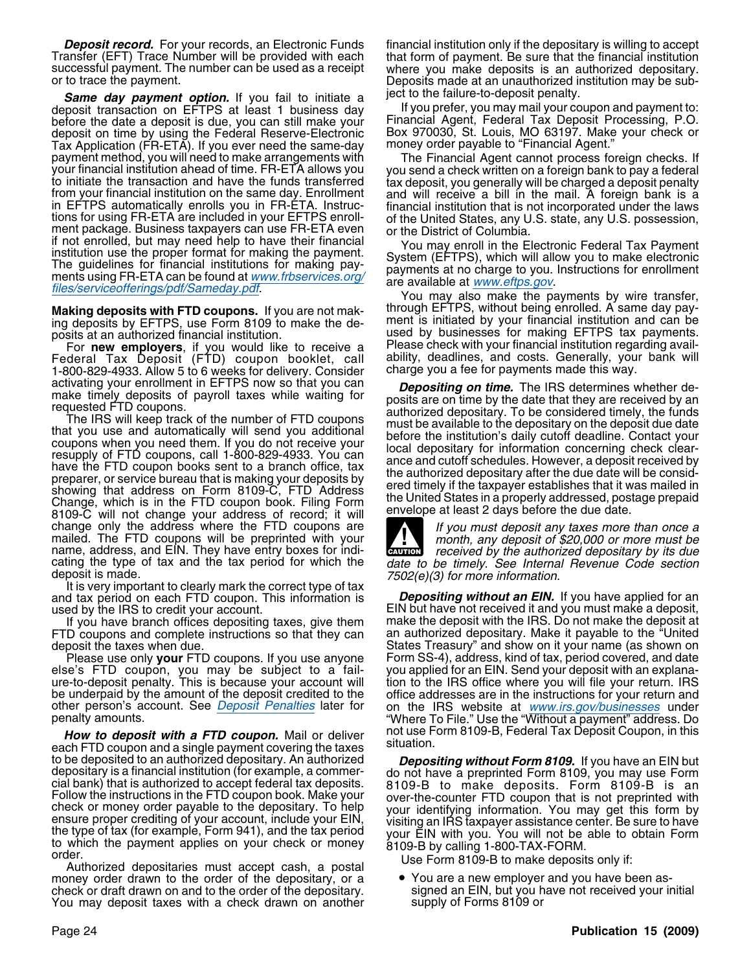**Same day payment option.** If you fail to initiate a state to the failure-to-deposit penalty.<br>posit transaction on EFTPS at least 1 business day state you prefer, you may mail your coupon and payment to: deposit transaction on EFTPS at least 1 business day before the date a deposit is due, you can still make your Financial Agent, Federal Tax Deposit Processing, P.O.<br>deposit on time by using the Federal Reserve-Electronic Box 970030, St. Louis, MO 63197. Make your check or deposit on time by using the Federal Reserve-Electronic Box 970030, St. Louis, MO 63197. Make<br>Tax Application (FR-ETA), If you ever need the same-day money order payable to "Financial Agent." Tax Application (FR-ETA). If you ever need the same-day payment method, you will need to make arrangements with<br>your financial institution ahead of time. FR-ETA allows you<br>to initiate the transaction and have the funds transferred<br>from your financial institution on the same day if not enrolled, but may need help to have their financial<br>if not enrolled, but may need help to have their financial<br>institution use the proper format for making the payment.<br>The guidelines for financial institutions for

ing deposits by EFTPS, use Form 8109 to make the de- ment is initiated by your financial institution and can be

Federal Tax Deposit (FTD) coupon booklet, call ability, deadlines, and costs. Generally, your bank will 1-800-829-4933. Allow 5 to 6 weeks for delivery. Consider charge you a fee for payments made this way.<br>activating your enrollment in EFTPS now so that you can **Depositing on time** The IRS determines v

change only the address where the FTD coupons are<br>mailed. The FTD coupons will be preprinted with your<br>name, address, and EIN. They have entry boxes for indi-<br>cating the type of tax and the tax period for which the<br>date to

cating the type of tax and the tax period for which the date to be timely. See Internal Revenue Code section deposit is made.<br>1502(e)(3) for more information.<br>It is very important to clearly mark the correct type of tax<br>1 and tax period on each FTD coupon. This information is used by the IRS to credit your account. EIN but have not received it and you must make a deposit,

FTD coupons and complete instructions so that they can deposit the taxes when due.

else's FTD coupon, you may be subject to a failure-to-deposit penalty. This is because your account will tion to the IRS office where you will file your return. IRS<br>be underpaid by the amount of the deposit credited to the office addresses are in the instructions for y be underpaid by the amount of the deposit credited to the soffice addresses are in the instructions for your return and<br>other person's account. See *Deposit Penalties* later for son the IRS website at *www.irs.gov/business* 

each FTD coupon and a single payment covering the taxes to be deposited to an authorized depositary. An authorized<br>depositary. An authorized<br>depositary is a financial institution (for example, a commer-<br>do not have a preprinted Form 8109, you may use Form<br>call bank) that is aut

money order drawn to the order of the depositary, or a • You are a new employer and you have been as-<br>check or draft drawn on and to the order of the depositary. signed an EIN, but you have not received your initial check or draft drawn on and to the order of the depositary. signed an EIN, but you have not received your received your received your may deposit taxes with a check drawn on another supply of Forms 8109 or You may deposit taxes with a check drawn on another

**Deposit record.** For your records, an Electronic Funds financial institution only if the depositary is willing to accept Transfer (EFT) Trace Number will be provided with each that form of payment. Be sure that the financial institution<br>successful payment. The number can be used as a receipt where you make deposits is an authorized depositar

**Making deposits with FTD coupons.** If you are not mak-<br>Making deposits with FTD coupons. If you are not mak-<br> posits at an authorized financial institution.<br>For new employers, if you would like to receive a Please check with your financial institution regarding avail-For **new employers**, if you would like to receive a chease check with your financial institution regarding avail-

activating your enrollment in EFTPS now so that you can<br>make timely depositing on time. The IRS determines whether de-<br>mequested FTD coupons.<br>The IRS will keep track of the number of FTD coupons<br>that you use and automatica



If you have branch offices depositing taxes, give them make the deposit with the IRS. Do not make the deposit at<br>D coupons and complete instructions so that they can an authorized depositary. Make it payable to the "United States Treasury" and show on it your name (as shown on .<br>Please use only **your** FTD coupons. If you use anyone Form SS-4), address, kind of tax, period covered, and date<br>se's FTD coupon, you may be subject to a fail-you applied for an EIN. Send your deposit with an explanapenalty amounts. "Where To File." Use the "Without a payment" address. Do *How to deposit with a FTD coupon.* Mail or deliver not use Form 8109-B, Federal Tax Deposit Coupon, in this left that the same of the taxes situation.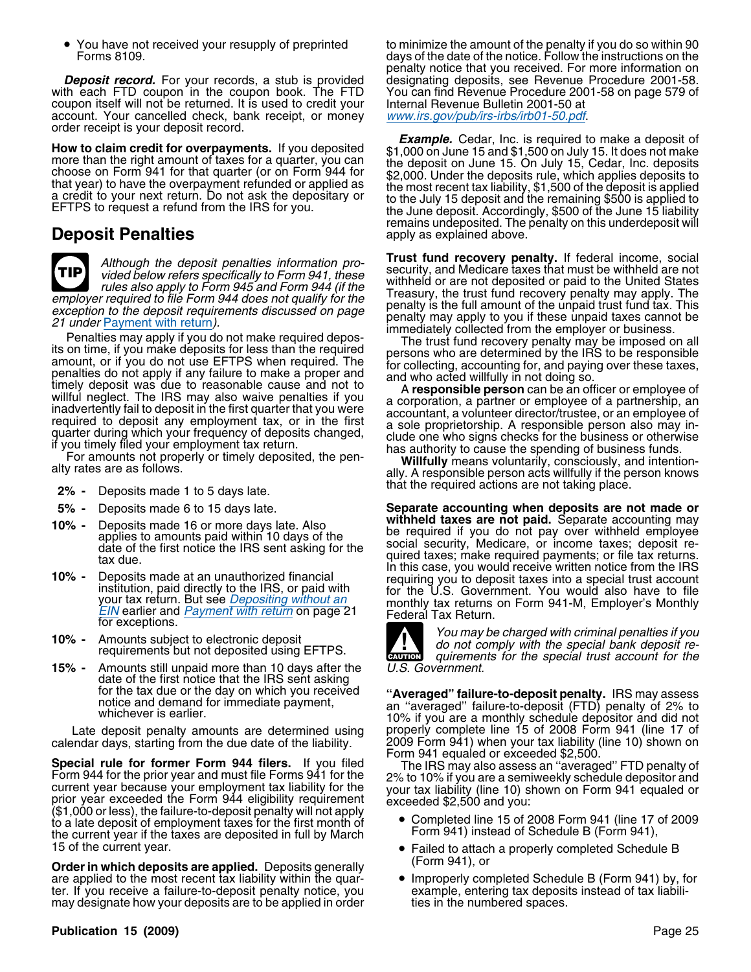• You have not received your resupply of preprinted

with each FTD coupon in the coupon book. The FTD You can find Revenue Procedure 2001-58 on page 579 of coupon itself will not be returned. It is used to credit your Internal Revenue Bulletin 2001-50 at account. Your cancelled check, bank receipt, or money www.irs.gov/pub/irs-irbs/irb01-50.pdf. account. Your cancelled check, bank receipt, or money order receipt is your deposit record.

### **Deposit Penalties** apply as explained above.

**TIP**

employer required to file Form 944 does not quality for the Treasury, the trust fund recovery penalty was apply. The exception to the deposition of the deposition of the deposition of the deposition of the deposition of th

- that the required actions are not taking place. **2% -** Deposits made 1 to 5 days late.
- 
- 
- 
- 
- **15% -** Amounts still unpaid more than 10 days after the U.S. Government. date of the first notice that the IRS sent asking<br>for the tax due or the day on which you received

calendar days, starting from the due date of the liability. 2009 Form 941) when your tax liability (line 10) shown on

Special rule for former Form 944 filers. If you filed<br>
Form 944 for the prior year and must file Forms 941 for the<br>
Form 944 for the prior year and must file Forms 941 for the<br>
current year because your employment tax liab Completed line 15 of 2008 Form 941 (line 17 of 2009 to a late deposit of employment taxes for the first month of the current year if the taxes are deposited in full by March<br>
15 of the current year.<br>
15 of the current year

**Order in which deposits are applied.** Deposits generally (Form 941), or<br>are applied to the most recent tax liability within the quar- <br>• Improperly completed Schedule B (Form 941) by, for are applied to the most recent tax liability within the quar-<br>ter. If you receive a failure-to-deposit penalty notice, you example, entering tax deposits instead of tax liabiliter. If you receive a failure-to-deposit penalty notice, you example, entering tax deposit<br>may designate how your deposits are to be applied in order ties in the numbered spaces. may designate how your deposits are to be applied in order

### **Publication 15 (2009)** Page 25

to minimize the amount of the penalty if you do so within 90 Forms 8109. days of the date of the notice. Follow the instructions on the penalty notice that you received. For more information on **Deposit record.** For your records, a stub is provided designating deposits, see Revenue Procedure 2001-58.

**Example.** Cedar, Inc. is required to make a deposit of<br>more than the right amount of taxes for a quarter, you can<br>choose on Form 941 for that quarter (or on Form 944 for<br>that year) to have the overpayment refunded or appl remains undeposited. The penalty on this underdeposit will

Although the deposit penalties information pro-<br>vided below refers specifically to Form 941, these<br>rules also apply to Form 945 and Form 944 (if the<br>employer required to file Form 944 does not qualify for the<br>employer requ

**5% -** Deposits made 6 to 15 days late. **Separate accounting when deposits are not made or** 10% - Deposits made 16 or more days late. Also applies to amounts paid within 10 days of the social security, Medicare, or income taxes; deposite of the first notice the IRS sent asking for the social security, Medicare, o



for the tax due or the day on which you received<br>notice and demand for immediate payment,<br>whichever is earlier. earlier and demand for immediate payment,<br>10% if you are a monthly schedule depositor and did not Late deposit penalty amounts are determined using properly complete line 15 of 2008 Form 941 (line 17 of

- 
- Failed to attach a properly completed Schedule B
-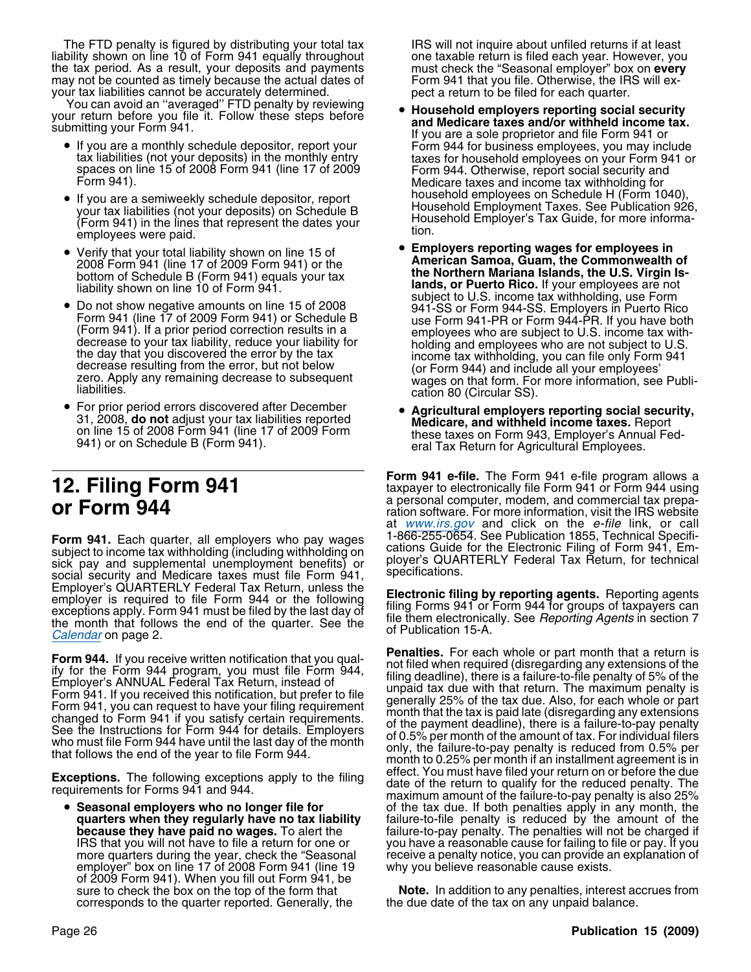The FTD penalty is figured by distributing your total tax IRS will not inquire about unfiled returns if at least liability shown on line 10 of Form 941 equally throughout one taxable return is filed each year. However, you<br>the tax period. As a result, your deposits and payments must check the "Seasonal employer" box on every the tax period. As a result, your deposits and payments must check the "Seasonal employer" box on **every** may not be counted as timely because the actual dates of Form 941 that you file. Otherwise, the IRS will exmay not be counted as timely because the actual dates of

your tax liabilities cannot be accurately determined.<br>You can avoid an "averaged" FTD penalty by reviewing **• Household employers reporting social security**<br>Your return before you file it. Follow these steps before

- If you are a monthly schedule depositor, report your
- your tax liabilities (not your deposits) on Schedule B<br>(Form 941) in the lines that represent the dates your Household Employer's Tax Guide, for more informa-<br>employees were paid.
- 
- 
- For prior period errors discovered after December •

Form 941. Each quarter, all employers who pay wages 1-866-255-0654. See Publication 1855, Technical Specifi-<br>subject to income tax withholding (including withholding on cations Guide for the Electronic Filing of Form 941, Employer's QUARTERLY Federal Tax Return, unless the<br>employer is required to file Form 944 or the following<br>exceptions apply. Form 941 must be filed by the last day of<br>the month that follows the end of the quarter. See the<br>

• Seasonal employers who no longer file for more quarters during the year, check the "Seasonal receive a penalty notice, you can provide a<br>employer" box on line 17 of 2008 Form 941 (line 19 why you believe reasonable cause exists. of 2009 Form 941). When you fill out Form 941, be sure to check the box on the top of the form that corresponds to the quarter reported. Generally, the

- your return before you file it. Follow these steps before<br>and Medicare taxes and/or withheld income tax.<br>If you are a sole proprietor and file Form 941 or If you are a monthly schedule depositor, report your Form 944 for business employees, you may include<br>tax liabilities (not your deposits) in the monthly entry taxes for household employees on your Form 941 or<br>spaces on lin • If you are a semiweekly schedule depositor, report household employees on Schedule H (Form 1040),<br>Wour tax liabilities (not your deposits) on Schedule B. Household Employment Taxes. See Publication 926,
	- **Employers reporting wages for employees in** •• Verify that your total liability shown on line 15 of<br>
	2008 Form 941 (line 17 of 2009 Form 941) or the<br>
	bottom of Schedule B (Form 941) equals your tax<br>
	liability shown on line 10 of Form 941.<br>
	• Do not show negative amou Form 941 (line 17 of 2009 Form 941) or Schedule B<br>
	(Form 941). If a prior period correction results in a<br>
	decrease to your tax liability, reduce your liability for<br>
	the day that you discovered the error by the tax<br>
	decreas
		- For prior period errors discovered after December<br>
		31, 2008, **do not** adjust your tax liabilities reported<br>
		on line 15 of 2008 Form 941 (line 17 of 2009 Form<br>
		941) or on Schedule B (Form 941).<br>
		941) or on Schedule B (Form

**Form 941 e-file.** The Form 941 e-file program allows a<br>**12. Filing Form 941 12. In taxpayer to electronically file Form 941 or Form 944 using<br>a personal computer, modem, and commercial tax prepa**a personal computer, modem, and commercial tax prepa- **or Form 944** ration software. For more information, visit the IRS website at <u>www.irs.gov</u> and click on the *e-file* link, or call

**Form 944.** If you receive written notification that you qual-<br>
if in the Form 944 program, you must file Form 944,<br>
Employer's ANNUAL Federal Tax Return, instead of<br>
Employer's ANNUAL Federal Tax Return, instead of<br>
Form **Exceptions.** The following exceptions apply to the filing effect. You must have filed your return on or before the due<br>requirements for Forms 941 and 944. The maximum amount of the failure-to-pay penalty is also 25% **Seasonal employers who no longer file for** of the tax due. If both penalties apply in any month, the quarters when they regularly have no tax liability failure-to-file penalty is reduced by the amount of the failure-to-file penalty is reduced by the amount of the **because they have paid no wages.** To alert the failure-to-pay penalty. The penalties will not be charged if IRS that you will not have to file a return for one or you have a reasonable cause for failing to file or pay. If you receive a penalty notice, you can provide an explanation of

**Note.** In addition to any penalties, interest accrues from the due date of the tax on any unpaid balance.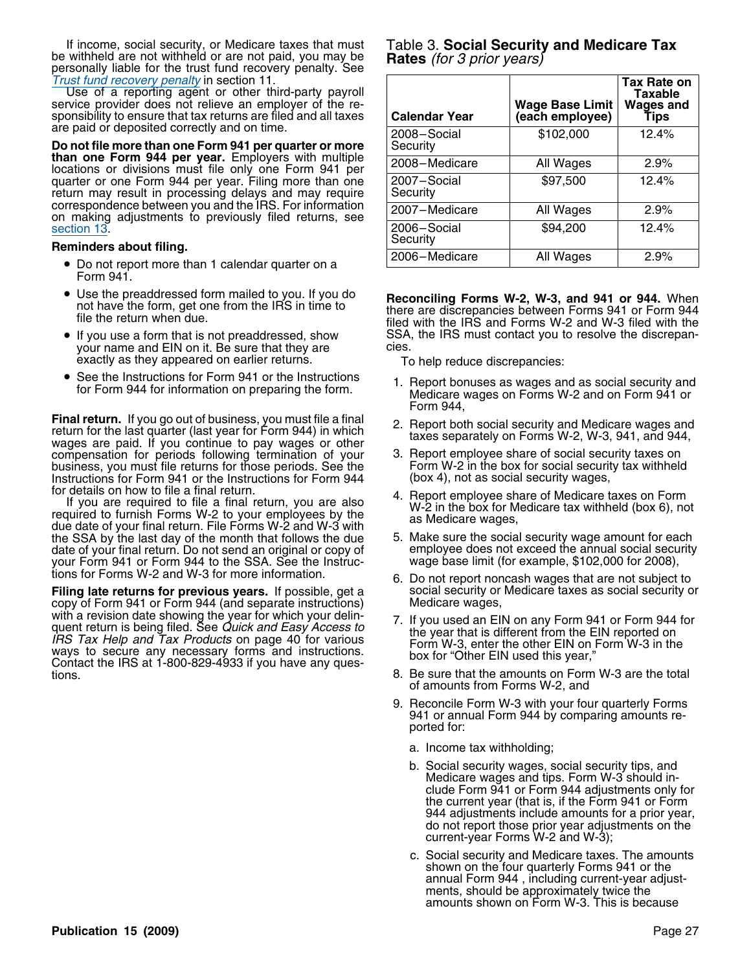If income, social security, or Medicare taxes that must Table 3. **Social Security and Medicare Tax** be withheld are not withheld or are not paid, you may be **Rates** (for 3 prior years)<br>personally liable for the trust fund Trust fund recovery penalty in section 11.

- Form 941.
- Use the preaddressed form mailed to you. If you do
- If you use a form that is not preaddressed, show your name and EIN on it. Be sure that they are exactly as they appeared on earlier returns. To help reduce discrepancies:
- •

Final return. If you go out of business, you must file a final e2. Report both social security and Medicare wages and return for the last quarter (last year for Form 944) in which wages are paid. If you continue to pay wag compensation for periods following termination of your 3. Report employee share of social security taxes on<br>business, you must file returns for those periods. See the Form W-2 in the box for social security tax withheld business, you must file returns for those periods. See the Form W-2 in the box for social security wages,<br>Instructions for Form 941 or the Instructions for Form 944 (box 4), not as social security wages, Instructions for Form 941 or the Instructions for Form 944

for details on how to file a final return.<br>
If you are required to file a final return, you are also<br>
required to furnish Forms W-2 to your employees by the<br>
due date of your final return. File Forms W-2 and W-3 with<br>
the the SSA by the last day of the month that follows the due 5. Make sure the social security wage amount for each<br>date of your final return. Do not send an original or copy of employee does not exceed the annual social secur date of your final return. Do not send an original or copy of employee does not exceed the annual social secure<br>your Form 941 or Form 944 to the SSA. See the Instruc- wage base limit (for example, \$102,000 for 2008), your Form 941 or Form 944 to the SSA. See the Instructions for Forms W-2 and W-3 for more information.

**Filing late returns for previous years.** If possible, get a social security or copy of Form 941 or Form 944 (and separate instructions) Medicare wages, copy of Form 941 or Form 944 (and separate instructions) with a revision date showing the year for which your delin-<br>quent return is being filed. See Quick and Easy Access to<br>lRS Tax Help and Tax Products on page 40 for various<br>ways to secure any necessary forms and instructions tions. 8. Be sure that the amounts on Form W-3 are the total

| Trust fund recovery penalty in section 11.<br>Use of a reporting agent or other third-party payroll<br>service provider does not relieve an employer of the re-<br>sponsibility to ensure that tax returns are filed and all taxes | <b>Calendar Year</b>    | <b>Wage Base Limit</b><br>(each employee) | Tax Rate on<br>Taxable<br><b>Wages and</b><br>Tips |
|------------------------------------------------------------------------------------------------------------------------------------------------------------------------------------------------------------------------------------|-------------------------|-------------------------------------------|----------------------------------------------------|
| are paid or deposited correctly and on time.<br>Do not file more than one Form 941 per quarter or more                                                                                                                             | 2008-Social<br>Security | \$102,000                                 | 12.4%                                              |
| than one Form 944 per year. Employers with multiple<br>locations or divisions must file only one Form 941 per                                                                                                                      | 2008-Medicare           | All Wages                                 | 2.9%                                               |
| quarter or one Form 944 per year. Filing more than one<br>return may result in processing delays and may require                                                                                                                   | 2007-Social<br>Security | \$97,500                                  | 12.4%                                              |
| correspondence between you and the IRS. For information<br>on making adjustments to previously filed returns, see                                                                                                                  | 2007-Medicare           | All Wages                                 | 2.9%                                               |
| section 13.<br>Reminders about filing.                                                                                                                                                                                             | 2006-Social<br>Security | \$94,200                                  | 12.4%                                              |
| • Do not report more than 1 calendar quarter on a                                                                                                                                                                                  | 2006-Medicare           | All Wages                                 | 2.9%                                               |

Use the preaduressed form mailed to you. If you do<br>not have the form, get one from the IRS in time to<br>file the return when due.<br>filed with the IRS and Forms W-2 and W-3 filed with the<br>filed with the IRS and Forms W-2 and W SSA, the IRS must contact you to resolve the discrepan-<br>cies.

- See the Instructions for Form 941 or the Instructions 1. Report bonuses as wages and as social security and for<br>Form 944 for information on preparing the form. Medicare wages on Forms W-2 and on Form 941 or Form 944,
	-
	-
	-
	-
	- 6. Do not report noncash wages that are not subject to<br>social security or Medicare taxes as social security or
	-
	- of amounts from Forms W-2, and
	- 9. Reconcile Form W-3 with your four quarterly Forms 941 or annual Form 944 by comparing amounts reported for:
		- a. Income tax withholding;
		- b. Social security wages, social security tips, and Medicare wages and tips. Form W-3 should include Form 941 or Form 944 adjustments only for the current year (that is, if the Form 941 or Form 944 adjustments include amounts for a prior year, do not report those prior year adjustments on the current-year Forms W-2 and W-3);
		- c. Social security and Medicare taxes. The amounts shown on the four quarterly Forms 941 or the annual Form 944 , including current-year adjustments, should be approximately twice the amounts shown on Form W-3. This is because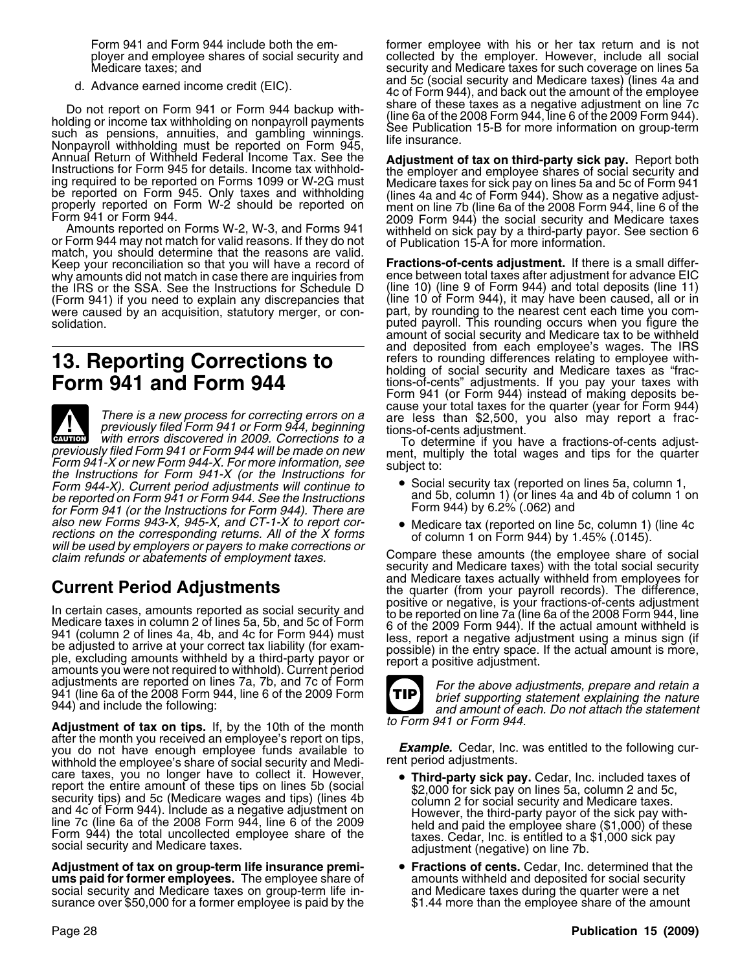Do not report on Form 941 or Form 944 backup with-<br>holding or income tax withholding on nonpayroll payments<br>such as pensions, annuities, and gambling winnings.<br>Nonpayroll withholding must be reported on Form 945,<br>Nonpayrol

match, you should determine that the reasons are valid. Keep your reconciliation so that you will have a record of **Fractions-of-cents adjustment.** If there is a small differwhy amounts did not match in case there are inquiries from ence between total taxes after adjustment for advance EIC<br>the IRS or the SSA, See the Instructions for Schedule D (line 10) (line 9 of Form 944) and total deposits the IRS or the SSA. See the Instructions for Schedule D (Form 941) if you need to explain any discrepancies that (line 10 of Form 944), it may have been caused, all or in<br>were caused by an acquisition, statutory merger, or con-<br>part, by rounding to the nearest cent each time yo were caused by an acquisition, statutory merger, or con-solidation.

# **13. Reporting Corrections to**

There is a new process for correcting errors on a<br>previously filed Form 941 or Form 944, beginning<br>with errors discovered in 2009. Corrections to a<br>previously filed Form 941 or Form 944 will be made on new<br>previously filed **!** Form 941-X or new Form 944-X. For more information, see subject to:<br>the Instructions for Form 941-X (or the Instructions for<br>Form 944-X). Current period adjustments will continue to <br>• Social security tax (reported on line Form 944-X). Current period adjustments will continue to  $\bullet$  Social security tax (reported on lines 5a, column 1,<br>be reported on Form 941 or Form 944, See the Instructions and 5b, column 1) (or lines 4a and 4b of column 1 be reported on Form 941 or Form 944. See the Instructions and 5b, column 1) (or lines 4a<br>for Form 941 (or the Instructions for Form 944) There are Form 944) by 6.2% (.062) and for Form 941 (or the Instructions for Form 944). There are also new Forms 943-X, 945-X, and CT-1-X to report cor-<br>rections on the corresponding returns. All of the X forms of column 1 on Form 944) by 1 45% (0145)

In certain cases, amounts reported as social security and<br>
Medicare taxes in column 2 of lines 5a, 5b, and 5c of Form<br>
941 (column 2 of lines 4a, 4b, and 4c for Form 944) must<br>
941 (column 2 of lines 4a, 4b, and 4c for For adjustments are reported on lines 7a, 7b, and 7c of Form<br>941 (line 6a of the 2008 Form 944, line 6 of the 2009 Form<br>944) and include the following:<br>944) and amount of each. Do not attach the statement

Adjustment of tax on tips. If, by the 10th of the month to Form 941 or Form 944. after the month you received an employee's report on tips, you do not have enough employee funds available to **Example.** Cedar, Inc. was entitled to the following cur-<br>withhold the employee's share of social security and Medi- rent period adjustments. withhold the employee's share of social security and Medicare taxes, you no longer have to collect it. However, care taxes, you no longer have to collect it. However,<br>
report the entire amount of these tips on lines 5b (social<br>
security tips) and 5c (Medicare wages and tips) (lines 4b<br>
and 4c of Form 944). Include as a negative adju

**Adjustment of tax on group-term life insurance premi-**<br> **e Fractions of cents.** Cedar, Inc. determined that the unity<br> **a** amounts withheld and deposited for social security **ums paid for former employees.** The employee share of amounts withheld and deposited for social security and Medicare taxes on group-term life in-<br>social security and Medicare taxes on group-term life in-<br>and Medicare tax social security and Medicare taxes on group-term life in-<br>surance over \$50,000 for a former employee is paid by the \$1.44 more than the employee share of the amount surance over \$50,000 for a former employee is paid by the

Form 941 and Form 944 include both the em- former employee with his or her tax return and is not ployer and employee shares of social security and collected by the employer. However, include all social security and Medicare taxes for such coverage on lines 5a d. Advance earned income credit (EIC). <br>4c of Form 944), and back out the amount of the employee 4a and 4c of Form 944), and back out the amount of the employee

Annual Return of Withheld Federal Income Tax. See the<br>Instructions for Form 945 for details. Income tax withhold-<br>ing required to be reported on Forms 1099 or W-2G must<br>be reported on Forms 1099 or W-2G must<br>be reported on

puted payroll. This rounding occurs when you figure the amount of social security and Medicare tax to be withheld and deposited from each employee's wages. The IRS refers to rounding differences relating to employee withholding of social security and Medicare taxes as "frac-**Form 941 and Form 944** tions-of-cents" adjustments. If you pay your taxes with Form 941 (or Form 944) instead of making deposits be-

- 
- 

rections on the corresponding returns. All of the X forms<br>will be used by employers or payers to make corrections or<br>claim refunds or abatements of employment taxes.<br>Compare these amounts (the employee share of social<br>secu **Current Period Adjustments**<br>the quarter (from your payroll records). The difference,<br>positive or negative, is your fractions-of-cents adjustment



- 
-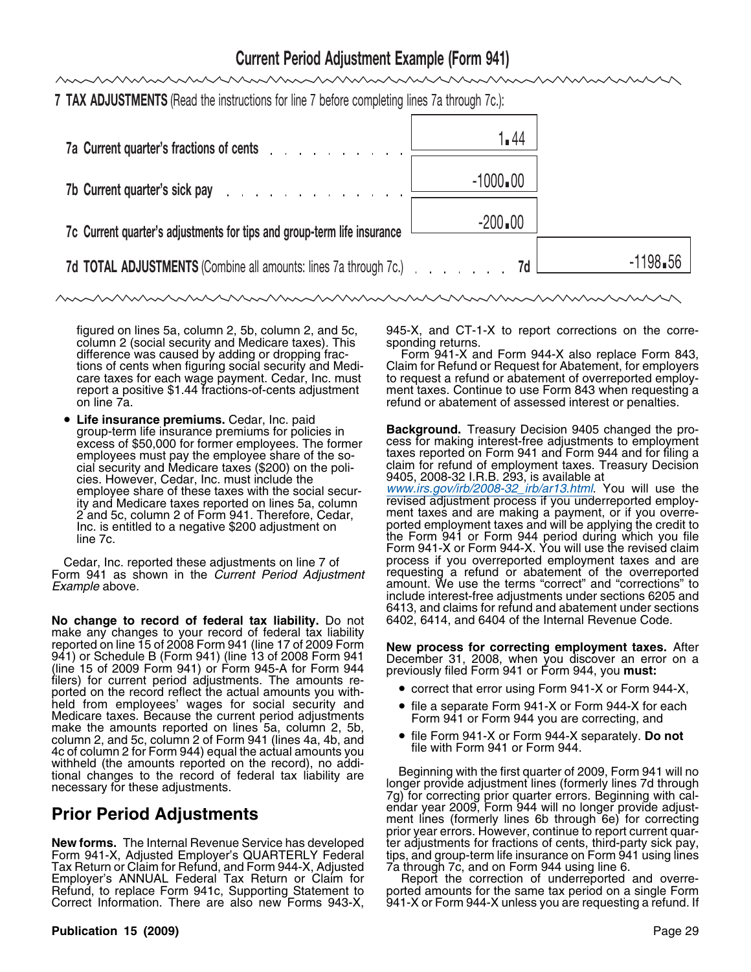## **Current Period Adjustment Example (Form 941)**

**7 TAX ADJUSTMENTS** (Read the instructions for line 7 before completing lines 7a through 7c.):

| 7a Current quarter's fractions of cents                                                                                                                                                                                       | 1.44         |                         |
|-------------------------------------------------------------------------------------------------------------------------------------------------------------------------------------------------------------------------------|--------------|-------------------------|
| 7b Current quarter's sick pay response to the contract of the contract of the contract of the contract of the contract of the contract of the contract of the contract of the contract of the contract of the contract of the | $-1000 - 00$ |                         |
| 7c Current quarter's adjustments for tips and group-term life insurance                                                                                                                                                       | $-200$ $-00$ |                         |
| 7d TOTAL ADJUSTMENTS (Combine all amounts: lines 7a through 7c.) 7d L                                                                                                                                                         |              | $-1198$ <sub>■</sub> 56 |

column 2 (social security and Medicare taxes). This

• **Life insurance premiums.** Cedar, Inc. paid excess of \$50,000 for former employees. The former cies. However, Cedar, Inc. must include the ity and Medicare taxes reported on lines 5a, column<br>2 and 5c, column 2 of Form 941. Therefore, Cedar,

Form 941 as shown in the *Current Period Adjustment* Example above.

No change to record of federal tax liability. Do not make any changes to your record of federal tax liability reported on line 15 of 2008 Form 941 (line 17 of 2009 Form reported on line 15 of 2008 Form 941 (line 17 of 2009 Form **New process for correcting employment taxes.** After 941) or Schedule B (Form 941) (line 13 of 2008 Form 941 December 31, 2008, when you discover an error on a (line 15 of 2009 Form 941) or Form 945-A for Form 944 previously filed Form 941 or Form 944, you **must:** filers) for current period adjustments. The amounts re-<br>norted on the record reflect the actual amounts you with-<br> $\bullet$  correct that error using Form 941-X or Form 944-X. ported on the record reflect the actual amounts you with-<br>held from employees' wages for social security and held from employees' wages for social security and<br>
Medicare taxes. Because the current period adjustments<br>
make the amounts reported on lines 5a, column 2, 5b,<br>
column 2, and 5c, column 2 of Form 941 (lines 4a, 4b, and<br> Form 2, and 5c, column 2 or Form 944) equal the actual amounts you file with Form 941 or Form 944.<br>Action 1941 (line amounts apported on the record), no addi-

**New forms.** The Internal Revenue Service has developed ter adjustments for fractions of cents, third-party sick pay, Form 941-X, Adjusted Employer's QUARTERLY Federal tips, and group-term life insurance on Form 941 using lines Tax Return or Claim for Refund, and Form 944-X, Adjusted 7a through 7c, and on Form 944 using line 6. Employer's ANNUAL Federal Tax Return or Claim for Report the correction of underreported and overre-Refund, to replace Form 941c, Supporting Statement to ported amounts for the same tax period on a single Form<br>Correct Information. There are also new Forms 943-X, 941-X or Form 944-X unless you are requesting a refund. If

### **Publication 15 (2009)** Page 29

figured on lines 5a, column 2, 5b, column 2, and 5c, 945-X, and CT-1-X to report corrections on the corre-<br>column 2 (social security and Medicare taxes). This sponding returns.

difference was caused by adding or dropping frac-<br>
Form 941-X and Form 944-X also replace Form 843, tions of cents when figuring social security and Medi-<br>
care taxes for each wage payment. Cedar, Inc. must<br>
to request a refund or abatement of overreported employto request a refund or abatement of overreported employreport a positive \$1.44 fractions-of-cents adjustment ment taxes. Continue to use Form 843 when requesting a refund or abatement of assessed interest or penalties.

group-term life insurance premiums for policies in **Background.** Treasury Decision 9405 changed the proemployees must pay the employee share of the so-<br>cial security and Medicare taxes (\$200) on the poli-<br>claim for refund of employment taxes. Treasury Decision claim for refund of employment taxes. Treasury Decision 9405, 2008-32 I.R.B. 293, is available at

employee share of these taxes with the social secur-<br>ity and Medicare taxes reported on lines 5a, column revised adjustment process if you underreported employment taxes and are making a payment, or if you overrelnc. is entitled to a negative \$200 adjustment on form the Form 941 or Form 944 period during which you file<br>line 7c.<br>Form 941-X or Form 944-X. You will use the revised claim Cedar, Inc. reported these adjustments on line 7 of process if you overreported employment taxes and are<br>orm 941 as shown in the *Current Period Adjustment* requesting a refund or abatement of the overreported amount. We use the terms "correct" and "corrections" to include interest-free adjustments under sections 6205 and 6413, and claims for refund and abatement under sections 6402, 6414, and 6404 of the Internal Revenue Code.

- 
- 
- 

withheld (the amounts reported on the record), no addi-<br>tional changes to the record of federal tax liability are longer provide adjustment lines (formerly lines 7d through<br>Tg) for correcting prior quarter errors. Beginnin endar year 2009, Form 944 will no longer provide adjust- **Prior Period Adjustments** ment lines (formerly lines 6b through 6e) for correcting prior year errors. However, continue to report current quar-<br>ter adjustments for fractions of cents, third-party sick pay,

941-X or Form 944-X unless you are requesting a refund. If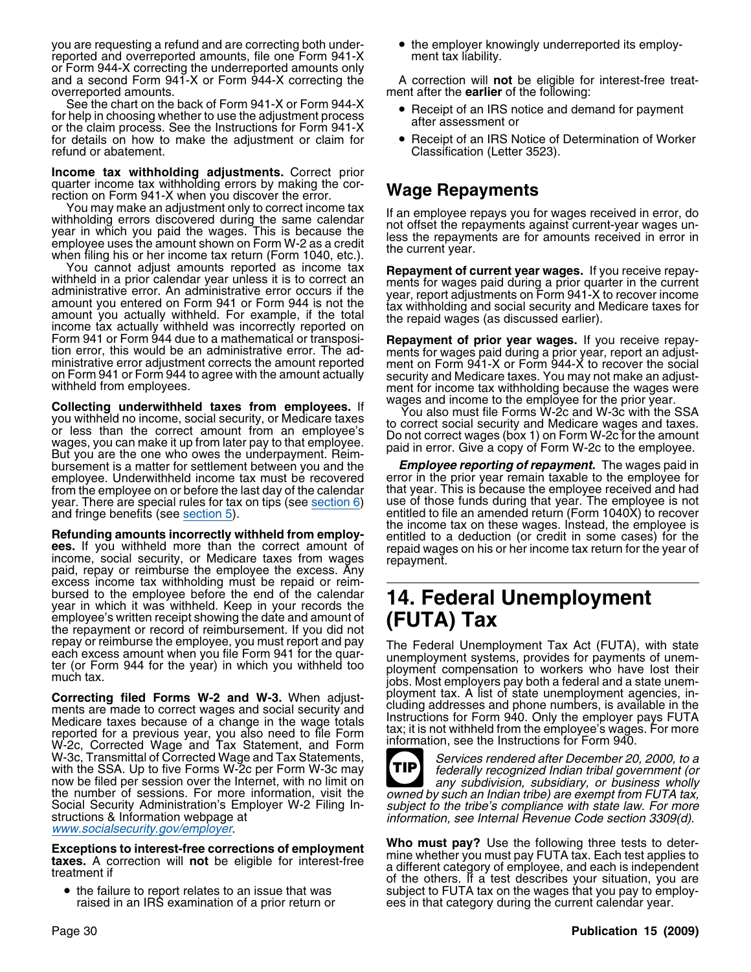you are requesting a refund and are correcting both under- • the employer knowingly underreported its employreported and overreported amounts, file one Form 941-X ment tax liability. or Form 944-X correcting the underreported amounts only and a second Form 941-X or Form 944-X correcting the A correction will **not** be eligible for interest-free treatoverreported amounts. ment after the **earlier** of the following:

See the chart on the back of Form 941-X or Form 944-X • Receipt of an IRS notice and demand for payment<br>for help in choosing whether to use the adjustment process efter assessment or For help in choosing whether to use the adjustment process<br>or the claim process. See the Instructions for Form 941-X<br>for details on how to make the adjustment or claim for  $\bullet$  Receipt of an IRS Notice of Determination of for details on how to make the adjustment or claim for refund or abatement.

**Income tax withholding adjustments.** Correct prior quarter income tax withholding errors by making the corquarter income tax with induity errors by making the cor-<br>rection on Form 941-X when you discover the error.<br>You may make an adjustment only to correct income tax<br>If an employee repays you for

From the air adjustment only to correct income tax<br>withholding errors discovered during the same calendar<br>year in which you paid the wages. This is because the<br>employee uses the amount shown on Form W-2 as a credit<br>when fi

From example, if the total of current year wages. If you receive repay-<br>inheld in a prior calendar year unless it is to correct an<br>administrative error. An administrative error occurs if the<br>amount you entered on Form 941 Form 941 or Form 944 due to a mathematical or transposi-<br>tion error, this would be an administrative error. The ad-<br>ministrative error adjustment corrects the amount reported<br>on Form 941-X or Form 944-X to recover the soci

**Collecting underwithheld taxes from employees.** If<br>you withheld no income, social security, or Medicare taxes<br>or less than the correct amount from an employee's<br>wages, you can make it up from later pay to that employee's<br> bursement is a matter for settlement between you and the *Employee reporting of repayment.* The wages paid in employee. Underwithheld income tax must be recovered from the employee on or before the last day of the calendar year. There are special rules for tax on tips (see section  $6$ )

**Refunding amounts incorrectly withheld from employ-** entitled to a deduction (or credit in some cases) for the example of the exament of the example of the example of the vear of ees. If you winned more than the correct amount of repaid wages on his or her income tax return for the year of<br>income, social security, or Medicare taxes from wages repayment.<br>paid, repay or reimburse the employee the exc excess income tax withholding must be repaid or reim-<br>bursed to the employee before the end of the calendar bursed to the employee before the end of the calendar **14. Federal Unemployment** year in which it was withheld. Keep in your records the **14. Federal Unemployment** employee's written receipt showing the date and amount of employee's written receipt showing the date and amount of the repayment or record of reimbursement. If you did not

ments are made to correct wages and social security and Medicare taxes because of a change in the wage totals the unclusion tax; it is not withheld from the employee's wages. For more reported for a previous year, you also need to file Form information ass the Instructions for Form 040. reperication a provided year, yearalled from the remindum information, see the Instructions for Form 940. W-3c, Transmittal of Corrected Wage and Tax Statements,<br>with the SSA. Up to five Forms W-2c per Form W-3c may<br>now be filed per session over the Internet, with no limit on<br>the number of sessions. For more information, visit Social Security Administration's Employer W-2 Filing In-<br>structions & Information webpage at *information, see Internal Revenue Code section 3309(d)*.<br>www.socialsecurity.gov/employer.

• the failure to report relates to an issue that was

- 
- Classification (Letter 3523).

on Form 941 or Form 944 to agree with the amount actually security and Medicare taxes. You may not make an adjust-<br>withheld from employees.<br>Collecting underwithheld taxes from employees at wages and income to the employee

that year. This is because the employee received and had use of those funds during that year. The employee is not and fringe benefits (see section 5).<br> **and fringe benefits (see section 5)** entitled to file an amended return (Form 1040X) to recover

repay or reimburse the employee, you must report and pay<br>each excess amount when you file Form 941 for the quar-<br>ter (or Form 944 for the year) in which you withheld too<br>much tax.<br>much tax.<br>jobs. Most employers pay both a **Correcting filed Forms W-2 and W-3.** When adjust-<br>ments are made to correct wages and social security and cluding addresses and phone numbers, is available in the Instructions for Form 940. Only the employer pays FUTA<br>tax; it is not withheld from the employee's wages. For more



**Exceptions to interest-free corrections of employment**<br>taxes. A correction will not be eligible for interest-free<br>treatment if<br>treatment if<br>of the others. If a test describes your situation, you are the failure to report relates to an issue that was subject to FUTA tax on the wages that you pay to employ-<br>raised in an IRS examination of a prior return or ees in that category during the current calendar year. ees in that category during the current calendar year.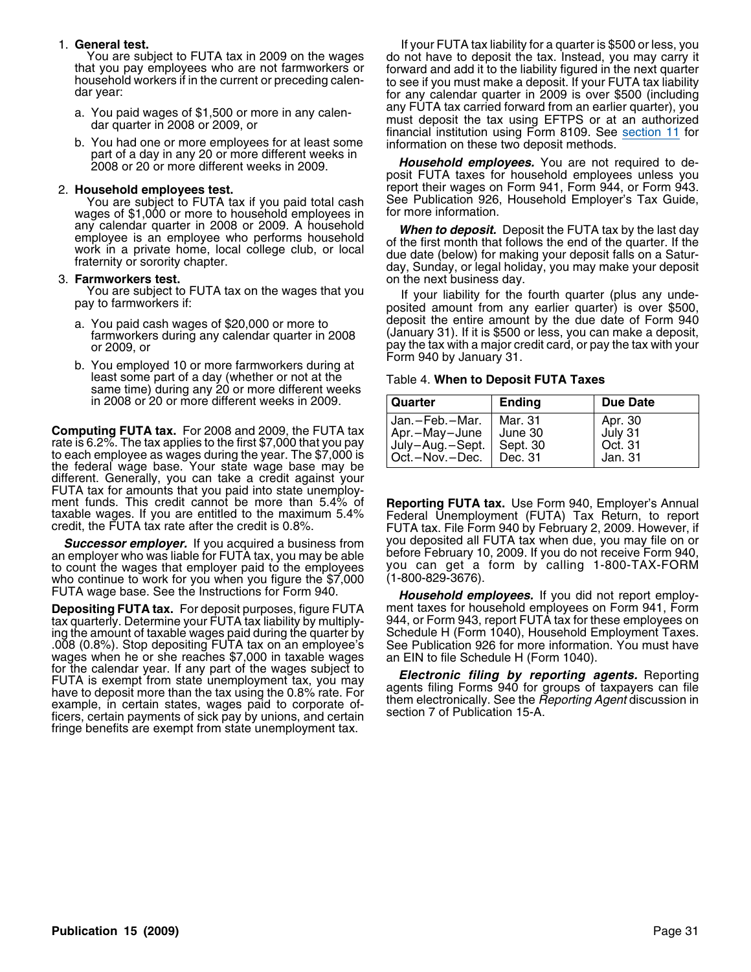- 
- You had one or more employees for at least some information on these two deposit methods.<br>part of a day in any 20 or more different weeks in<br>2008 or 20 or more different weeks in 2009.<br>posit FUTA taxes for household employ

You are subject to FUTA tax if you paid total cash See Publication 926, You are subject to FUTA tax if you paid total as  $\frac{1}{2}$ wages of \$1,000 or more to household employees in

**rmworkers test. Farmworkers test.** The next business day.<br>You are subject to FUTA tax on the wages that you are the subject to FUTA tax on the wages that you

- 
- b. You employed 10 or more farmworkers during at least some part of a day (whether or not at the Table 4. **When to Deposit FUTA Taxes** same time) during any 20 or more different weeks **in 2008 or 20 or more different weeks in 2009.**

**Computing FUTA tax.** For 2008 and 2009, the FUTA tax rate is 6.2%. The tax applies to the first \$7,000 that you pay to each employee as wages during the year. The \$7,000 is the federal wage base. Your state wage base may different. Generally, you can take a credit against your FUTA tax for amounts that you paid into state unemploy-<br>ment funds. This credit cannot be more than 5.4% of

an employer who was liable for FUTA tax, you may be able before February 10, 2009. If you do not receive Form 940,<br>to count the wages that employer paid to the employees you can get a form by calling 1-800-TAX-FORM to count the wages that employer paid to the employees you can get a who continue to work for you when you figure the  $$7,000$  (1-800-829-3676). who continue to work for you when you figure the \$7,000 FUTA wage base. See the Instructions for Form 940.

**Depositing FUTA tax.** For deposit purposes, figure FUTA ment taxes for household employees on Form 941, Form<br>tax quarterly. Determine your FUTA tax liability by multiply- 944, or Form 943, report FUTA tax for these employ tax quarterly. Determine your FUTA tax liability by multiply-<br>ing the amount of taxable wages paid during the quarter by Schedule H (Form 1040), Household Employment Taxes. ing the amount of taxable wages paid during the quarter by Schedule H (Form 1040), Household Employment Taxes.<br>008 (0.8%). Stop depositing FUTA tax on an employee's See Publication 926 for more information. You must have. .008 (0.8%). Stop depositing FUTA tax on an employee's See Publication 926 for more information.<br>wages when he or she reaches \$7,000 in taxable wages an EIN to file Schedule H (Form 1040). wages when he or she reaches \$7,000 in taxable wages an EIN to file Schedule H (Form 1040).<br>for the calendar year. If any part of the wages subject to FUTA is exempt from state unemployment tax, you may<br>have to deposit mor fringe benefits are exempt from state unemployment tax.

1. **General test.** If your FUTA tax liability for a quarter is \$500 or less, you You are subject to FUTA tax in 2009 on the wages do not have to deposit the tax. Instead, you may carry it<br>that you pay employees who are not farmworkers or<br>household workers if in the current or preceding calen-<br>dar year: a. You paid wages of \$1,500 or more in any calen-<br>dar quarter in 2008 or 2009, or<br>b. You had one or more employees for at least some<br>b. You had one or more employees for at least some<br>information on these two deposit metho

2. **Household employees test.** report their wages on Form 941, Form 944, or Form 943.

any calendar quarter in 2008 or 2009. A household<br>
employee is an employee who performs household<br>
work in a private home, local college club, or local<br>
fraternity or sorority chapter.<br>
3. **Farmworkers test.**<br>
3. **Farmwork** 

You are subject to FUTA tax on the wages that you If your liability for the fourth quarter (plus any unde-<br>posited amount from any earlier quarter) is over \$500, deposit the entire amount by the due date of Form 940 a. You paid cash wages of \$20,000 or more to (January 31). If it is \$500 or less, you can make a deposit, farmworkers during any calendar quarter in 2008 or 2009, or<br>or 2009, or<br>New angles of the tax with a major credit card, or pay the tax with your<br>New angles of the same famous demands at Form 940 by January 31.

| Quarter            | <b>Ending</b> | <b>Due Date</b> |
|--------------------|---------------|-----------------|
| l Jan.—Feb.—Mar.   | Mar. 31       | Apr. 30         |
| Apr.-May-June      | June 30       | July 31         |
| July-Aug.-Sept.    | Sept. 30      | Oct. 31         |
| Oct. – Nov. – Dec. | Dec. 31       | Jan. 31         |

ment funds. This credit cannot be more than 5.4% of **Reporting FUTA tax.** Use Form 940, Employer's Annual taxable wages. If you are entitled to the maximum 5.4% Federal Unemployment (FUTA) Tax Return, to report credit, the **Successor employer.** If you acquired a business from you deposited all FUTA tax when due, you may file on or If you acquired a business from you deposited all FUTA tax when due, you may file on or If amployer who was liab

**Household employees.** If you did not report employ-<br>ment taxes for household employees on Form 941, Form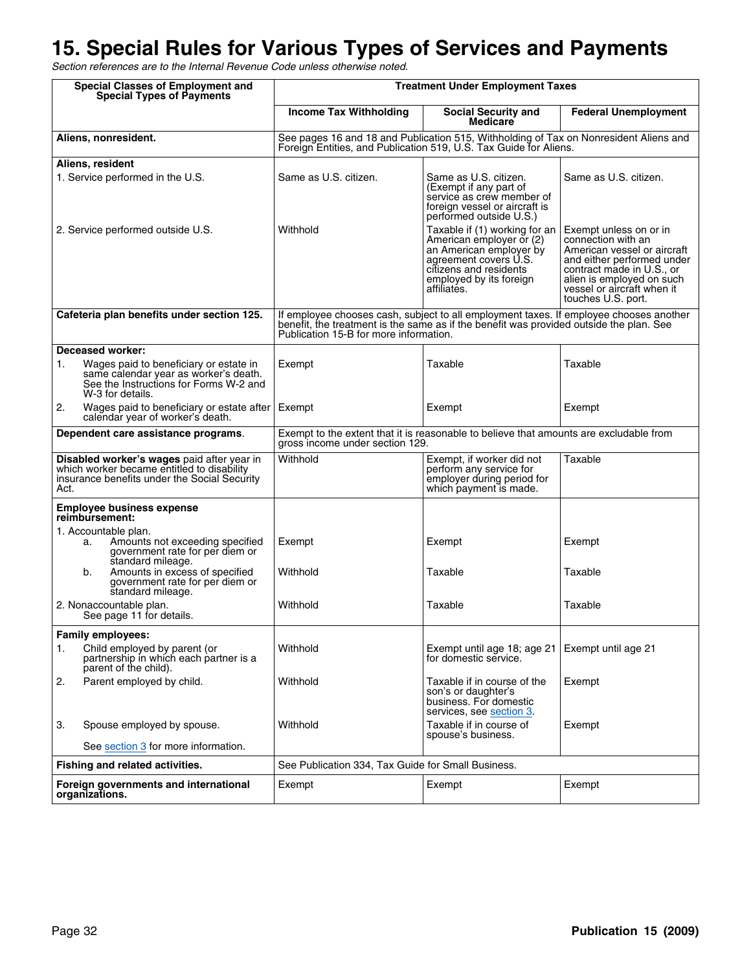# **15. Special Rules for Various Types of Services and Payments**

Section references are to the Internal Revenue Code unless otherwise noted.

| <b>Special Classes of Employment and</b><br><b>Special Types of Payments</b>                                                                        | <b>Treatment Under Employment Taxes</b>                                                                                                                                                                                     |                                                                                                                                                                                   |                                                                                                                                                                                                                         |
|-----------------------------------------------------------------------------------------------------------------------------------------------------|-----------------------------------------------------------------------------------------------------------------------------------------------------------------------------------------------------------------------------|-----------------------------------------------------------------------------------------------------------------------------------------------------------------------------------|-------------------------------------------------------------------------------------------------------------------------------------------------------------------------------------------------------------------------|
|                                                                                                                                                     | <b>Income Tax Withholding</b>                                                                                                                                                                                               | <b>Social Security and</b><br><b>Medicare</b>                                                                                                                                     | <b>Federal Unemployment</b>                                                                                                                                                                                             |
| Aliens, nonresident.                                                                                                                                | See pages 16 and 18 and Publication 515, Withholding of Tax on Nonresident Aliens and<br>Foreign Entities, and Publication 519, U.S. Tax Guide for Aliens.                                                                  |                                                                                                                                                                                   |                                                                                                                                                                                                                         |
| Aliens, resident                                                                                                                                    |                                                                                                                                                                                                                             |                                                                                                                                                                                   |                                                                                                                                                                                                                         |
| 1. Service performed in the U.S.                                                                                                                    | Same as U.S. citizen.                                                                                                                                                                                                       | Same as U.S. citizen.<br>(Exempt if any part of<br>service as crew member of<br>foreign vessel or aircraft is<br>performed outside U.S.)                                          | Same as U.S. citizen.                                                                                                                                                                                                   |
| 2. Service performed outside U.S.                                                                                                                   | Withhold                                                                                                                                                                                                                    | Taxable if (1) working for an<br>American employer or (2)<br>an American employer by<br>agreement covers U.S.<br>citizens and residents<br>employed by its foreign<br>affiliates. | Exempt unless on or in<br>connection with an<br>American vessel or aircraft<br>and either performed under<br>contract made in U.S., or<br>alien is employed on such<br>vessel or aircraft when it<br>touches U.S. port. |
| Cafeteria plan benefits under section 125.                                                                                                          | If employee chooses cash, subject to all employment taxes. If employee chooses another<br>benefit, the treatment is the same as if the benefit was provided outside the plan. See<br>Publication 15-B for more information. |                                                                                                                                                                                   |                                                                                                                                                                                                                         |
| <b>Deceased worker:</b>                                                                                                                             |                                                                                                                                                                                                                             |                                                                                                                                                                                   |                                                                                                                                                                                                                         |
| Wages paid to beneficiary or estate in<br>1.<br>same calendar year as worker's death.<br>See the Instructions for Forms W-2 and<br>W-3 for details. | Exempt                                                                                                                                                                                                                      | Taxable                                                                                                                                                                           | Taxable                                                                                                                                                                                                                 |
| 2.<br>Wages paid to beneficiary or estate after<br>calendar year of worker's death.                                                                 | Exempt                                                                                                                                                                                                                      | Exempt                                                                                                                                                                            | Exempt                                                                                                                                                                                                                  |
| Dependent care assistance programs.                                                                                                                 | Exempt to the extent that it is reasonable to believe that amounts are excludable from<br>gross income under section 129.                                                                                                   |                                                                                                                                                                                   |                                                                                                                                                                                                                         |
| Disabled worker's wages paid after year in<br>which worker became entitled to disability<br>insurance benefits under the Social Security<br>Act.    | Withhold                                                                                                                                                                                                                    | Exempt, if worker did not<br>perform any service for<br>employer during period for<br>which payment is made.                                                                      | Taxable                                                                                                                                                                                                                 |
| <b>Employee business expense</b><br>reimbursement:                                                                                                  |                                                                                                                                                                                                                             |                                                                                                                                                                                   |                                                                                                                                                                                                                         |
| 1. Accountable plan.<br>Amounts not exceeding specified<br>a.<br>government rate for per diem or<br>standard mileage.                               | Exempt                                                                                                                                                                                                                      | Exempt                                                                                                                                                                            | Exempt                                                                                                                                                                                                                  |
| Amounts in excess of specified<br>b.<br>government rate for per diem or<br>standard mileage.                                                        | Withhold                                                                                                                                                                                                                    | Taxable                                                                                                                                                                           | Taxable                                                                                                                                                                                                                 |
| 2. Nonaccountable plan.<br>See page 11 for details.                                                                                                 | Withhold                                                                                                                                                                                                                    | Taxable                                                                                                                                                                           | Taxable                                                                                                                                                                                                                 |
| <b>Family employees:</b>                                                                                                                            |                                                                                                                                                                                                                             |                                                                                                                                                                                   |                                                                                                                                                                                                                         |
| Child employed by parent (or<br>1.<br>partnership in which each partner is a<br>parent of the child).                                               | Withhold                                                                                                                                                                                                                    | Exempt until age 18; age 21<br>for domestic service.                                                                                                                              | Exempt until age 21                                                                                                                                                                                                     |
| 2.<br>Parent employed by child.                                                                                                                     | Withhold                                                                                                                                                                                                                    | Taxable if in course of the<br>son's or daughter's<br>business. For domestic<br>services, see section 3.                                                                          | Exempt                                                                                                                                                                                                                  |
| 3.<br>Spouse employed by spouse.                                                                                                                    | Withhold                                                                                                                                                                                                                    | Taxable if in course of<br>spouse's business.                                                                                                                                     | Exempt                                                                                                                                                                                                                  |
| See section 3 for more information.                                                                                                                 |                                                                                                                                                                                                                             |                                                                                                                                                                                   |                                                                                                                                                                                                                         |
| Fishing and related activities.                                                                                                                     | See Publication 334, Tax Guide for Small Business.                                                                                                                                                                          |                                                                                                                                                                                   |                                                                                                                                                                                                                         |
| Foreign governments and international<br>organizations.                                                                                             | Exempt                                                                                                                                                                                                                      | Exempt                                                                                                                                                                            | Exempt                                                                                                                                                                                                                  |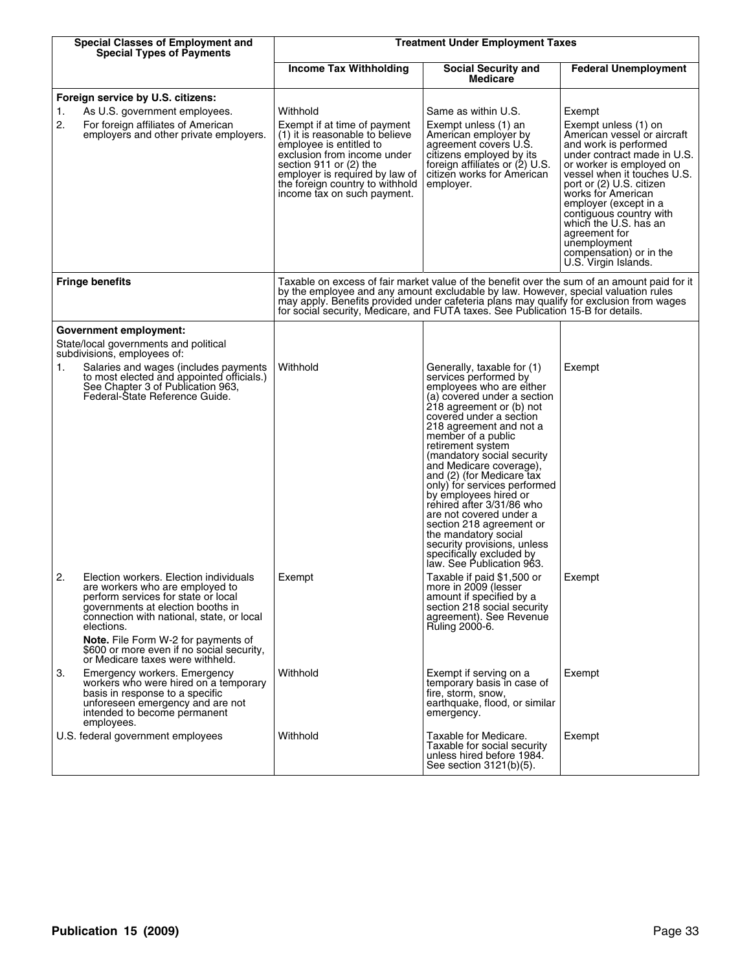| <b>Special Classes of Employment and</b><br><b>Special Types of Payments</b>                                                                                                                                                                                                                               | <b>Treatment Under Employment Taxes</b>                                                                                                                                                                                                                                                                                                                          |                                                                                                                                                                                                                                                                                                                                                                                                                                                                                                                                                                                                |                                                                                                                                                                                                                                                                                                                                                                   |  |  |  |
|------------------------------------------------------------------------------------------------------------------------------------------------------------------------------------------------------------------------------------------------------------------------------------------------------------|------------------------------------------------------------------------------------------------------------------------------------------------------------------------------------------------------------------------------------------------------------------------------------------------------------------------------------------------------------------|------------------------------------------------------------------------------------------------------------------------------------------------------------------------------------------------------------------------------------------------------------------------------------------------------------------------------------------------------------------------------------------------------------------------------------------------------------------------------------------------------------------------------------------------------------------------------------------------|-------------------------------------------------------------------------------------------------------------------------------------------------------------------------------------------------------------------------------------------------------------------------------------------------------------------------------------------------------------------|--|--|--|
|                                                                                                                                                                                                                                                                                                            | <b>Income Tax Withholding</b>                                                                                                                                                                                                                                                                                                                                    | <b>Social Security and</b><br><b>Medicare</b>                                                                                                                                                                                                                                                                                                                                                                                                                                                                                                                                                  | <b>Federal Unemployment</b>                                                                                                                                                                                                                                                                                                                                       |  |  |  |
| Foreign service by U.S. citizens:<br>As U.S. government employees.<br>1.<br>2.<br>For foreign affiliates of American                                                                                                                                                                                       | Withhold<br>Exempt if at time of payment                                                                                                                                                                                                                                                                                                                         | Same as within U.S.<br>Exempt unless (1) an                                                                                                                                                                                                                                                                                                                                                                                                                                                                                                                                                    | Exempt<br>Exempt unless (1) on                                                                                                                                                                                                                                                                                                                                    |  |  |  |
| employers and other private employers.                                                                                                                                                                                                                                                                     | (1) it is reasonable to believe<br>employee is entitled to<br>exclusion from income under<br>section 911 or (2) the<br>employer is required by law of<br>the foreign country to withhold<br>income tax on such payment.                                                                                                                                          | American employer by<br>agreement covers U.S.<br>citizens employed by its<br>foreign affiliates or (2) U.S.<br>citizen works for American<br>employer.                                                                                                                                                                                                                                                                                                                                                                                                                                         | American vessel or aircraft<br>and work is performed<br>under contract made in U.S.<br>or worker is employed on<br>vessel when it touches U.S.<br>port or (2) U.S. citizen<br>works for American<br>employer (except in a<br>contiguous country with<br>which the U.S. has an<br>agreement for<br>unemployment<br>compensation) or in the<br>U.S. Virgin Islands. |  |  |  |
| <b>Fringe benefits</b>                                                                                                                                                                                                                                                                                     | Taxable on excess of fair market value of the benefit over the sum of an amount paid for it<br>by the employee and any amount excludable by law. However, special valuation rules<br>may apply. Benefits provided under cafeteria plans may qualify for exclusion from wages<br>for social security, Medicare, and FUTA taxes. See Publication 15-B for details. |                                                                                                                                                                                                                                                                                                                                                                                                                                                                                                                                                                                                |                                                                                                                                                                                                                                                                                                                                                                   |  |  |  |
| Government employment:<br>State/local governments and political<br>subdivisions, employees of:                                                                                                                                                                                                             |                                                                                                                                                                                                                                                                                                                                                                  |                                                                                                                                                                                                                                                                                                                                                                                                                                                                                                                                                                                                |                                                                                                                                                                                                                                                                                                                                                                   |  |  |  |
| Salaries and wages (includes payments<br>1.<br>to most elected and appointed officials.)<br>See Chapter 3 of Publication 963,<br>Federal-State Reference Guide.                                                                                                                                            | Withhold                                                                                                                                                                                                                                                                                                                                                         | Generally, taxable for (1)<br>services performed by<br>employees who are either<br>(a) covered under a section<br>218 agreement or (b) not<br>covered under a section<br>218 agreement and not a<br>member of a public<br>retirement system<br>(mandatory social security<br>and Medicare coverage),<br>and (2) (for Medicare tax<br>only) for services performed<br>by employees hired or<br>rehired after 3/31/86 who<br>are not covered under a<br>section 218 agreement or<br>the mandatory social<br>security provisions, unless<br>specifically excluded by<br>law. See Publication 963. | Exempt                                                                                                                                                                                                                                                                                                                                                            |  |  |  |
| 2.<br>Election workers. Election individuals<br>are workers who are employed to<br>perform services for state or local<br>governments at election booths in<br>connection with national, state, or local<br>elections.<br>Note. File Form W-2 for payments of<br>\$600 or more even if no social security, | Exempt                                                                                                                                                                                                                                                                                                                                                           | Taxable if paid \$1,500 or<br>more in 2009 (lesser<br>amount if specified by a<br>section 218 social security<br>agreement). See Revenue<br>Ruling 2000-6.                                                                                                                                                                                                                                                                                                                                                                                                                                     | Exempt                                                                                                                                                                                                                                                                                                                                                            |  |  |  |
| or Medicare taxes were withheld.<br>3.<br>Emergency workers. Emergency<br>workers who were hired on a temporary<br>basis in response to a specific<br>unforeseen emergency and are not<br>intended to become permanent<br>employees.                                                                       | Withhold                                                                                                                                                                                                                                                                                                                                                         | Exempt if serving on a<br>temporary basis in case of<br>fire, storm, snow,<br>earthquake, flood, or similar<br>emergency.                                                                                                                                                                                                                                                                                                                                                                                                                                                                      | Exempt                                                                                                                                                                                                                                                                                                                                                            |  |  |  |
| U.S. federal government employees                                                                                                                                                                                                                                                                          | Withhold                                                                                                                                                                                                                                                                                                                                                         | Taxable for Medicare.<br>Taxable for social security<br>unless hired before 1984.<br>See section 3121(b)(5).                                                                                                                                                                                                                                                                                                                                                                                                                                                                                   | Exempt                                                                                                                                                                                                                                                                                                                                                            |  |  |  |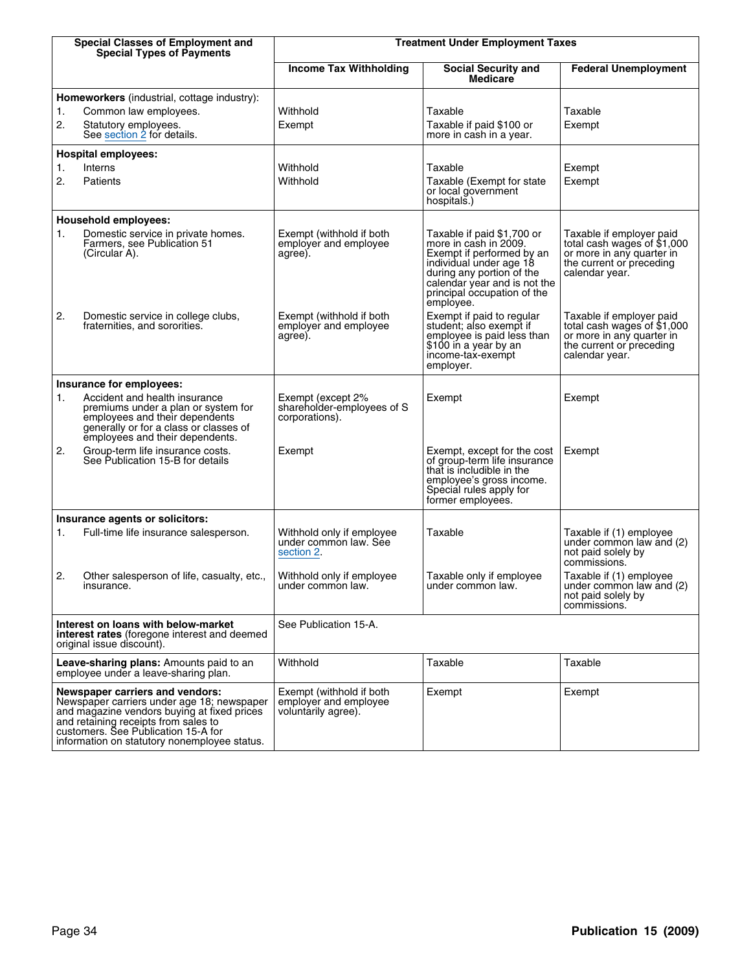|          | <b>Special Classes of Employment and</b><br><b>Special Types of Payments</b>                                                                                                                                                                                | <b>Treatment Under Employment Taxes</b>                                  |                                                                                                                                                                                                                      |                                                                                                                                    |  |  |  |
|----------|-------------------------------------------------------------------------------------------------------------------------------------------------------------------------------------------------------------------------------------------------------------|--------------------------------------------------------------------------|----------------------------------------------------------------------------------------------------------------------------------------------------------------------------------------------------------------------|------------------------------------------------------------------------------------------------------------------------------------|--|--|--|
|          |                                                                                                                                                                                                                                                             | <b>Income Tax Withholding</b>                                            | <b>Social Security and</b><br><b>Medicare</b>                                                                                                                                                                        | <b>Federal Unemployment</b>                                                                                                        |  |  |  |
| 1.<br>2. | <b>Homeworkers</b> (industrial, cottage industry):<br>Common law employees.<br>Statutory employees.<br>See section 2 for details.                                                                                                                           | Withhold<br>Exempt                                                       | Taxable<br>Taxable if paid \$100 or<br>more in cash in a year.                                                                                                                                                       | Taxable<br>Exempt                                                                                                                  |  |  |  |
|          | <b>Hospital employees:</b>                                                                                                                                                                                                                                  |                                                                          |                                                                                                                                                                                                                      |                                                                                                                                    |  |  |  |
| 1.<br>2. | Interns<br>Patients                                                                                                                                                                                                                                         | Withhold<br>Withhold                                                     | Taxable<br>Taxable (Exempt for state)<br>or local government<br>hospitals.)                                                                                                                                          | Exempt<br>Exempt                                                                                                                   |  |  |  |
|          | <b>Household employees:</b>                                                                                                                                                                                                                                 |                                                                          |                                                                                                                                                                                                                      |                                                                                                                                    |  |  |  |
| 1.       | Domestic service in private homes.<br>Farmers, see Publication 51<br>(Circular A).                                                                                                                                                                          | Exempt (withhold if both<br>employer and employee<br>agree).             | Taxable if paid \$1,700 or<br>more in cash in 2009.<br>Exempt if performed by an<br>individual under age 18<br>during any portion of the<br>calendar year and is not the<br>principal occupation of the<br>employee. | Taxable if employer paid<br>total cash wages of \$1,000<br>or more in any quarter in<br>the current or preceding<br>calendar year. |  |  |  |
| 2.       | Domestic service in college clubs,<br>fraternities, and sororities.                                                                                                                                                                                         | Exempt (withhold if both<br>employer and employee<br>agree).             | Exempt if paid to regular<br>student; also exempt if<br>employee is paid less than<br>\$100 in a year by an<br>income-tax-exempt<br>employer.                                                                        | Taxable if employer paid<br>total cash wages of \$1,000<br>or more in any quarter in<br>the current or preceding<br>calendar year. |  |  |  |
|          | Insurance for employees:                                                                                                                                                                                                                                    |                                                                          |                                                                                                                                                                                                                      |                                                                                                                                    |  |  |  |
| 1.       | Accident and health insurance<br>premiums under a plan or system for<br>employees and their dependents<br>generally or for a class or classes of<br>employees and their dependents.                                                                         | Exempt (except 2%<br>shareholder-employees of S<br>corporations).        | Exempt                                                                                                                                                                                                               | Exempt                                                                                                                             |  |  |  |
| 2.       | Group-term life insurance costs.<br>See Publication 15-B for details                                                                                                                                                                                        | Exempt                                                                   | Exempt, except for the cost<br>of group-term life insurance<br>that is includible in the<br>employee's gross income.<br>Special rules apply for<br>former employees.                                                 | Exempt                                                                                                                             |  |  |  |
|          | Insurance agents or solicitors:                                                                                                                                                                                                                             |                                                                          |                                                                                                                                                                                                                      |                                                                                                                                    |  |  |  |
| 1.       | Full-time life insurance salesperson.                                                                                                                                                                                                                       | Withhold only if employee<br>under common law. See<br>section 2.         | Taxable                                                                                                                                                                                                              | Taxable if (1) employee<br>under common law and (2)<br>not paid solely by<br>commissions.                                          |  |  |  |
| 2.       | Other salesperson of life, casualty, etc.,<br>insurance.                                                                                                                                                                                                    | Withhold only if employee<br>under common law.                           | Taxable only if employee<br>under common law.                                                                                                                                                                        | Taxable if (1) employee<br>under commón law and (2)<br>not paid solely by<br>commissions.                                          |  |  |  |
|          | Interest on loans with below-market<br><b>interest rates</b> (foregone interest and deemed<br>original issue discount).                                                                                                                                     | See Publication 15-A.                                                    |                                                                                                                                                                                                                      |                                                                                                                                    |  |  |  |
|          | Leave-sharing plans: Amounts paid to an<br>employee under a leave-sharing plan.                                                                                                                                                                             | Withhold                                                                 | Taxable                                                                                                                                                                                                              | Taxable                                                                                                                            |  |  |  |
|          | Newspaper carriers and vendors:<br>Newspaper carriers under age 18; newspaper<br>and magazine vendors buying at fixed prices<br>and retaining receipts from sales to<br>customers. See Publication 15-A for<br>information on statutory nonemployee status. | Exempt (withhold if both<br>employer and employee<br>voluntarily agree). | Exempt                                                                                                                                                                                                               | Exempt                                                                                                                             |  |  |  |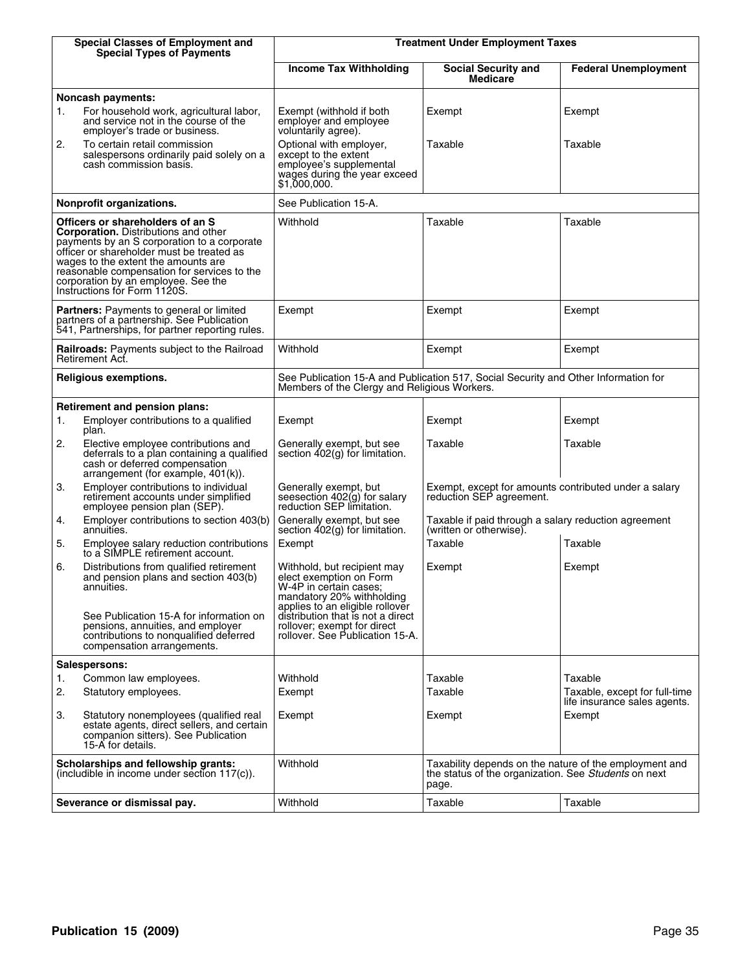|    | <b>Special Classes of Employment and</b><br><b>Special Types of Payments</b>                                                                                                                                                                                                                                                             |                                                                                                                                                  | <b>Treatment Under Employment Taxes</b>                                                                                 |                                                               |  |  |  |
|----|------------------------------------------------------------------------------------------------------------------------------------------------------------------------------------------------------------------------------------------------------------------------------------------------------------------------------------------|--------------------------------------------------------------------------------------------------------------------------------------------------|-------------------------------------------------------------------------------------------------------------------------|---------------------------------------------------------------|--|--|--|
|    |                                                                                                                                                                                                                                                                                                                                          | <b>Income Tax Withholding</b>                                                                                                                    | <b>Social Security and</b><br><b>Medicare</b>                                                                           | <b>Federal Unemployment</b>                                   |  |  |  |
|    | <b>Noncash payments:</b>                                                                                                                                                                                                                                                                                                                 |                                                                                                                                                  |                                                                                                                         |                                                               |  |  |  |
| 1. | For household work, agricultural labor,<br>and service not in the course of the<br>employer's trade or business.                                                                                                                                                                                                                         | Exempt (withhold if both<br>employer and employee<br>voluntarily agree).                                                                         | Exempt                                                                                                                  | Exempt                                                        |  |  |  |
| 2. | To certain retail commission<br>salespersons ordinarily paid solely on a<br>cash commission basis.                                                                                                                                                                                                                                       | Optional with employer,<br>except to the extent<br>employee's supplemental<br>wages during the year exceed<br>\$1,000,000.                       | Taxable                                                                                                                 | Taxable                                                       |  |  |  |
|    | Nonprofit organizations.                                                                                                                                                                                                                                                                                                                 | See Publication 15-A.                                                                                                                            |                                                                                                                         |                                                               |  |  |  |
|    | Officers or shareholders of an S<br><b>Corporation.</b> Distributions and other<br>payments by an S corporation to a corporate<br>officer or shareholder must be treated as<br>wages to the extent the amounts are<br>reasonable compensation for services to the<br>corporation by an employee. See the<br>Instructions for Form 1120S. | Withhold                                                                                                                                         | Taxable                                                                                                                 | Taxable                                                       |  |  |  |
|    | Partners: Payments to general or limited<br>partners of a partnership. See Publication<br>541, Partnerships, for partner reporting rules.                                                                                                                                                                                                | Exempt                                                                                                                                           | Exempt                                                                                                                  | Exempt                                                        |  |  |  |
|    | Railroads: Payments subject to the Railroad<br>Retirement Act.                                                                                                                                                                                                                                                                           | Withhold                                                                                                                                         | Exempt                                                                                                                  | Exempt                                                        |  |  |  |
|    | Religious exemptions.                                                                                                                                                                                                                                                                                                                    | Members of the Clergy and Religious Workers.                                                                                                     | See Publication 15-A and Publication 517, Social Security and Other Information for                                     |                                                               |  |  |  |
|    | <b>Retirement and pension plans:</b>                                                                                                                                                                                                                                                                                                     |                                                                                                                                                  |                                                                                                                         |                                                               |  |  |  |
| 1. | Employer contributions to a qualified<br>plan.                                                                                                                                                                                                                                                                                           | Exempt                                                                                                                                           | Exempt                                                                                                                  | Exempt                                                        |  |  |  |
| 2. | Elective employee contributions and<br>deferrals to a plan containing a qualified<br>cash or deferred compensation<br>arrangement (for example, $401(k)$ ).                                                                                                                                                                              | Generally exempt, but see<br>section 402(g) for limitation.                                                                                      | Taxable                                                                                                                 | Taxable                                                       |  |  |  |
| 3. | Employer contributions to individual<br>retirement accounts under simplified<br>employee pension plan (SEP).                                                                                                                                                                                                                             | Generally exempt, but<br>seesection 402(g) for salary<br>reduction SEP limitation.                                                               | Exempt, except for amounts contributed under a salary<br>reduction SEP agreement.                                       |                                                               |  |  |  |
| 4. | Employer contributions to section 403(b)<br>annuities.                                                                                                                                                                                                                                                                                   | Generally exempt, but see<br>section 402(g) for limitation.                                                                                      | Taxable if paid through a salary reduction agreement<br>(written or otherwise).                                         |                                                               |  |  |  |
| 5. | Employee salary reduction contributions<br>to a SIMPLE retirement account.                                                                                                                                                                                                                                                               | Exempt                                                                                                                                           | Taxable                                                                                                                 | Taxable                                                       |  |  |  |
| 6. | Distributions from qualified retirement<br>and pension plans and section 403(b)<br>annuities.                                                                                                                                                                                                                                            | Withhold, but recipient may<br>elect exemption on Form<br>W-4P in certain cases;<br>mandatory 20% withholding<br>applies to an eligible rollover | Exempt                                                                                                                  | Exempt                                                        |  |  |  |
|    | See Publication 15-A for information on<br>pensions, annuities, and employer<br>contributions to nonqualified deferred<br>compensation arrangements.                                                                                                                                                                                     | distribution that is not a direct<br>rollover; exempt for direct<br>rollover. See Publication 15-A.                                              |                                                                                                                         |                                                               |  |  |  |
|    | Salespersons:                                                                                                                                                                                                                                                                                                                            |                                                                                                                                                  |                                                                                                                         |                                                               |  |  |  |
| 1. | Common law employees.                                                                                                                                                                                                                                                                                                                    | Withhold                                                                                                                                         | Taxable                                                                                                                 | Taxable                                                       |  |  |  |
| 2. | Statutory employees.                                                                                                                                                                                                                                                                                                                     | Exempt                                                                                                                                           | Taxable                                                                                                                 | Taxable, except for full-time<br>life insurance sales agents. |  |  |  |
| 3. | Statutory nonemployees (qualified real<br>estate agents, direct sellers, and certain<br>companion sitters). See Publication<br>15-A for details.                                                                                                                                                                                         | Exempt                                                                                                                                           | Exempt                                                                                                                  | Exempt                                                        |  |  |  |
|    | Scholarships and fellowship grants:<br>(includible in income under section 117(c)).                                                                                                                                                                                                                                                      | Withhold                                                                                                                                         | Taxability depends on the nature of the employment and<br>the status of the organization. See Students on next<br>page. |                                                               |  |  |  |
|    | Severance or dismissal pay.                                                                                                                                                                                                                                                                                                              | Withhold                                                                                                                                         | Taxable                                                                                                                 | Taxable                                                       |  |  |  |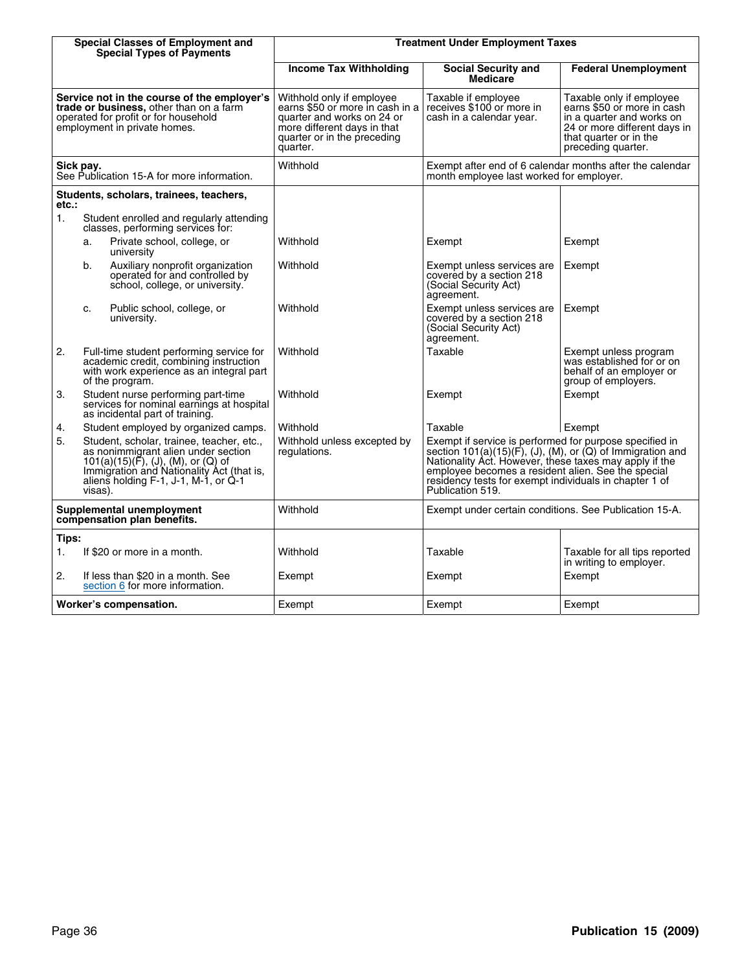|       |           | <b>Special Classes of Employment and</b><br><b>Special Types of Payments</b>                                                                                                                                        |                                                                                                                                                                      | <b>Treatment Under Employment Taxes</b>                                                                                                                                                                                                                                                                                |                                                                                                                                                                     |  |  |
|-------|-----------|---------------------------------------------------------------------------------------------------------------------------------------------------------------------------------------------------------------------|----------------------------------------------------------------------------------------------------------------------------------------------------------------------|------------------------------------------------------------------------------------------------------------------------------------------------------------------------------------------------------------------------------------------------------------------------------------------------------------------------|---------------------------------------------------------------------------------------------------------------------------------------------------------------------|--|--|
|       |           |                                                                                                                                                                                                                     | <b>Income Tax Withholding</b>                                                                                                                                        | <b>Social Security and</b><br><b>Medicare</b>                                                                                                                                                                                                                                                                          | <b>Federal Unemployment</b>                                                                                                                                         |  |  |
|       |           | Service not in the course of the employer's<br>trade or business, other than on a farm<br>operated for profit or for household<br>employment in private homes.                                                      | Withhold only if employee<br>earns \$50 or more in cash in a<br>quarter and works on 24 or<br>more different days in that<br>quarter or in the preceding<br>duarter. | Taxable if employee<br>receives \$100 or more in<br>cash in a calendar year.                                                                                                                                                                                                                                           | Taxable only if employee<br>earns \$50 or more in cash<br>in a quarter and works on<br>24 or more different days in<br>that quarter or in the<br>preceding quarter. |  |  |
|       | Sick pay. | See Publication 15-A for more information.                                                                                                                                                                          | Withhold                                                                                                                                                             | Exempt after end of 6 calendar months after the calendar<br>month employee last worked for employer.                                                                                                                                                                                                                   |                                                                                                                                                                     |  |  |
| etc.: |           | Students, scholars, trainees, teachers,                                                                                                                                                                             |                                                                                                                                                                      |                                                                                                                                                                                                                                                                                                                        |                                                                                                                                                                     |  |  |
| 1.    |           | Student enrolled and regularly attending<br>classes, performing services for:                                                                                                                                       |                                                                                                                                                                      |                                                                                                                                                                                                                                                                                                                        |                                                                                                                                                                     |  |  |
|       | a.        | Private school, college, or<br>university                                                                                                                                                                           | Withhold                                                                                                                                                             | Exempt                                                                                                                                                                                                                                                                                                                 | Exempt                                                                                                                                                              |  |  |
|       | b.        | Auxiliary nonprofit organization<br>operated for and controlled by<br>school, college, or university.                                                                                                               | Withhold                                                                                                                                                             | Exempt unless services are<br>covered by a section 218<br>(Social Security Act)<br>agreement.                                                                                                                                                                                                                          | Exempt                                                                                                                                                              |  |  |
|       | c.        | Public school, college, or<br>university.                                                                                                                                                                           | Withhold                                                                                                                                                             | Exempt unless services are<br>covered by a section 218<br>(Social Security Act)<br>agreement.                                                                                                                                                                                                                          | Exempt                                                                                                                                                              |  |  |
| 2.    |           | Full-time student performing service for<br>academic credit, combining instruction<br>with work experience as an integral part<br>of the program.                                                                   | Withhold                                                                                                                                                             | Taxable                                                                                                                                                                                                                                                                                                                | Exempt unless program<br>was established for or on<br>behalf of an employer or<br>group of employers.                                                               |  |  |
| 3.    |           | Student nurse performing part-time<br>services for nominal earnings at hospital<br>as incidental part of training.                                                                                                  | Withhold                                                                                                                                                             | Exempt                                                                                                                                                                                                                                                                                                                 | Exempt                                                                                                                                                              |  |  |
| 4.    |           | Student employed by organized camps.                                                                                                                                                                                | Withhold                                                                                                                                                             | Taxable                                                                                                                                                                                                                                                                                                                | Exempt                                                                                                                                                              |  |  |
| 5.    | visas).   | Student, scholar, trainee, teacher, etc.,<br>as nonimmigrant alien under section<br>$101(a)(15)(F)$ , (J), (M), or (Q) of<br>Immigration and Nationality Act (that is,<br>aliens holding $F-1$ , J-1, M-1, or $Q-1$ | Withhold unless excepted by<br>regulations.                                                                                                                          | Exempt if service is performed for purpose specified in<br>section $101(a)(15)(F)$ , (J), (M), or (Q) of Immigration and<br>Nationality Act. However, these taxes may apply if the<br>employee becomes a resident alien. See the special<br>residency tests for exempt individuals in chapter 1 of<br>Publication 519. |                                                                                                                                                                     |  |  |
|       |           | Supplemental unemployment<br>compensation plan benefits.                                                                                                                                                            | Withhold                                                                                                                                                             | Exempt under certain conditions. See Publication 15-A.                                                                                                                                                                                                                                                                 |                                                                                                                                                                     |  |  |
| Tips: |           |                                                                                                                                                                                                                     |                                                                                                                                                                      |                                                                                                                                                                                                                                                                                                                        |                                                                                                                                                                     |  |  |
| 1.    |           | If \$20 or more in a month.                                                                                                                                                                                         | Withhold                                                                                                                                                             | Taxable                                                                                                                                                                                                                                                                                                                | Taxable for all tips reported<br>in writing to employer.                                                                                                            |  |  |
| 2.    |           | If less than \$20 in a month. See<br>section 6 for more information.                                                                                                                                                | Exempt                                                                                                                                                               | Exempt                                                                                                                                                                                                                                                                                                                 | Exempt                                                                                                                                                              |  |  |
|       |           | Worker's compensation.                                                                                                                                                                                              | Exempt                                                                                                                                                               | Exempt                                                                                                                                                                                                                                                                                                                 | Exempt                                                                                                                                                              |  |  |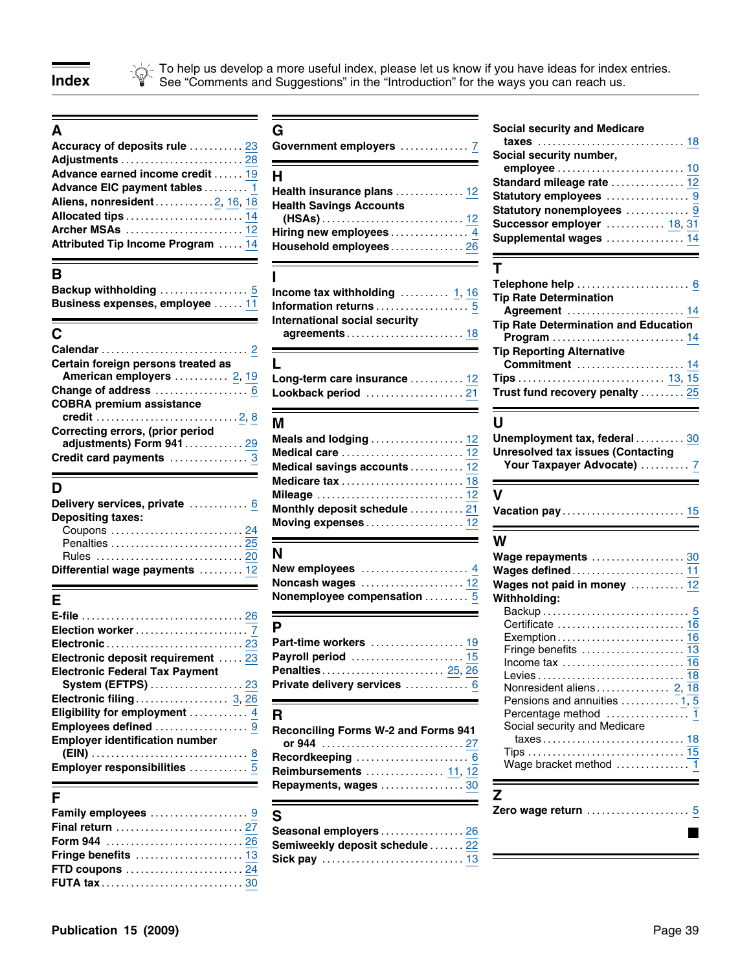To help us develop a more useful index, please let us know if you have ideas for index entries. **Index See "Comments and Suggestions" in the "Introduction" for the ways you can reach us.** 

|                                  | Accuracy of deposits rule  23 Government employers  7               |                            |
|----------------------------------|---------------------------------------------------------------------|----------------------------|
|                                  |                                                                     | Social security number,    |
| Advance earned income credit  19 |                                                                     |                            |
|                                  |                                                                     | Standard mileage rate  12  |
|                                  | Advance EIC payment tables $\frac{1}{1}$ Health insurance plans  12 | Statutory employees  9     |
| Aliens, nonresident2, 16, 18     | <b>Health Savings Accounts</b>                                      | Statutory nonemployees  9  |
|                                  |                                                                     | Successor employer  18, 31 |
|                                  |                                                                     | Supplemental wages  14     |
|                                  | Attributed Tip Income Program  14 Household employees 26            |                            |

| Backup withholding             |  |  |  |  |  |  |  |  |
|--------------------------------|--|--|--|--|--|--|--|--|
| Business expenses, employee  1 |  |  |  |  |  |  |  |  |

| Certain foreign persons treated as                            |                                                     | <b>Commitment</b> 14 |
|---------------------------------------------------------------|-----------------------------------------------------|----------------------|
| American employers  2, 19                                     |                                                     |                      |
|                                                               |                                                     |                      |
| <b>COBRA premium assistance</b>                               |                                                     |                      |
|                                                               |                                                     |                      |
| Correcting errors, (prior period<br>adjustments) Form 941  29 |                                                     |                      |
|                                                               |                                                     |                      |
|                                                               | Modical souings assounts 12 Your Taxpayer Advocate) |                      |

| <b>Depositing taxes:</b><br>Coupons  24 | Delivery services, private  6 Monthly deposit schedule  21 Va |         |
|-----------------------------------------|---------------------------------------------------------------|---------|
|                                         |                                                               | W<br>w. |
|                                         | Differential wage payments  12 New employees  4 Wa            |         |

| Electronic deposit requirement  23         |                                            |                                                                      |  |
|--------------------------------------------|--------------------------------------------|----------------------------------------------------------------------|--|
|                                            |                                            | Income tax $\dots\dots\dots\dots\dots\dots\dots\dots$ 16             |  |
| <b>Electronic Federal Tax Payment</b>      |                                            |                                                                      |  |
|                                            |                                            |                                                                      |  |
|                                            |                                            | Pensions and annuities $\ldots \ldots \ldots \ldots \overline{1, 5}$ |  |
| Eligibility for employment $\frac{4}{ }$ R |                                            |                                                                      |  |
| Employees defined 9                        | <b>Reconciling Forms W-2 and Forms 941</b> | Social security and Medicare                                         |  |
| <b>Employer identification number</b>      |                                            |                                                                      |  |
|                                            |                                            |                                                                      |  |
| Employer responsibilities  5               | <b>Doimburgoments</b> 11 19                |                                                                      |  |

| Family employees 9 S  |                                                                                                                                          |  |
|-----------------------|------------------------------------------------------------------------------------------------------------------------------------------|--|
|                       | Final return $\ldots \ldots \ldots \ldots \ldots \ldots \frac{27}{}$ Seasonal employers $\ldots \ldots \ldots \ldots \ldots \frac{26}{}$ |  |
|                       |                                                                                                                                          |  |
|                       |                                                                                                                                          |  |
| <b>FTD coupons</b> 24 |                                                                                                                                          |  |
|                       |                                                                                                                                          |  |

| B<br>- -<br>                                         |                                                       |                            |
|------------------------------------------------------|-------------------------------------------------------|----------------------------|
| Archer MSAs  12<br>Attributed Tip Income Program  14 | Household employees 26                                | Supplemental wages  14     |
| Allocated tips  14                                   |                                                       | Successor employer  18, 31 |
| Aliens, nonresident2, 16, 18                         | <b>Health Savings Accounts</b>                        | Statutory nonemployees  9  |
| Advance EIC payment tables  1                        | Health insurance plans  12                            | Statutory employees 9      |
| Advance earned income credit  19                     | H                                                     | Standard mileage rate  12  |
|                                                      |                                                       | Social security number,    |
|                                                      | Accuracy of deposits rule  23 Government employers  7 |                            |

| Income tax withholding  1, 16                            |  |
|----------------------------------------------------------|--|
| Information returns $\ldots \ldots \ldots \ldots \ldots$ |  |
| International social security                            |  |
|                                                          |  |
|                                                          |  |

| Long-term care insurance  12 |  |
|------------------------------|--|
|                              |  |

| Correcting errors, (prior period<br>adjustments) Form 941 29<br>Credit card payments $\ldots \ldots \ldots \ldots \overline{3}$ | Medical savings accounts  12                                                                                                                                                                                   | Unemployment tax, federal  30 |
|---------------------------------------------------------------------------------------------------------------------------------|----------------------------------------------------------------------------------------------------------------------------------------------------------------------------------------------------------------|-------------------------------|
| <b>Depositing taxes:</b>                                                                                                        | Delivery services, private $\,\ldots\ldots\ldots\,\frac{6}{2}\,\,$ Monthly deposit schedule $\,\ldots\ldots\ldots\,\frac{21}{2}\,\,$ Vacation pay $\,\ldots\ldots\ldots\ldots\ldots\ldots\ldots\,\frac{15}{2}$ |                               |

| $\Box$ |                                                                                                                                                                                     | <b>Waye repayments</b> $\ldots \ldots \ldots \ldots \ldots \ldots$ |
|--------|-------------------------------------------------------------------------------------------------------------------------------------------------------------------------------------|--------------------------------------------------------------------|
|        | Differential wage payments $\,\dots\ldots\ldots\,12\quad$ New employees $\,\dots\ldots\ldots\ldots\ldots\,\frac{4}{4}\quad$ Wages defined $\dots\ldots\ldots\ldots\ldots\ldots\,11$ |                                                                    |
|        | Noncash wages $\ldots \ldots \ldots \ldots \ldots \ldots \frac{12}{2}$ Wages not paid in money $\ldots \ldots \ldots \ldots$ 12                                                     |                                                                    |
|        | Nonemployee compensation  5 Withholding:                                                                                                                                            |                                                                    |

| Penalties 25, 26                  |  |
|-----------------------------------|--|
| Private delivery services …………… 6 |  |
|                                   |  |

| <b>Employer identification number</b> | Employees defined $\ldots\ldots\ldots\ldots\ldots\frac{9}{2}$ Reconciling Forms W-2 and Forms 941                                                                                         | Social security and Medicare |
|---------------------------------------|-------------------------------------------------------------------------------------------------------------------------------------------------------------------------------------------|------------------------------|
|                                       | Employer responsibilities $\begin{array}{ccc} \dots & \dots & \frac{5}{2} & \textsf{Reimbursements} \end{array} \begin{array}{ccc} \dots & \dots & \dots & \dots & \ 11 & 12 \end{array}$ | Wage bracket method  1       |
|                                       | Repayments, wages $\ldots$ 30                                                                                                                                                             |                              |

| Family employees $\ldots \ldots \ldots \ldots \ldots \cdot 9$ S |                                                                                                                                                                    | Zero wage return $\ldots \ldots \ldots \ldots \ldots 5$ |
|-----------------------------------------------------------------|--------------------------------------------------------------------------------------------------------------------------------------------------------------------|---------------------------------------------------------|
|                                                                 | Final return $\ldots\ldots\ldots\ldots\ldots\ldots\ldots\frac{27}{\,}$ Seasonal employers $\ldots\ldots\ldots\ldots\ldots\ldots\ldots\ldots\ldots$                 |                                                         |
|                                                                 | Form 944 $\,\ldots\ldots\ldots\ldots\ldots\ldots\ldots\frac{26}{5}$ Semiweekly deposit schedule $\ldots\ldots\,22$                                                 |                                                         |
|                                                                 | Fringe benefits $\dots\dots\dots\dots\dots\dots\dots\dfrac{13}{}$ Sick pay $\dots\dots\dots\dots\dots\dots\dots\dots\dots\dots\dots\dots\dots\dots\dots\dots\dots$ |                                                         |
| <b>FTD coupons</b> 24                                           |                                                                                                                                                                    |                                                         |
| <b>FUTA tax</b> ……………………………30                                   |                                                                                                                                                                    |                                                         |

### **A G Social security and Medicare**

| Standard mileage rate  12  |
|----------------------------|
| Statutory employees  9     |
| Statutory nonemployees  9  |
| Successor employer  18, 31 |
| Supplemental wages  14     |
|                            |

| В<br><u> a shekara ta 1999 na shekara ta 1999 na shekara ta 1999 na shekara ta 1999 na shekara ta 1999 na shekara ta 1999 na shekara ta 1999 na shekara ta 1999 na shekara ta 1999 na shekara ta 1999 na shekara ta 1999 na shekara t</u><br>C. | Backup withholding $\begin{array}{ c c c }\hline\end{array}$ . Income tax withholding $\begin{array}{ c c }\hline\end{array}$<br>Business expenses, employee $\dots\ldots\frac{11}{\,}$ Information returns $\dots\dots\dots\dots\dots\dots\dots$<br>International social security | <b>Tip Rate Determination</b><br>Agreement  14<br><b>Tip Rate Determination and Education</b><br><b>Program</b> 14 |
|-------------------------------------------------------------------------------------------------------------------------------------------------------------------------------------------------------------------------------------------------|------------------------------------------------------------------------------------------------------------------------------------------------------------------------------------------------------------------------------------------------------------------------------------|--------------------------------------------------------------------------------------------------------------------|
| Certain foreign persons treated as                                                                                                                                                                                                              |                                                                                                                                                                                                                                                                                    | <b>Tip Reporting Alternative</b><br><b>Commitment</b> 14                                                           |
|                                                                                                                                                                                                                                                 |                                                                                                                                                                                                                                                                                    |                                                                                                                    |

| --                                |  |
|-----------------------------------|--|
| Unemployment tax, federal 30      |  |
| Unresolved tax issues (Contacting |  |
| <b>Your Taxnaver Advocate)</b>    |  |

| elivery services, private ………… <u>6</u><br>positing taxes:<br>Coupons  24                                                                                                                  | Monthly deposit schedule  21<br>Moving expenses  12                                                       | Vacation pay  15                                                                            |
|--------------------------------------------------------------------------------------------------------------------------------------------------------------------------------------------|-----------------------------------------------------------------------------------------------------------|---------------------------------------------------------------------------------------------|
| fferential wage payments  12                                                                                                                                                               | New employees $\dots\dots\dots\dots\dots\dots4$<br>Noncash wages  12<br>Nonemployee compensation  5       | W<br>Wage repayments  30<br>Wages defined 11<br>Wages not paid in money  12<br>Withholding: |
| file …………………………………… 26<br>ectronic deposit requirement  23<br>ectronic Federal Tax Payment<br>System (EFTPS) 23<br>ectronic filing 3, 26                                                   | Part-time workers  19<br><b>Penalties 25, 26</b><br>Private delivery services  6                          | Income tax $\dots\dots\dots\dots\dots\dots\dots\dots$ 16<br>Pensions and annuities  1, 5    |
| igibility for employment  4<br>$\mathsf{nployees}$ defined $\ldots \ldots \ldots \ldots \ldots 9$<br>nployer identification number<br>$n$ ployer responsibilities $\ldots \ldots \ldots 5$ | R.<br><b>Reconciling Forms W-2 and Forms 941</b><br><b>Reimbursements</b> 11, 12<br>Repayments, wages  30 | Social security and Medicare                                                                |